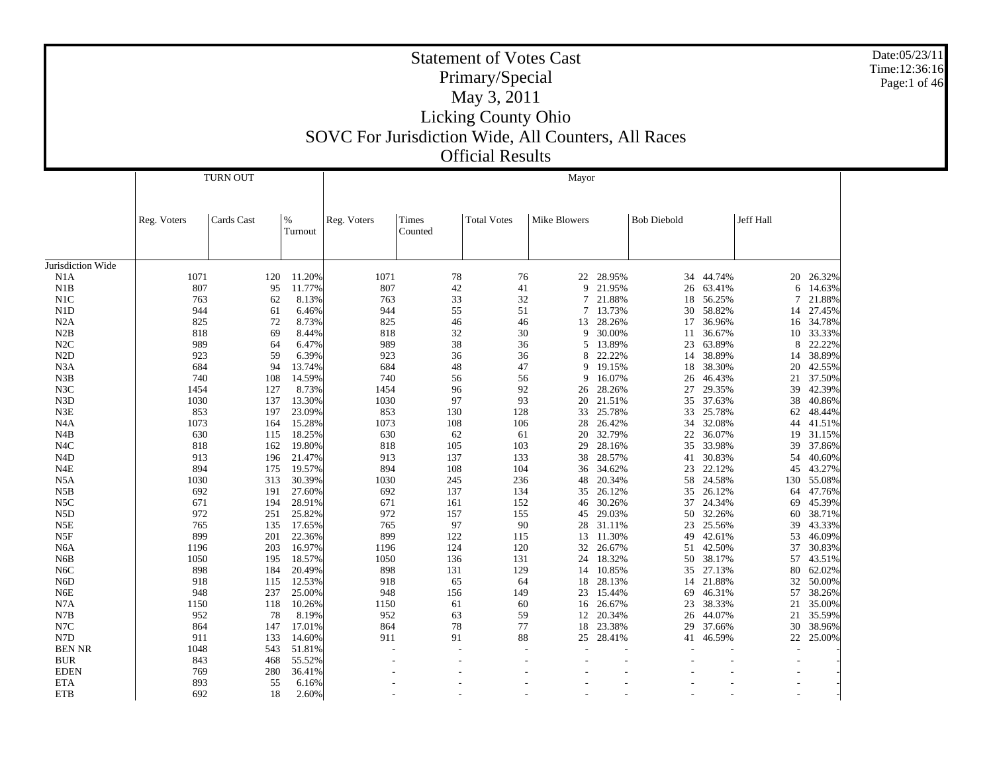|                          |              |                 |                  | SOVC For Jurisdiction Wide, All Counters, All Races |                          | <b>Statement of Votes Cast</b><br>Primary/Special<br>May 3, 2011<br><b>Licking County Ohio</b><br><b>Official Results</b> |                |                     |                    |                  |           |                  | Date:05/23/11<br>Time:12:36:16<br>Page:1 of 46 |
|--------------------------|--------------|-----------------|------------------|-----------------------------------------------------|--------------------------|---------------------------------------------------------------------------------------------------------------------------|----------------|---------------------|--------------------|------------------|-----------|------------------|------------------------------------------------|
|                          |              | <b>TURN OUT</b> |                  |                                                     |                          |                                                                                                                           | Mayor          |                     |                    |                  |           |                  |                                                |
|                          | Reg. Voters  | Cards Cast      | $\%$<br>Turnout  | Reg. Voters                                         | Times<br>Counted         | <b>Total Votes</b>                                                                                                        | Mike Blowers   |                     | <b>Bob Diebold</b> |                  | Jeff Hall |                  |                                                |
|                          |              |                 |                  |                                                     |                          |                                                                                                                           |                |                     |                    |                  |           |                  |                                                |
| Jurisdiction Wide<br>N1A | 1071         | 120             | 11.20%           | 1071                                                | 78                       | 76                                                                                                                        | 22             | 28.95%              | 34                 | 44.74%           | 20        | 26.32%           |                                                |
| N1B                      | 807          | 95              | 11.77%           | 807                                                 | 42                       | 41                                                                                                                        | 9              | 21.95%              | 26                 | 63.41%           | 6         | 14.63%           |                                                |
| N1C                      | 763          | 62              | 8.13%            | 763                                                 | 33                       | 32                                                                                                                        | $\overline{7}$ | 21.88%              | 18                 | 56.25%           | 7         | 21.88%           |                                                |
| N1D                      | 944          | 61              | 6.46%            | 944                                                 | 55                       | 51                                                                                                                        | 7              | 13.73%              | 30                 | 58.82%           | 14        | 27.45%           |                                                |
| N2A                      | 825          | 72              | 8.73%            | 825                                                 | 46                       | 46                                                                                                                        |                | 13 28.26%           | 17                 | 36.96%           |           | 16 34.78%        |                                                |
| N2B                      | 818          | 69              | 8.44%            | 818                                                 | 32                       | 30                                                                                                                        | 9              | 30.00%              | 11                 | 36.67%           | 10        | 33.33%           |                                                |
| N2C                      | 989          | 64              | 6.47%            | 989                                                 | 38                       | 36                                                                                                                        | 5              | 13.89%              | 23                 | 63.89%           | 8         | 22.22%           |                                                |
| N2D                      | 923          | 59              | 6.39%            | 923                                                 | 36                       | 36                                                                                                                        | 8              | 22.22%              | 14                 | 38.89%           | 14        | 38.89%           |                                                |
| N3A                      | 684          | 94              | 13.74%           | 684                                                 | 48                       | 47                                                                                                                        | 9              | 19.15%              | 18                 | 38.30%           | 20        | 42.55%           |                                                |
| N3B                      | 740          | 108             | 14.59%           | 740                                                 | 56                       | 56                                                                                                                        | 9              | 16.07%              | 26                 | 46.43%           | 21        | 37.50%           |                                                |
| N3C<br>N3D               | 1454<br>1030 | 127<br>137      | 8.73%<br>13.30%  | 1454<br>1030                                        | 96<br>97                 | 92<br>93                                                                                                                  | 26<br>20       | 28.26%<br>21.51%    | 27<br>35           | 29.35%<br>37.63% | 39<br>38  | 42.39%<br>40.86% |                                                |
| N3E                      | 853          | 197             | 23.09%           | 853                                                 | 130                      | 128                                                                                                                       |                | 33 25.78%           | 33                 | 25.78%           | 62        | 48.44%           |                                                |
| N4A                      | 1073         | 164             | 15.28%           | 1073                                                | 108                      | 106                                                                                                                       | 28             | 26.42%              | 34                 | 32.08%           | 44        | 41.51%           |                                                |
| N <sub>4</sub> B         | 630          | 115             | 18.25%           | 630                                                 | 62                       | 61                                                                                                                        | 20             | 32.79%              | 22                 | 36.07%           | 19        | 31.15%           |                                                |
| N <sub>4</sub> C         | 818          | 162             | 19.80%           | 818                                                 | 105                      | 103                                                                                                                       | 29             | 28.16%              | 35                 | 33.98%           | 39        | 37.86%           |                                                |
| N <sub>4</sub> D         | 913          | 196             | 21.47%           | 913                                                 | 137                      | 133                                                                                                                       | 38             | 28.57%              | 41                 | 30.83%           | 54        | 40.60%           |                                                |
| N4E                      | 894          | 175             | 19.57%           | 894                                                 | 108                      | 104                                                                                                                       | 36             | 34.62%              | 23                 | 22.12%           | 45        | 43.27%           |                                                |
| N5A                      | 1030         | 313             | 30.39%           | 1030                                                | 245                      | 236                                                                                                                       | 48             | 20.34%              | 58                 | 24.58%           | 130       | 55.08%           |                                                |
| N5B                      | 692          | 191             | 27.60%           | 692                                                 | 137                      | 134                                                                                                                       | 35             | 26.12%              | 35                 | 26.12%           | 64        | 47.76%           |                                                |
| N5C                      | 671          | 194             | 28.91%           | 671                                                 | 161                      | 152                                                                                                                       | 46             | 30.26%              | 37                 | 24.34%           | 69        | 45.39%           |                                                |
| N <sub>5</sub> D         | 972          | 251             | 25.82%           | 972                                                 | 157                      | 155                                                                                                                       | 45             | 29.03%              | 50                 | 32.26%           | 60        | 38.71%           |                                                |
| N5E<br>N <sub>5F</sub>   | 765<br>899   | 135<br>201      | 17.65%<br>22.36% | 765<br>899                                          | 97<br>122                | 90<br>115                                                                                                                 | 13             | 28 31.11%<br>11.30% | 23<br>49           | 25.56%<br>42.61% | 39<br>53  | 43.33%<br>46.09% |                                                |
| N6A                      | 1196         | 203             | 16.97%           | 1196                                                | 124                      | 120                                                                                                                       | 32             | 26.67%              | 51                 | 42.50%           | 37        | 30.83%           |                                                |
| N6B                      | 1050         | 195             | 18.57%           | 1050                                                | 136                      | 131                                                                                                                       | 24             | 18.32%              | 50                 | 38.17%           | 57        | 43.51%           |                                                |
| N6C                      | 898          | 184             | 20.49%           | 898                                                 | 131                      | 129                                                                                                                       | 14             | 10.85%              | 35                 | 27.13%           | 80        | 62.02%           |                                                |
| N <sub>6</sub> D         | 918          | 115             | 12.53%           | 918                                                 | 65                       | 64                                                                                                                        | 18             | 28.13%              | 14                 | 21.88%           | 32        | 50.00%           |                                                |
| N6E                      | 948          | 237             | 25.00%           | 948                                                 | 156                      | 149                                                                                                                       |                | 23 15.44%           | 69                 | 46.31%           |           | 57 38.26%        |                                                |
| N7A                      | 1150         |                 | 118 10.26%       | 1150                                                | 61                       | 60                                                                                                                        |                | 16 26.67%           |                    | 23 38.33%        |           | 21 35.00%        |                                                |
| N7B                      | 952          |                 | 78<br>8.19%      | 952                                                 | 63                       | 59                                                                                                                        |                | 12 20.34%           |                    | 26 44.07%        |           | 21 35.59%        |                                                |
| N7C                      | 864          | 147             | 17.01%           | 864                                                 | 78                       | 77                                                                                                                        |                | 18 23.38%           |                    | 29 37.66%        |           | 30 38.96%        |                                                |
| N7D                      | 911          | 133             | 14.60%           | 911                                                 | 91                       | 88                                                                                                                        |                | 25 28.41%           | 41                 | 46.59%           |           | 22 25.00%        |                                                |
| <b>BEN NR</b>            | 1048         | 543             | 51.81%           |                                                     |                          |                                                                                                                           |                |                     |                    |                  |           |                  |                                                |
| <b>BUR</b>               | 843          | 468             | 55.52%           |                                                     | $\overline{\phantom{a}}$ | $\overline{\phantom{a}}$                                                                                                  |                |                     |                    |                  |           |                  |                                                |
| $\rm\, EDEN$<br>ETA      | 769<br>893   | 280<br>55       | 36.41%<br>6.16%  |                                                     | $\overline{\phantom{a}}$ |                                                                                                                           |                |                     |                    |                  |           |                  |                                                |
|                          |              |                 |                  |                                                     |                          |                                                                                                                           |                |                     |                    |                  |           |                  |                                                |
| <b>ETB</b>               | 692          | 18              | $2.60\%$         |                                                     |                          |                                                                                                                           |                |                     |                    |                  |           |                  |                                                |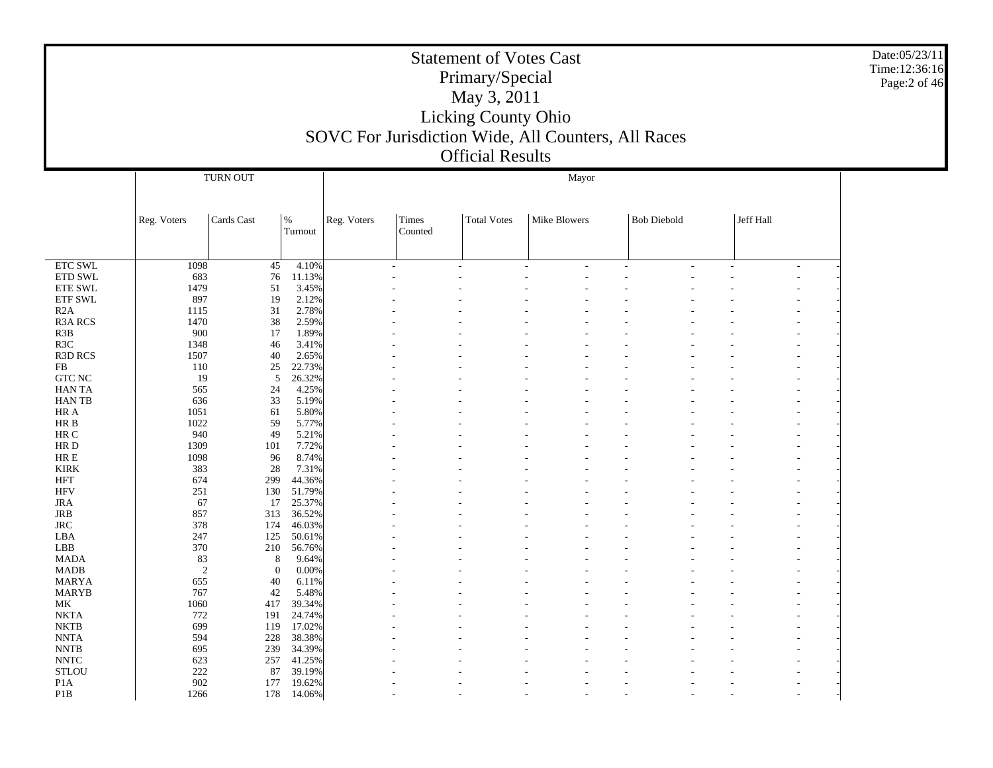|                               |                |                      |                  |             |                  | <b>Statement of Votes Cast</b><br>Primary/Special<br>May 3, 2011<br>Licking County Ohio<br>SOVC For Jurisdiction Wide, All Counters, All Races<br><b>Official Results</b> |              |                    |           | Date:05/23/11<br>Time:12:36:16<br>Page:2 of 46 |
|-------------------------------|----------------|----------------------|------------------|-------------|------------------|---------------------------------------------------------------------------------------------------------------------------------------------------------------------------|--------------|--------------------|-----------|------------------------------------------------|
|                               |                | TURN OUT             |                  |             |                  |                                                                                                                                                                           | Mayor        |                    |           |                                                |
|                               |                |                      |                  |             |                  |                                                                                                                                                                           |              |                    |           |                                                |
|                               | Reg. Voters    | Cards Cast           | $\%$<br>Turnout  | Reg. Voters | Times<br>Counted | <b>Total Votes</b>                                                                                                                                                        | Mike Blowers | <b>Bob Diebold</b> | Jeff Hall |                                                |
|                               |                |                      |                  |             |                  |                                                                                                                                                                           |              |                    |           |                                                |
| <b>ETC SWL</b>                | 1098           | 45                   | 4.10%            |             |                  |                                                                                                                                                                           |              |                    |           |                                                |
| ETD SWL                       | 683            | 76                   | 11.13%           |             |                  |                                                                                                                                                                           |              |                    |           |                                                |
| <b>ETE SWL</b>                | 1479           | 51                   | 3.45%            |             |                  |                                                                                                                                                                           |              |                    |           |                                                |
| ETF SWL<br>R2A                | 897<br>1115    | 19<br>31             | 2.12%<br>2.78%   |             |                  |                                                                                                                                                                           |              |                    |           |                                                |
| <b>R3A RCS</b>                | 1470           | 38                   | 2.59%            |             |                  |                                                                                                                                                                           |              |                    |           |                                                |
| R <sub>3</sub> B              | 900            | 17                   | 1.89%            |             |                  |                                                                                                                                                                           |              |                    |           |                                                |
| R <sub>3</sub> C              | 1348           | 46                   | 3.41%            |             |                  |                                                                                                                                                                           |              |                    |           |                                                |
| R3D RCS                       | 1507           | 40                   | 2.65%            |             |                  |                                                                                                                                                                           |              |                    |           |                                                |
| FB                            | 110            | 25                   | 22.73%           |             |                  |                                                                                                                                                                           |              |                    |           |                                                |
| $GTC$ $NC$<br><b>HANTA</b>    | 19<br>565      | $\mathfrak{S}$<br>24 | 26.32%<br>4.25%  |             |                  |                                                                                                                                                                           |              |                    |           |                                                |
| <b>HANTB</b>                  | 636            | 33                   | 5.19%            |             |                  |                                                                                                                                                                           |              |                    |           |                                                |
| HR A                          | 1051           | 61                   | 5.80%            |             |                  |                                                                                                                                                                           |              |                    |           |                                                |
| $\rm{HR}$ B                   | 1022           | 59                   | 5.77%            |             |                  |                                                                                                                                                                           |              |                    |           |                                                |
| HR C                          | 940            | 49                   | 5.21%            |             |                  |                                                                                                                                                                           |              |                    |           |                                                |
| HR D                          | 1309           | 101                  | 7.72%            |             |                  |                                                                                                                                                                           |              |                    |           |                                                |
| $\rm{HR} \; E$<br><b>KIRK</b> | 1098<br>383    | 96<br>28             | 8.74%<br>7.31%   |             |                  |                                                                                                                                                                           |              |                    |           |                                                |
| <b>HFT</b>                    | 674            | 299                  | 44.36%           |             |                  |                                                                                                                                                                           |              |                    |           |                                                |
| <b>HFV</b>                    | 251            | 130                  | 51.79%           |             |                  |                                                                                                                                                                           |              |                    |           |                                                |
| <b>JRA</b>                    | 67             | 17                   | 25.37%           |             |                  |                                                                                                                                                                           |              |                    |           |                                                |
| <b>JRB</b>                    | 857            | 313                  | 36.52%           |             |                  |                                                                                                                                                                           |              |                    |           |                                                |
| <b>JRC</b>                    | 378            | 174                  | 46.03%           |             |                  |                                                                                                                                                                           |              |                    |           |                                                |
| LBA                           | 247            | 125                  | 50.61%           |             |                  |                                                                                                                                                                           |              |                    |           |                                                |
| LBB<br><b>MADA</b>            | 370<br>83      | 210<br>8             | 56.76%<br>9.64%  |             |                  |                                                                                                                                                                           |              |                    |           |                                                |
| <b>MADB</b>                   | $\overline{c}$ | $\theta$             | 0.00%            |             |                  |                                                                                                                                                                           |              |                    |           |                                                |
| <b>MARYA</b>                  | 655            | 40                   | 6.11%            |             |                  |                                                                                                                                                                           |              |                    |           |                                                |
| <b>MARYB</b>                  | 767            | 42                   | 5.48%            |             |                  |                                                                                                                                                                           |              |                    |           |                                                |
| МK                            | 1060           |                      | 417 39.34%       |             |                  |                                                                                                                                                                           |              |                    |           |                                                |
| NKTA                          | 772            |                      | 191 24.74%       |             |                  |                                                                                                                                                                           |              |                    |           |                                                |
| $\rm NKTB$                    | 699            | 119                  | 17.02%           |             |                  |                                                                                                                                                                           |              |                    |           |                                                |
| <b>NNTA</b><br><b>NNTB</b>    | 594<br>695     | 228<br>239           | 38.38%<br>34.39% |             |                  |                                                                                                                                                                           |              |                    |           |                                                |
| <b>NNTC</b>                   | 623            | 257                  | 41.25%           |             |                  |                                                                                                                                                                           |              |                    |           |                                                |
| $\operatorname{STLOU}$        | 222            | 87                   | 39.19%           |             |                  |                                                                                                                                                                           |              |                    |           |                                                |
| P <sub>1</sub> A              | 902            | 177                  | 19.62%           |             |                  |                                                                                                                                                                           |              |                    |           |                                                |
| P1B                           | 1266           |                      | 178 14.06%       |             |                  |                                                                                                                                                                           |              |                    |           |                                                |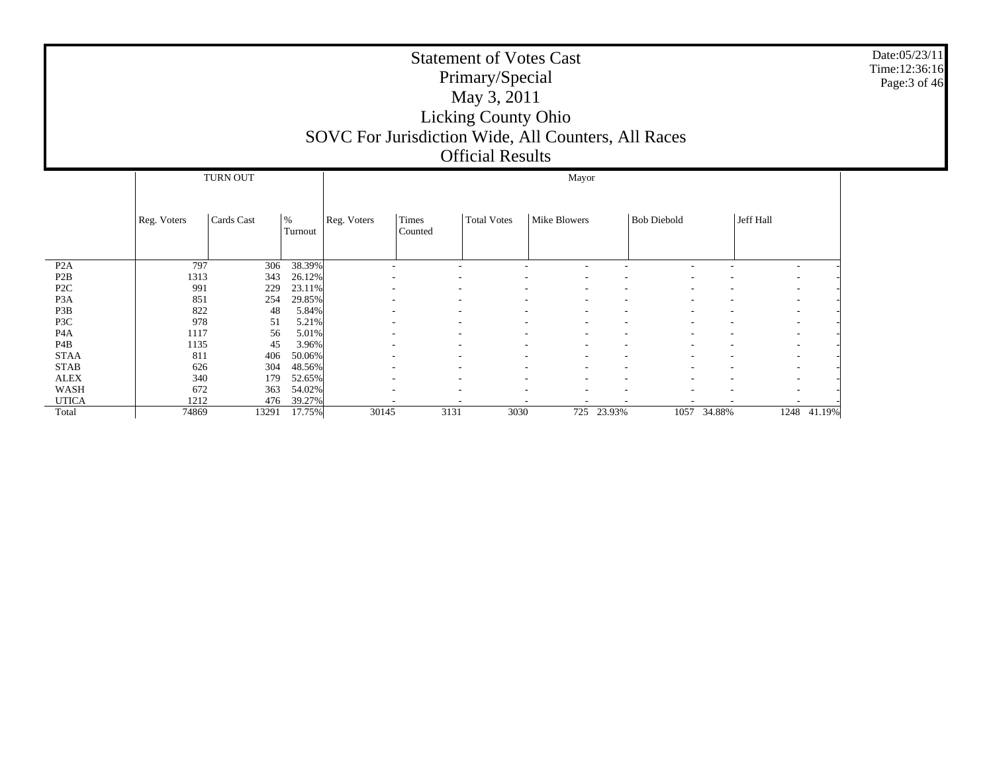|                  |             |            |                 | SOVC For Jurisdiction Wide, All Counters, All Races |                  | <b>Statement of Votes Cast</b><br>Primary/Special<br>May 3, 2011<br><b>Licking County Ohio</b><br><b>Official Results</b> |                     |            |                    |             |           |             | Date:05/23/11<br>Time:12:36:16<br>Page: 3 of 46 |
|------------------|-------------|------------|-----------------|-----------------------------------------------------|------------------|---------------------------------------------------------------------------------------------------------------------------|---------------------|------------|--------------------|-------------|-----------|-------------|-------------------------------------------------|
|                  |             | TURN OUT   |                 |                                                     |                  |                                                                                                                           | Mayor               |            |                    |             |           |             |                                                 |
|                  | Reg. Voters | Cards Cast | $\%$<br>Turnout | Reg. Voters                                         | Times<br>Counted | <b>Total Votes</b>                                                                                                        | <b>Mike Blowers</b> |            | <b>Bob Diebold</b> |             | Jeff Hall |             |                                                 |
| P <sub>2</sub> A | 797         | 306        | 38.39%          |                                                     |                  |                                                                                                                           |                     |            |                    |             |           |             |                                                 |
| P <sub>2</sub> B | 1313        | 343        | 26.12%          |                                                     |                  |                                                                                                                           |                     |            |                    |             |           |             |                                                 |
| P <sub>2C</sub>  | 991         | 229        | 23.11%          |                                                     |                  |                                                                                                                           |                     |            |                    |             |           |             |                                                 |
| P <sub>3</sub> A | 851         | 254        | 29.85%          |                                                     |                  |                                                                                                                           |                     |            |                    |             |           |             |                                                 |
| P3B              | 822         | 48         | 5.84%           |                                                     |                  |                                                                                                                           |                     |            |                    |             |           |             |                                                 |
| P3C              | 978         | 51         | 5.21%           |                                                     |                  |                                                                                                                           |                     |            |                    |             |           |             |                                                 |
| P <sub>4</sub> A | 1117        | 56         | 5.01%           |                                                     |                  |                                                                                                                           |                     |            |                    |             |           |             |                                                 |
| P <sub>4</sub> B | 1135        | 45         | 3.96%           |                                                     |                  |                                                                                                                           |                     |            |                    |             |           |             |                                                 |
| <b>STAA</b>      | 811         | 406        | 50.06%          |                                                     |                  |                                                                                                                           |                     |            |                    |             |           |             |                                                 |
| <b>STAB</b>      | 626         | 304        | 48.56%          |                                                     |                  |                                                                                                                           |                     |            |                    |             |           |             |                                                 |
| <b>ALEX</b>      | 340         | 179        | 52.65%          |                                                     |                  |                                                                                                                           |                     |            |                    |             |           |             |                                                 |
| <b>WASH</b>      | 672         | 363        | 54.02%          |                                                     |                  |                                                                                                                           |                     |            |                    |             |           |             |                                                 |
| <b>UTICA</b>     | 1212        | 476        | 39.27%          |                                                     |                  |                                                                                                                           |                     |            |                    |             |           |             |                                                 |
| Total            | 74869       | 13291      | 17.75%          | 30145                                               | 3131             | 3030                                                                                                                      |                     | 725 23.93% |                    | 1057 34.88% |           | 1248 41.19% |                                                 |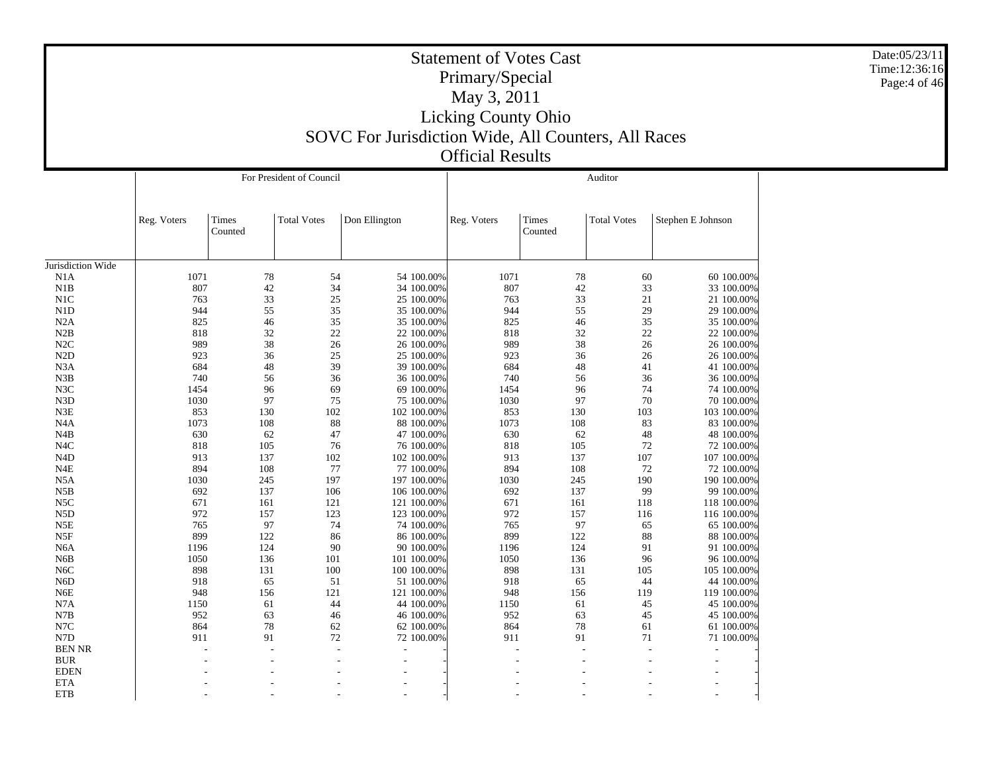|                   |             |                  | For President of Council |               |                          |             |                  | Auditor            |                          |
|-------------------|-------------|------------------|--------------------------|---------------|--------------------------|-------------|------------------|--------------------|--------------------------|
|                   | Reg. Voters | Times<br>Counted | <b>Total Votes</b>       | Don Ellington |                          | Reg. Voters | Times<br>Counted | <b>Total Votes</b> | Stephen E Johnson        |
| Jurisdiction Wide |             |                  |                          |               |                          |             |                  |                    |                          |
| N1A               | 1071        | 78               | 54                       |               | 54 100.00%               | 1071        | 78               | 60                 | 60 100.00%               |
| N1B               | 807         | 42               | 34                       |               | 34 100.00%               | 807         | 42               | 33                 | 33 100.00%               |
| N1C               | 763         | 33               | 25                       |               | 25 100.00%               | 763         | 33               | 21                 | 21 100.00%               |
| N1D               | 944         | 55               | 35                       |               | 35 100.00%               | 944         | 55               | 29                 | 29 100.00%               |
| N2A               | 825         | 46               | 35                       |               | 35 100.00%               | 825         | 46               | 35                 | 35 100.00%               |
| N2B               | 818         | 32               | 22                       |               | 22 100.00%               | 818         | 32               | 22                 | 22 100.00%               |
| N2C               | 989         | 38               | 26                       |               | 26 100.00%               | 989         | 38               | 26                 | 26 100.00%               |
| N2D               | 923         | 36               | 25                       |               | 25 100.00%               | 923         | 36               | 26                 | 26 100.00%               |
| N <sub>3</sub> A  | 684         | 48               | 39                       |               | 39 100.00%               | 684         | 48               | 41                 | 41 100.00%               |
| N3B               | 740         | 56               | 36                       |               | 36 100.00%               | 740         | 56               | 36                 | 36 100.00%               |
| N3C               | 1454        | 96               | 69                       |               |                          | 1454        | 96               | 74                 |                          |
| N <sub>3</sub> D  | 1030        | 97               | 75                       |               | 69 100.00%<br>75 100.00% | 1030        | 97               | 70                 | 74 100.00%<br>70 100.00% |
| N3E               | 853         | 130              | 102                      |               | 102 100.00%              | 853         | 130              | 103                | 103 100.00%              |
| N4A               | 1073        | 108              | 88                       |               |                          | 1073        | 108              | 83                 |                          |
|                   |             |                  |                          |               | 88 100.00%               |             |                  |                    | 83 100.00%               |
| N4B               | 630<br>818  | 62               | 47                       |               | 47 100.00%               | 630         | 62               | 48                 | 48 100.00%               |
| N <sub>4</sub> C  |             | 105              | 76                       |               | 76 100.00%               | 818         | 105              | 72                 | 72 100.00%               |
| N <sub>4</sub> D  | 913<br>894  | 137              | 102                      |               | 102 100.00%              | 913         | 137              | 107                | 107 100.00%              |
| N4E               |             | 108              | 77                       |               | 77 100.00%               | 894         | 108              | 72                 | 72 100.00%               |
| N5A               | 1030        | 245              | 197                      |               | 197 100.00%              | 1030        | 245              | 190                | 190 100.00%              |
| N5B               | 692         | 137              | 106                      |               | 106 100.00%              | 692         | 137              | 99                 | 99 100.00%               |
| N <sub>5</sub> C  | 671         | 161              | 121                      |               | 121 100.00%              | 671         | 161              | 118                | 118 100.00%              |
| N <sub>5</sub> D  | 972         | 157              | 123                      |               | 123 100.00%              | 972         | 157              | 116                | 116 100,00%              |
| N5E               | 765         | 97               | 74                       |               | 74 100.00%               | 765         | 97               | 65                 | 65 100.00%               |
| N5F               | 899         | 122              | 86                       |               | 86 100.00%               | 899         | 122              | 88                 | 88 100.00%               |
| N <sub>6</sub> A  | 1196        | 124              | 90                       |               | 90 100.00%               | 1196        | 124              | 91                 | 91 100.00%               |
| N <sub>6</sub> B  | 1050        | 136              | 101                      |               | 101 100.00%              | 1050        | 136              | 96                 | 96 100.00%               |
| N <sub>6</sub> C  | 898         | 131              | 100                      |               | 100 100.00%              | 898         | 131              | 105                | 105 100.00%              |
| N <sub>6</sub> D  | 918         | 65               | 51                       |               | 51 100.00%               | 918         | 65               | 44                 | 44 100.00%               |
| N <sub>6</sub> E  | 948         | 156              | 121                      |               | 121 100.00%              | 948         | 156              | 119                | 119 100.00%              |
| N7A               | 1150        | 61               | 44                       |               | 44 100.00%               | 1150        | 61               | 45                 | 45 100.00%               |
| N7B               | 952         | 63               | 46                       |               | 46 100.00%               | 952         | 63               | 45                 | 45 100.00%               |
| N7C               | 864         | 78               | 62                       |               | 62 100.00%               | 864         | 78               | 61                 | 61 100,00%               |
| N7D               | 911         | 91               | 72                       |               | 72 100.00%               | 911         | 91               | 71                 | 71 100.00%               |
| <b>BEN NR</b>     |             |                  |                          |               |                          |             |                  |                    |                          |
| <b>BUR</b>        |             |                  |                          |               |                          |             |                  |                    |                          |
| <b>EDEN</b>       |             |                  |                          |               |                          |             |                  |                    |                          |
| <b>ETA</b>        |             |                  |                          |               |                          |             |                  |                    |                          |
| <b>ETB</b>        |             |                  |                          |               |                          |             |                  |                    |                          |

Date:05/23/11 Time:12:36:16 Page:4 of 46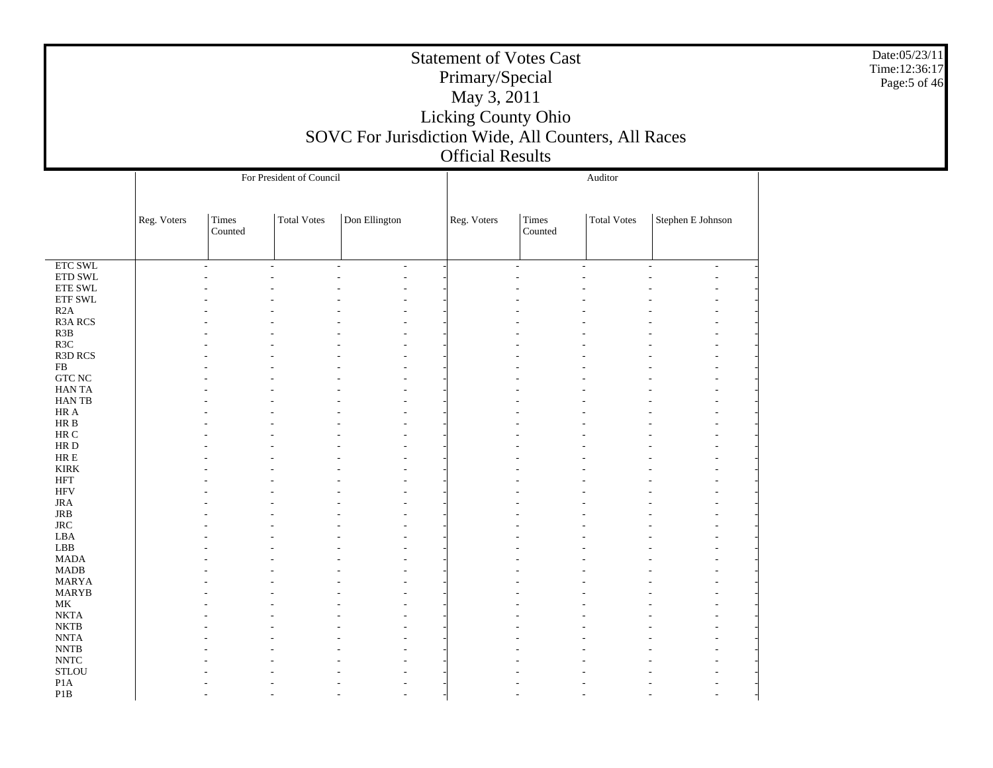|                                                                                                                                                                                                                                                                                                                                                                                                                                                                             |             |                  |                          | SOVC For Jurisdiction Wide, All Counters, All Races | <b>Statement of Votes Cast</b><br>Primary/Special<br>May 3, 2011<br>Licking County Ohio<br><b>Official Results</b> |                  |                    |                   | Date:05/23/11<br>Time:12:36:17<br>Page:5 of 46 |
|-----------------------------------------------------------------------------------------------------------------------------------------------------------------------------------------------------------------------------------------------------------------------------------------------------------------------------------------------------------------------------------------------------------------------------------------------------------------------------|-------------|------------------|--------------------------|-----------------------------------------------------|--------------------------------------------------------------------------------------------------------------------|------------------|--------------------|-------------------|------------------------------------------------|
|                                                                                                                                                                                                                                                                                                                                                                                                                                                                             |             |                  | For President of Council |                                                     |                                                                                                                    |                  | Auditor            |                   |                                                |
|                                                                                                                                                                                                                                                                                                                                                                                                                                                                             | Reg. Voters | Times<br>Counted | Total Votes              | Don Ellington                                       | Reg. Voters                                                                                                        | Times<br>Counted | <b>Total Votes</b> | Stephen E Johnson |                                                |
| $\overline{\text{ETC SWL}}$<br>ETD SWL<br><b>ETE SWL</b><br>${\rm ETF}$ SWL<br>R2A<br><b>R3A RCS</b><br>R3B<br>R3C<br>R3D RCS<br>FB<br>${\rm GTC}$ NC<br>HAN TA<br>HAN TB<br>HR A<br>HR B<br>HR C<br>HR D<br>HR E<br><b>KIRK</b><br><b>HFT</b><br><b>HFV</b><br>JRA<br>JRB<br>$\rm JRC$<br>LBA<br>LBB<br><b>MADA</b><br><b>MADB</b><br>MARYA<br><b>MARYB</b><br>МK<br><b>NKTA</b><br><b>NKTB</b><br><b>NNTA</b><br>$\ensuremath{\text{NNTB}}$<br>$\ensuremath{\text{NNTC}}$ |             |                  |                          |                                                     |                                                                                                                    |                  |                    |                   |                                                |
| <b>STLOU</b><br>P <sub>1</sub> A<br>P <sub>1</sub> B                                                                                                                                                                                                                                                                                                                                                                                                                        |             |                  |                          |                                                     |                                                                                                                    |                  |                    |                   |                                                |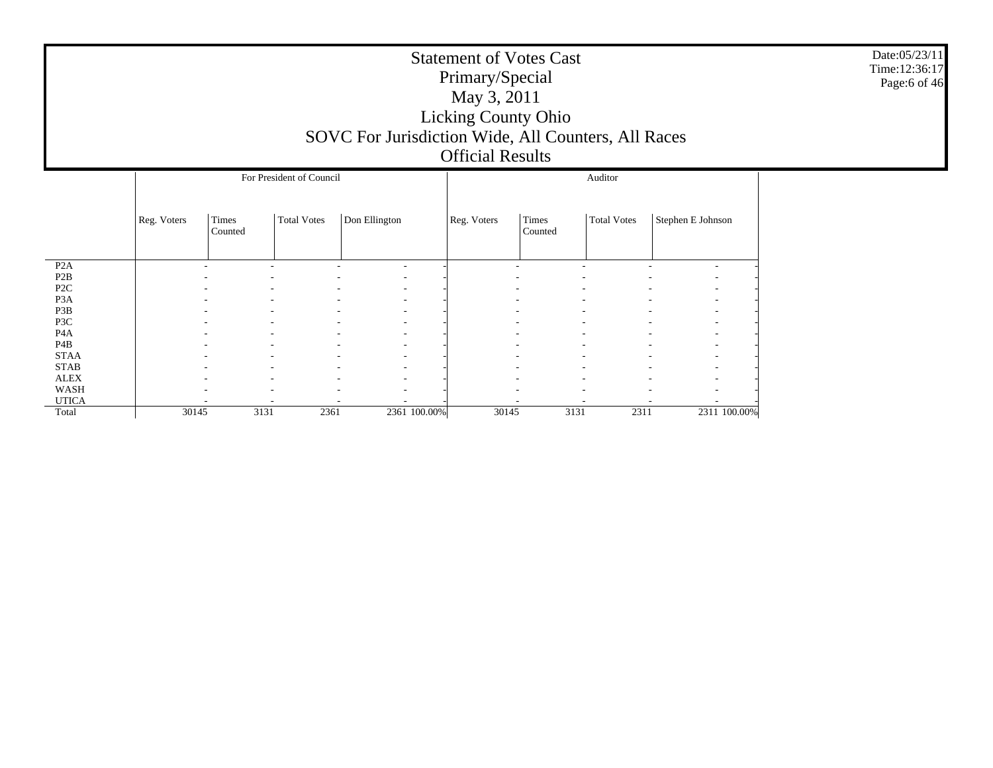|                                      |                                                       |                                     |               | SOVC For Jurisdiction Wide, All Counters, All Races | <b>Statement of Votes Cast</b><br>Primary/Special<br>May 3, 2011<br><b>Licking County Ohio</b><br><b>Official Results</b> |                    |                   |                               |              | Date:05/23/11<br>Time:12:36:17<br>Page:6 of 46 |  |  |  |  |
|--------------------------------------|-------------------------------------------------------|-------------------------------------|---------------|-----------------------------------------------------|---------------------------------------------------------------------------------------------------------------------------|--------------------|-------------------|-------------------------------|--------------|------------------------------------------------|--|--|--|--|
|                                      |                                                       | For President of Council<br>Auditor |               |                                                     |                                                                                                                           |                    |                   |                               |              |                                                |  |  |  |  |
|                                      | <b>Total Votes</b><br>Reg. Voters<br>Times<br>Counted |                                     | Don Ellington | Reg. Voters                                         | Times<br>Counted                                                                                                          | <b>Total Votes</b> | Stephen E Johnson |                               |              |                                                |  |  |  |  |
| P <sub>2</sub> A                     |                                                       | ٠                                   | ٠             | ٠<br>$\overline{\phantom{a}}$                       |                                                                                                                           | $\overline{a}$     |                   | $\overline{\phantom{a}}$<br>٠ |              |                                                |  |  |  |  |
| P <sub>2</sub> B<br>P <sub>2</sub> C |                                                       |                                     |               |                                                     |                                                                                                                           |                    |                   |                               |              |                                                |  |  |  |  |
| P <sub>3</sub> A                     |                                                       |                                     |               |                                                     |                                                                                                                           |                    |                   |                               |              |                                                |  |  |  |  |
| P3B                                  |                                                       |                                     |               |                                                     |                                                                                                                           |                    |                   |                               |              |                                                |  |  |  |  |
| P3C                                  |                                                       |                                     |               |                                                     |                                                                                                                           |                    |                   |                               |              |                                                |  |  |  |  |
| P <sub>4</sub> A                     |                                                       |                                     |               |                                                     |                                                                                                                           |                    |                   |                               |              |                                                |  |  |  |  |
| P <sub>4</sub> B                     |                                                       |                                     |               |                                                     |                                                                                                                           |                    |                   |                               |              |                                                |  |  |  |  |
| <b>STAA</b>                          |                                                       |                                     |               |                                                     |                                                                                                                           |                    |                   |                               |              |                                                |  |  |  |  |
| <b>STAB</b>                          |                                                       |                                     |               |                                                     |                                                                                                                           |                    |                   |                               |              |                                                |  |  |  |  |
| ${\rm ALEX}$                         |                                                       |                                     |               |                                                     |                                                                                                                           |                    |                   |                               |              |                                                |  |  |  |  |
| WASH<br><b>UTICA</b>                 |                                                       |                                     |               |                                                     |                                                                                                                           |                    |                   |                               |              |                                                |  |  |  |  |
| Total                                | 30145                                                 | 3131                                | 2361          | 2361 100.00%                                        | 30145                                                                                                                     | 3131               | 2311              |                               | 2311 100.00% |                                                |  |  |  |  |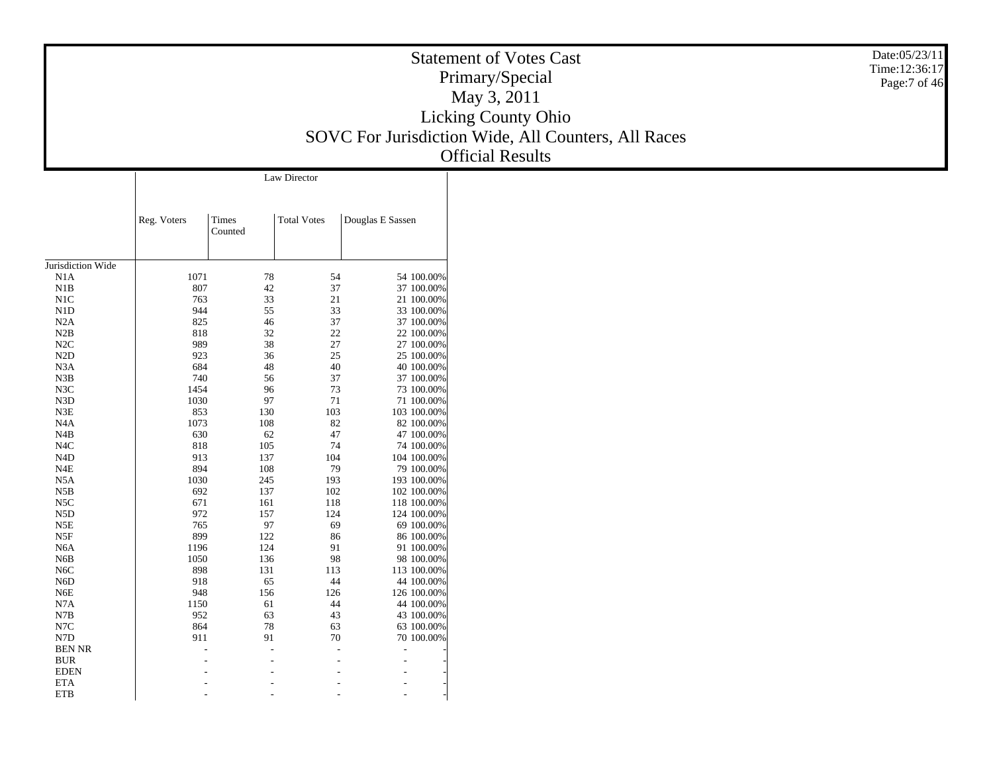| <b>Statement of Votes Cast</b>                      |
|-----------------------------------------------------|
| Primary/Special                                     |
| May 3, 2011                                         |
| <b>Licking County Ohio</b>                          |
| SOVC For Jurisdiction Wide, All Counters, All Races |
| <b>Official Results</b>                             |

| Date:05/23/11 |
|---------------|
| Time:12:36:17 |
| Page:7 of 46  |

Jurisdiction Wide N1A N1B N1C N1D N2A N2B N2C N2D N3A N3B N3C N3D N3E N4A N4B N4C N4D N4E N5A N5B N5C N5D N5E N5F N6A N6B N6C N6D N6E N7A N7B N7C N7D BEN NR BUR EDEN ETA**ETB** Reg. Voters Times Counted Total Votes Douglas E Sassen Law Director1071 78 54 54 100.00% 42 37 37 100.00%807763 33 21 21 100.00% 944 55 33 33 100.00% 46 37 37 100.00%8258 32 22 22 100.00% 818 38 27 27 100.00%989923 36 25 25 100.00% 684 48 40 40 100.00%0 56 37 37 37 100.00% 740 96 73 73 100.00% 14541030 97 71 71 100.00% 130 103 103 100.00% 8531073 108 82 82 100.00%0 62 47 47 100.00% 630 105 74 74 100.00% 818913 137 104 104 100.00% 108 79 79 100.00%8940 245 193 193 100.00% 1030692 137 102 102 100.00%161 118 118 100.00% 6712 157 124 124 100.00% 972 97 69 69 100.00% 765899 122 86 86 100.00%1196 124 91 91 100.00% 1050 136 98 98 100.00%8 131 113 113 100.00% 8989188 65 44 44 100.00% 948 156 126 126 100.00% 11500 61 44 44 100.00% 952 63 43 43 100.00% 78 63 63 100.00%8641 91 70 70 70 90.00% 911- - - - - - - - - - - - - - - - - - - - -

- - - -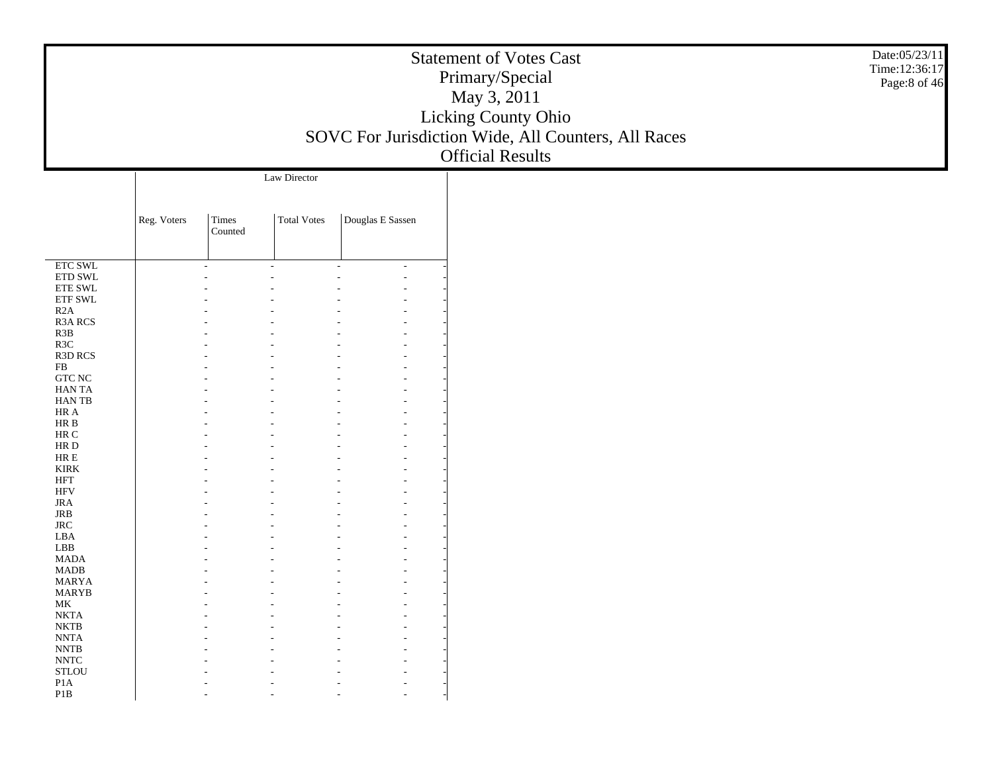|                                                      |             |                  |                    |                  | Date:05/23/11<br><b>Statement of Votes Cast</b><br>Time:12:36:17<br>Primary/Special<br>Page:8 of 46<br>May 3, 2011<br>Licking County Ohio<br>SOVC For Jurisdiction Wide, All Counters, All Races<br><b>Official Results</b> |
|------------------------------------------------------|-------------|------------------|--------------------|------------------|-----------------------------------------------------------------------------------------------------------------------------------------------------------------------------------------------------------------------------|
|                                                      |             |                  | Law Director       |                  |                                                                                                                                                                                                                             |
|                                                      |             |                  |                    |                  |                                                                                                                                                                                                                             |
|                                                      | Reg. Voters | Times<br>Counted | <b>Total Votes</b> | Douglas E Sassen |                                                                                                                                                                                                                             |
| <b>ETC SWL</b>                                       |             |                  |                    |                  |                                                                                                                                                                                                                             |
| $\rm ETD$ SWL                                        |             |                  |                    |                  |                                                                                                                                                                                                                             |
| ${\rm ETE}$ SWL<br>$\ensuremath{\text{ETF}}$ SWL     |             |                  |                    |                  |                                                                                                                                                                                                                             |
| R2A                                                  |             |                  |                    |                  |                                                                                                                                                                                                                             |
| R3A RCS                                              |             |                  |                    |                  |                                                                                                                                                                                                                             |
| R3B                                                  |             |                  |                    |                  |                                                                                                                                                                                                                             |
| R3C<br>R3D RCS                                       |             |                  |                    |                  |                                                                                                                                                                                                                             |
| ${\rm FB}$                                           |             |                  |                    |                  |                                                                                                                                                                                                                             |
| <b>GTC NC</b>                                        |             |                  |                    |                  |                                                                                                                                                                                                                             |
| HAN TA<br>HAN TB                                     |             |                  |                    |                  |                                                                                                                                                                                                                             |
| $\rm{HR}$ A                                          |             |                  |                    |                  |                                                                                                                                                                                                                             |
| $\rm{HR}$ B                                          |             |                  |                    |                  |                                                                                                                                                                                                                             |
| $\rm{HR}$ C                                          |             |                  |                    |                  |                                                                                                                                                                                                                             |
| $\rm HR$ D<br>$\rm{HR} \; E$                         |             |                  |                    |                  |                                                                                                                                                                                                                             |
| <b>KIRK</b>                                          |             |                  |                    |                  |                                                                                                                                                                                                                             |
| $\operatorname{HFT}$                                 |             |                  |                    |                  |                                                                                                                                                                                                                             |
| $\rm{HFV}$<br>$_{\rm JRA}$                           |             |                  |                    |                  |                                                                                                                                                                                                                             |
| $_{\rm JRB}$                                         |             |                  |                    |                  |                                                                                                                                                                                                                             |
| $_{\rm JRC}$                                         |             |                  |                    |                  |                                                                                                                                                                                                                             |
| ${\rm LBA}$                                          |             |                  |                    |                  |                                                                                                                                                                                                                             |
| ${\rm LBB}$<br><b>MADA</b>                           |             |                  |                    |                  |                                                                                                                                                                                                                             |
| $\mbox{MADB}$                                        |             |                  |                    |                  |                                                                                                                                                                                                                             |
| <b>MARYA</b>                                         |             |                  |                    |                  |                                                                                                                                                                                                                             |
| <b>MARYB</b>                                         |             |                  |                    |                  |                                                                                                                                                                                                                             |
| $\rm MK$<br><b>NKTA</b>                              |             |                  |                    |                  |                                                                                                                                                                                                                             |
| $\rm NKTB$                                           |             |                  |                    |                  |                                                                                                                                                                                                                             |
| $\ensuremath{\text{NNTA}}$                           |             |                  |                    |                  |                                                                                                                                                                                                                             |
| $\ensuremath{\text{NNTB}}$                           |             |                  |                    |                  |                                                                                                                                                                                                                             |
| $\ensuremath{\text{NNTC}}$<br>$\operatorname{STLOU}$ |             |                  |                    |                  |                                                                                                                                                                                                                             |
| P1A                                                  |             |                  |                    |                  |                                                                                                                                                                                                                             |
| $\mathbf{P}1\mathbf{B}$                              |             |                  |                    |                  |                                                                                                                                                                                                                             |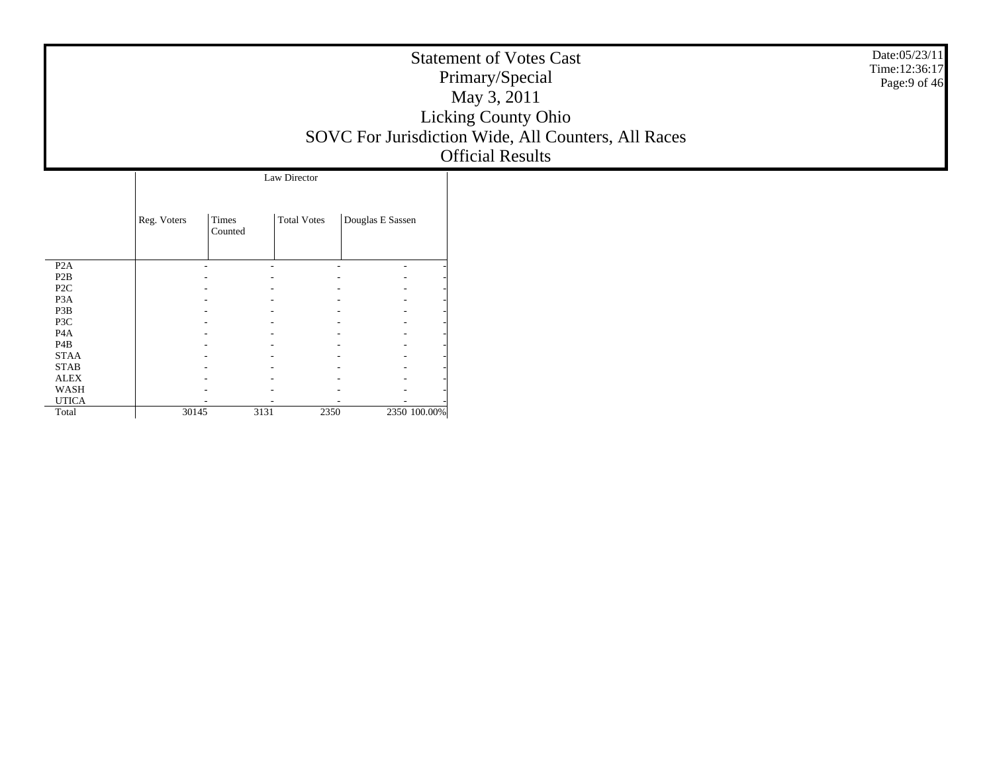|                                 |             |                          |                          |                                                      | <b>Statement of Votes Cast</b>                      | Date:05/23/11<br>Time: 12:36:17 |
|---------------------------------|-------------|--------------------------|--------------------------|------------------------------------------------------|-----------------------------------------------------|---------------------------------|
|                                 |             |                          |                          |                                                      | Primary/Special                                     |                                 |
|                                 |             |                          |                          |                                                      | May 3, 2011                                         |                                 |
|                                 |             |                          |                          |                                                      | Licking County Ohio                                 |                                 |
|                                 |             |                          |                          |                                                      |                                                     |                                 |
|                                 |             |                          |                          |                                                      | SOVC For Jurisdiction Wide, All Counters, All Races |                                 |
|                                 |             |                          |                          |                                                      | <b>Official Results</b>                             |                                 |
|                                 |             |                          | Law Director             |                                                      |                                                     |                                 |
|                                 |             |                          |                          |                                                      |                                                     |                                 |
|                                 |             |                          |                          |                                                      |                                                     |                                 |
|                                 | Reg. Voters | Times<br>Counted         | <b>Total Votes</b>       | Douglas E Sassen                                     |                                                     |                                 |
|                                 |             |                          |                          |                                                      |                                                     |                                 |
| P2A                             |             | $\overline{\phantom{a}}$ | $\overline{\phantom{a}}$ | $\overline{\phantom{a}}$                             |                                                     |                                 |
| $\mathbf{P2B}$                  |             |                          |                          |                                                      |                                                     |                                 |
| P <sub>2</sub> C                |             |                          |                          | $\overline{\phantom{a}}$                             |                                                     |                                 |
| P <sub>3</sub> A<br>P3B         |             |                          |                          | $\overline{\phantom{a}}$<br>$\overline{\phantom{a}}$ |                                                     |                                 |
| P3C                             |             |                          |                          | $\overline{\phantom{a}}$                             |                                                     |                                 |
| P <sub>4</sub> A                |             |                          |                          | $\overline{\phantom{a}}$                             |                                                     |                                 |
| P <sub>4</sub> B<br><b>STAA</b> |             |                          |                          | $\overline{\phantom{a}}$<br>$\overline{\phantom{a}}$ |                                                     |                                 |
| <b>STAB</b>                     |             |                          |                          | $\overline{\phantom{a}}$                             |                                                     |                                 |
| <b>ALEX</b><br>WASH             |             |                          |                          | $\overline{\phantom{a}}$                             |                                                     |                                 |
|                                 |             |                          |                          | $\overline{\phantom{a}}$                             |                                                     |                                 |

 - - - - - - - -

3131 2350 2350 100.00%

 UTICA**Total** 

30145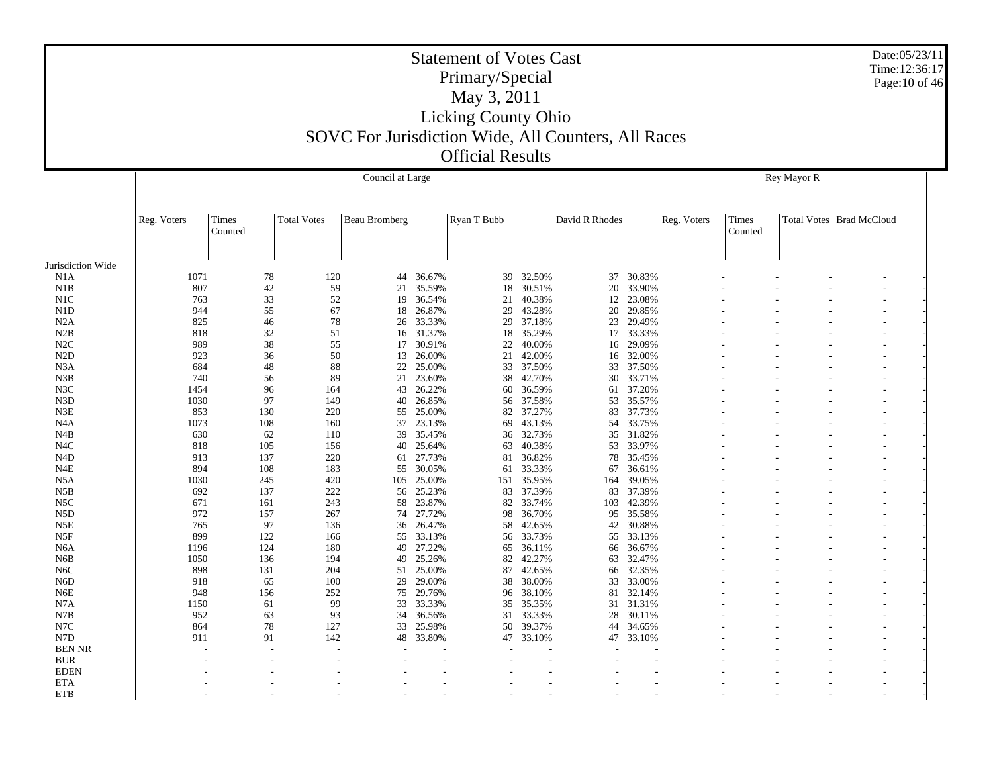|                   |             |                  |                    | Council at Large     |        |             |           | Rey Mayor R    |           |             |                  |  |                            |  |
|-------------------|-------------|------------------|--------------------|----------------------|--------|-------------|-----------|----------------|-----------|-------------|------------------|--|----------------------------|--|
|                   | Reg. Voters | Times<br>Counted | <b>Total Votes</b> | <b>Beau Bromberg</b> |        | Ryan T Bubb |           | David R Rhodes |           | Reg. Voters | Times<br>Counted |  | Total Votes   Brad McCloud |  |
|                   |             |                  |                    |                      |        |             |           |                |           |             |                  |  |                            |  |
| Jurisdiction Wide |             |                  |                    |                      |        |             |           |                |           |             |                  |  |                            |  |
| N1A               | 1071        | 78               | 120                | 44                   | 36.67% | 39          | 32.50%    | 37             | 30.83%    |             |                  |  |                            |  |
| N1B               | 807         | 42               | 59                 | 21                   | 35.59% | 18          | 30.51%    | 20             | 33.90%    |             |                  |  |                            |  |
| N1C               | 763         | 33               | 52                 | 19                   | 36.54% | 21          | 40.38%    | 12             | 23.08%    |             |                  |  |                            |  |
| N1D               | 944         | 55               | 67                 | 18                   | 26.87% | 29          | 43.28%    | 20             | 29.85%    |             |                  |  |                            |  |
| N2A               | 825         | 46               | 78                 | 26                   | 33.33% | 29          | 37.18%    | 23             | 29.49%    |             |                  |  |                            |  |
| N2B               | 818         | 32               | 51                 | 16                   | 31.37% | 18          | 35.29%    |                | 17 33.33% |             |                  |  |                            |  |
| N2C               | 989         | 38               | 55                 | 17                   | 30.91% | 22          | 40.00%    | 16             | 29.09%    |             |                  |  |                            |  |
| N2D               | 923         | 36               | 50                 | 13                   | 26.00% | 21          | 42.00%    |                | 16 32.00% |             |                  |  |                            |  |
| N <sub>3</sub> A  | 684         | 48               | 88                 | 22                   | 25.00% |             | 33 37.50% | 33             | 37.50%    |             |                  |  |                            |  |
| N3B               | 740         | 56               | 89                 | 21                   | 23.60% | 38          | 42.70%    | 30             | 33.71%    |             |                  |  |                            |  |
| N3C               | 1454        | 96               | 164                | 43                   | 26.22% | 60          | 36.59%    | 61             | 37.20%    |             |                  |  |                            |  |
| N <sub>3</sub> D  | 1030        | 97               | 149                | 40                   | 26.85% | 56          | 37.58%    | 53             | 35.57%    |             |                  |  |                            |  |
| N3E               | 853         | 130              | 220                | 55                   | 25.00% | 82          | 37.27%    | 83             | 37.73%    |             |                  |  |                            |  |
| N <sub>4</sub> A  | 1073        | 108              | 160                | 37                   | 23.13% | 69          | 43.13%    | 54             | 33.75%    |             |                  |  |                            |  |
| N4B               | 630         | 62               | 110                | 39                   | 35.45% | 36          | 32.73%    | 35             | 31.82%    |             |                  |  |                            |  |
| N <sub>4</sub> C  | 818         | 105              | 156                | 40                   | 25.64% | 63          | 40.38%    | 53             | 33.97%    |             |                  |  |                            |  |
| N <sub>4</sub> D  | 913         | 137              | 220                | 61                   | 27.73% | 81          | 36.82%    | 78             | 35.45%    |             |                  |  |                            |  |
| N <sub>4E</sub>   | 894         | 108              | 183                | 55                   | 30.05% | 61          | 33.33%    | 67             | 36.61%    |             |                  |  |                            |  |
| N <sub>5</sub> A  | 1030        | 245              | 420                | 105                  | 25.00% | 151         | 35.95%    | 164            | 39.05%    |             |                  |  |                            |  |
| N5B               | 692         | 137              | 222                | 56                   | 25.23% | 83          | 37.39%    | 83             | 37.39%    |             |                  |  |                            |  |
| N5C               | 671         | 161              | 243                | 58                   | 23.87% | 82          | 33.74%    | 103            | 42.39%    |             |                  |  |                            |  |
| N5D               | 972         | 157              | 267                | 74                   | 27.72% | 98          | 36.70%    | 95             | 35.58%    |             |                  |  |                            |  |
| N5E               | 765         | 97               | 136                | 36                   | 26.47% | 58          | 42.65%    | 42             | 30.88%    |             |                  |  |                            |  |
| N5F               | 899         | 122              | 166                | 55                   | 33.13% | 56          | 33.73%    | 55             | 33.13%    |             |                  |  |                            |  |
| N <sub>6</sub> A  | 1196        | 124              | 180                | 49                   | 27.22% | 65          | 36.11%    | 66             | 36.67%    |             |                  |  |                            |  |
| N6B               | 1050        | 136              | 194                | 49                   | 25.26% | 82          | 42.27%    | 63             | 32.47%    |             |                  |  |                            |  |
| N6C               | 898         | 131              | 204                | 51                   | 25.00% | 87          | 42.65%    | 66             | 32.35%    |             |                  |  |                            |  |
| N <sub>6</sub> D  | 918         | 65               | 100                | 29                   | 29.00% | 38          | 38.00%    | 33             | 33.00%    |             |                  |  |                            |  |
| N <sub>6</sub> E  | 948         | 156              | 252                | 75                   | 29.76% | 96          | 38.10%    | 81             | 32.14%    |             |                  |  |                            |  |
| N7A               | 1150        | 61               | 99                 | 33                   | 33.33% | 35          | 35.35%    | 31             | 31.31%    |             |                  |  |                            |  |
| N7B               | 952         | 63               | 93                 | 34                   | 36.56% |             | 31 33.33% | 28             | 30.11%    |             |                  |  |                            |  |
| N7C               | 864         | 78               | 127                | 33                   | 25.98% | 50          | 39.37%    | 44             | 34.65%    |             |                  |  |                            |  |
| N7D               | 911         | 91               | 142                | 48                   | 33.80% |             | 47 33.10% | 47             | 33.10%    |             |                  |  |                            |  |
| <b>BEN NR</b>     |             |                  |                    |                      |        |             |           |                |           |             |                  |  |                            |  |
| <b>BUR</b>        |             |                  |                    |                      |        |             |           |                |           |             |                  |  |                            |  |
| <b>EDEN</b>       |             |                  |                    |                      |        |             |           |                |           |             |                  |  |                            |  |
| <b>ETA</b>        |             |                  |                    |                      |        |             |           |                |           |             |                  |  |                            |  |
| <b>ETB</b>        |             |                  |                    |                      |        |             |           |                |           |             |                  |  |                            |  |
|                   |             |                  |                    |                      |        |             |           |                |           |             |                  |  |                            |  |

Date:05/23/11 Time:12:36:17 Page:10 of 46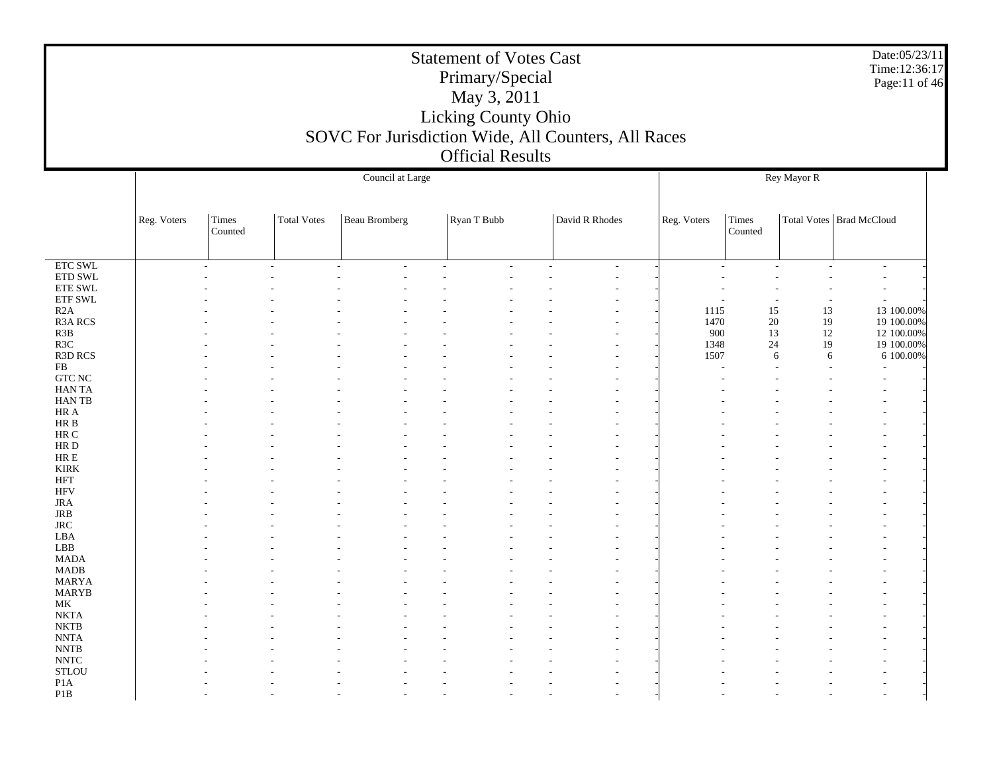|                              |             |                  |                    |                      | <b>Statement of Votes Cast</b><br>Primary/Special<br>May 3, 2011<br>Licking County Ohio<br><b>Official Results</b> | SOVC For Jurisdiction Wide, All Counters, All Races |             |                  |             | Date:05/23/11<br>Time:12:36:17<br>Page:11 of 46 |  |
|------------------------------|-------------|------------------|--------------------|----------------------|--------------------------------------------------------------------------------------------------------------------|-----------------------------------------------------|-------------|------------------|-------------|-------------------------------------------------|--|
|                              |             |                  |                    | Council at Large     |                                                                                                                    |                                                     |             |                  | Rey Mayor R |                                                 |  |
|                              | Reg. Voters | Times<br>Counted | <b>Total Votes</b> | <b>Beau Bromberg</b> | Ryan T Bubb                                                                                                        | David R Rhodes                                      | Reg. Voters | Times<br>Counted |             | Total Votes   Brad McCloud                      |  |
| <b>ETC SWL</b>               |             |                  |                    |                      |                                                                                                                    |                                                     |             |                  |             |                                                 |  |
| ETD SWL                      |             |                  |                    |                      |                                                                                                                    |                                                     |             |                  |             |                                                 |  |
| <b>ETE SWL</b><br>ETF SWL    |             |                  |                    |                      |                                                                                                                    |                                                     |             |                  |             | $\overline{a}$                                  |  |
| R2A                          |             |                  |                    |                      |                                                                                                                    |                                                     | 1115        | 15               | 13          | 13 100.00%                                      |  |
| R3A RCS                      |             |                  |                    |                      |                                                                                                                    |                                                     | 1470        | 20               | 19          | 19 100.00%                                      |  |
| R3B<br>R3C                   |             |                  |                    |                      |                                                                                                                    |                                                     | 900<br>1348 | 13<br>24         | 12<br>19    | 12 100.00%<br>19 100.00%                        |  |
| R3D RCS                      |             |                  |                    |                      |                                                                                                                    |                                                     | 1507        |                  | 6<br>6      | 6 100.00%                                       |  |
| FB                           |             |                  |                    |                      |                                                                                                                    |                                                     |             |                  |             |                                                 |  |
| <b>GTC NC</b>                |             |                  |                    |                      |                                                                                                                    |                                                     |             |                  |             |                                                 |  |
| <b>HANTA</b><br><b>HANTB</b> |             |                  |                    |                      |                                                                                                                    |                                                     |             |                  |             |                                                 |  |
| HR A                         |             |                  |                    |                      |                                                                                                                    |                                                     |             |                  |             |                                                 |  |
| HR B                         |             |                  |                    |                      |                                                                                                                    |                                                     |             |                  |             |                                                 |  |
| HR C                         |             |                  |                    |                      |                                                                                                                    |                                                     |             |                  |             |                                                 |  |
| HR D<br>$HRE$                |             |                  |                    |                      |                                                                                                                    |                                                     |             |                  |             |                                                 |  |
| <b>KIRK</b>                  |             |                  |                    |                      |                                                                                                                    |                                                     |             |                  |             |                                                 |  |
| <b>HFT</b>                   |             |                  |                    |                      |                                                                                                                    |                                                     |             |                  |             |                                                 |  |
| <b>HFV</b><br><b>JRA</b>     |             |                  |                    |                      |                                                                                                                    |                                                     |             |                  |             |                                                 |  |
| JRB                          |             |                  |                    |                      |                                                                                                                    |                                                     |             |                  |             |                                                 |  |
| <b>JRC</b>                   |             |                  |                    |                      |                                                                                                                    |                                                     |             |                  |             |                                                 |  |
| LBA                          |             |                  |                    |                      |                                                                                                                    |                                                     |             |                  |             |                                                 |  |
| LBB<br><b>MADA</b>           |             |                  |                    |                      |                                                                                                                    |                                                     |             |                  |             |                                                 |  |
| <b>MADB</b>                  |             |                  |                    |                      |                                                                                                                    |                                                     |             |                  |             |                                                 |  |
| <b>MARYA</b>                 |             |                  |                    |                      |                                                                                                                    |                                                     |             |                  |             |                                                 |  |
| <b>MARYB</b>                 |             |                  |                    |                      |                                                                                                                    |                                                     |             |                  |             |                                                 |  |
| MK<br><b>NKTA</b>            |             |                  |                    |                      |                                                                                                                    |                                                     |             |                  |             |                                                 |  |
| <b>NKTB</b>                  |             |                  |                    |                      |                                                                                                                    |                                                     |             |                  |             |                                                 |  |
| <b>NNTA</b>                  |             |                  |                    |                      |                                                                                                                    |                                                     |             |                  |             |                                                 |  |
| $\ensuremath{\text{NNTB}}$   |             |                  |                    |                      |                                                                                                                    |                                                     |             |                  |             |                                                 |  |
| <b>NNTC</b><br><b>STLOU</b>  |             |                  |                    |                      |                                                                                                                    |                                                     |             |                  |             |                                                 |  |
| P <sub>1</sub> A             |             |                  |                    |                      |                                                                                                                    |                                                     |             |                  |             |                                                 |  |
| P <sub>1</sub> B             |             |                  |                    |                      |                                                                                                                    |                                                     |             |                  |             |                                                 |  |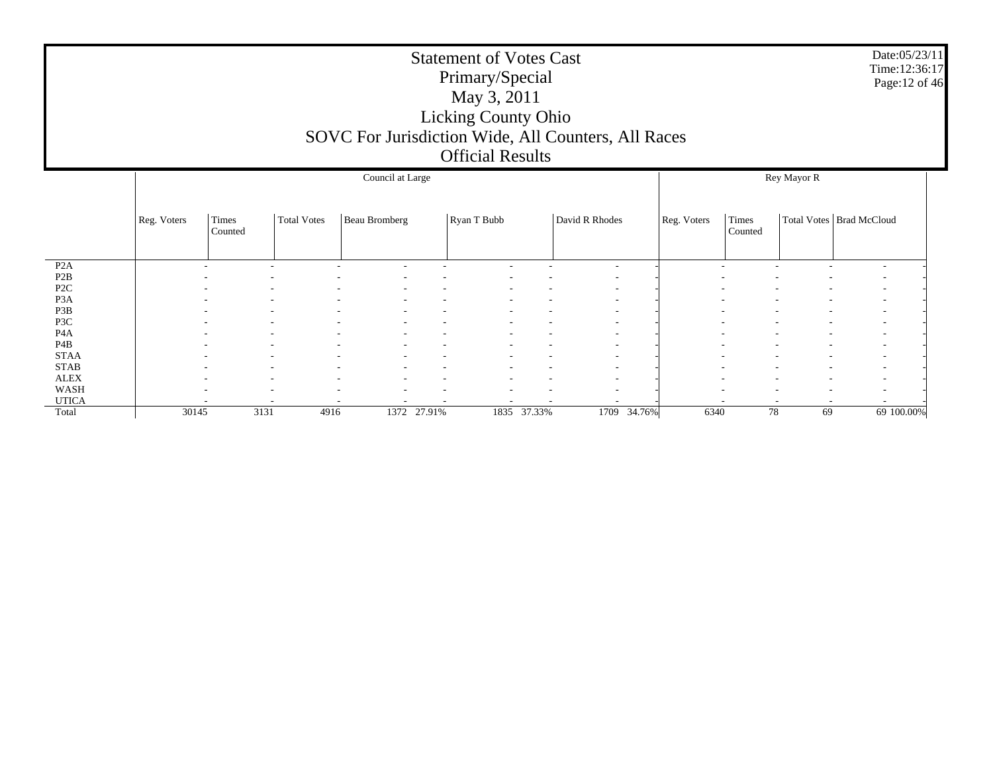|                  |             |                  |                    |                  |             | <b>Statement of Votes Cast</b><br>Primary/Special<br>May 3, 2011<br><b>Licking County Ohio</b><br><b>Official Results</b> |             | SOVC For Jurisdiction Wide, All Counters, All Races |             |         |  |  | Date:05/23/11<br>Time:12:36:17<br>Page: 12 of 46 |
|------------------|-------------|------------------|--------------------|------------------|-------------|---------------------------------------------------------------------------------------------------------------------------|-------------|-----------------------------------------------------|-------------|---------|--|--|--------------------------------------------------|
|                  |             |                  |                    | Council at Large |             | Rey Mayor R<br>Total Votes   Brad McCloud<br>Times                                                                        |             |                                                     |             |         |  |  |                                                  |
|                  | Reg. Voters | Times<br>Counted | <b>Total Votes</b> | Beau Bromberg    |             | Ryan T Bubb                                                                                                               |             | David R Rhodes                                      | Reg. Voters | Counted |  |  |                                                  |
| P <sub>2</sub> A |             | ٠                |                    |                  |             |                                                                                                                           |             | $\overline{\phantom{a}}$                            |             |         |  |  |                                                  |
| P2B              |             |                  |                    |                  |             |                                                                                                                           |             |                                                     |             |         |  |  |                                                  |
| P <sub>2C</sub>  |             |                  |                    |                  |             |                                                                                                                           |             |                                                     |             |         |  |  |                                                  |
| P <sub>3</sub> A |             |                  |                    |                  |             |                                                                                                                           |             |                                                     |             |         |  |  |                                                  |
| P3B<br>P3C       |             |                  |                    |                  |             |                                                                                                                           |             |                                                     |             |         |  |  |                                                  |
| P <sub>4</sub> A |             |                  |                    |                  |             |                                                                                                                           |             |                                                     |             |         |  |  |                                                  |
| P <sub>4</sub> B |             |                  |                    |                  |             |                                                                                                                           |             |                                                     |             |         |  |  |                                                  |
| <b>STAA</b>      |             |                  |                    |                  |             |                                                                                                                           |             | $\overline{\phantom{a}}$                            |             |         |  |  |                                                  |
| <b>STAB</b>      |             |                  |                    |                  |             |                                                                                                                           |             | $\overline{\phantom{a}}$                            |             |         |  |  |                                                  |
| <b>ALEX</b>      |             |                  |                    |                  |             |                                                                                                                           |             |                                                     |             |         |  |  |                                                  |
| WASH             |             |                  |                    |                  |             |                                                                                                                           |             |                                                     |             |         |  |  |                                                  |
| <b>UTICA</b>     |             |                  |                    |                  | 1372 27.91% |                                                                                                                           | 1835 37.33% | 1709 34.76%                                         | 6340        |         |  |  |                                                  |
| Total            | 30145       | 3131             | 4916               | 78               | 69          | 69 100.00%                                                                                                                |             |                                                     |             |         |  |  |                                                  |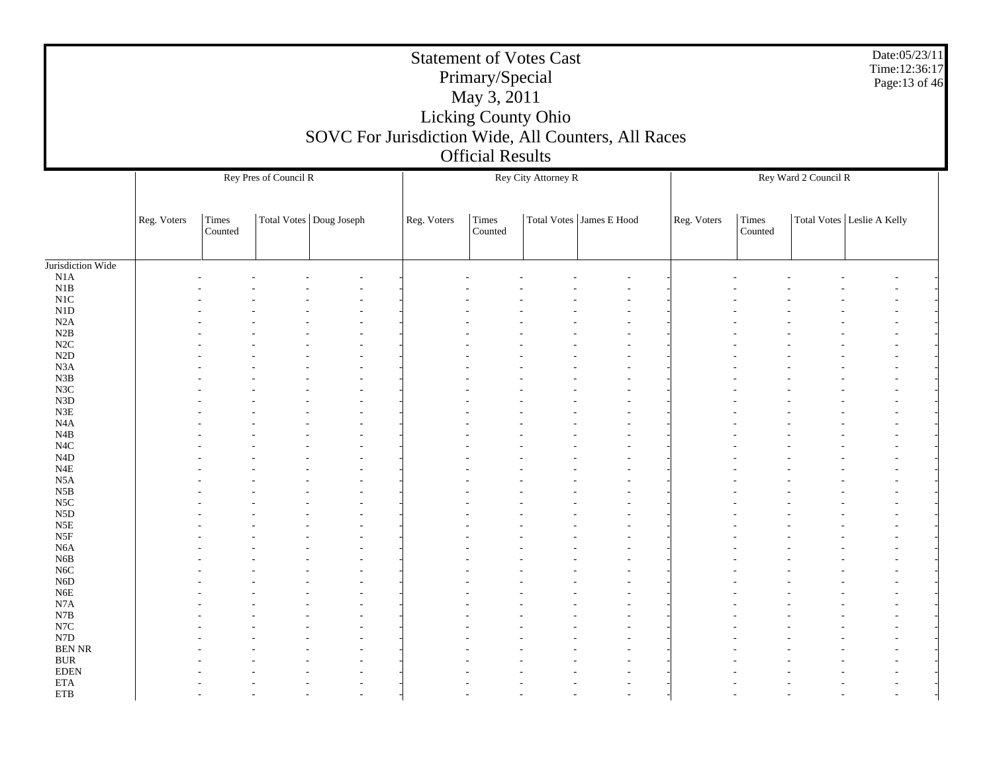|                                      |             |                  |                       | SOVC For Jurisdiction Wide, All Counters, All Races |             | Primary/Special<br>May 3, 2011<br><b>Official Results</b> | <b>Statement of Votes Cast</b><br>Licking County Ohio |                            |             |                  |                      | Date:05/23/11<br>Time:12:36:17<br>Page:13 of 46 |  |  |  |
|--------------------------------------|-------------|------------------|-----------------------|-----------------------------------------------------|-------------|-----------------------------------------------------------|-------------------------------------------------------|----------------------------|-------------|------------------|----------------------|-------------------------------------------------|--|--|--|
|                                      |             |                  | Rey Pres of Council R |                                                     |             |                                                           | Rey City Attorney R                                   |                            |             |                  | Rey Ward 2 Council R |                                                 |  |  |  |
|                                      | Reg. Voters | Times<br>Counted |                       | Total Votes   Doug Joseph                           | Reg. Voters | Times<br>Counted                                          |                                                       | Total Votes   James E Hood | Reg. Voters | Times<br>Counted |                      | Total Votes   Leslie A Kelly                    |  |  |  |
| Jurisdiction Wide                    |             |                  |                       |                                                     |             |                                                           |                                                       |                            |             |                  |                      |                                                 |  |  |  |
| N1A                                  |             |                  |                       |                                                     |             |                                                           |                                                       |                            |             |                  |                      |                                                 |  |  |  |
| N1B<br>N1C                           |             |                  |                       |                                                     |             |                                                           |                                                       |                            |             |                  |                      |                                                 |  |  |  |
| N1D                                  |             |                  |                       |                                                     |             |                                                           |                                                       |                            |             |                  |                      |                                                 |  |  |  |
| N2A                                  |             |                  |                       |                                                     |             |                                                           |                                                       |                            |             |                  |                      |                                                 |  |  |  |
| N2B                                  |             |                  |                       |                                                     |             |                                                           |                                                       |                            |             |                  |                      |                                                 |  |  |  |
| N2C<br>N2D                           |             |                  |                       |                                                     |             |                                                           |                                                       |                            |             |                  |                      |                                                 |  |  |  |
| N3A                                  |             |                  |                       |                                                     |             |                                                           |                                                       |                            |             |                  |                      |                                                 |  |  |  |
| N3B                                  |             |                  |                       |                                                     |             |                                                           |                                                       |                            |             |                  |                      |                                                 |  |  |  |
| N3C                                  |             |                  |                       |                                                     |             |                                                           |                                                       |                            |             |                  |                      |                                                 |  |  |  |
| N3D                                  |             |                  |                       |                                                     |             |                                                           |                                                       |                            |             |                  |                      |                                                 |  |  |  |
| N3E<br>N4A                           |             |                  |                       |                                                     |             |                                                           |                                                       |                            |             |                  |                      |                                                 |  |  |  |
| N4B                                  |             |                  |                       |                                                     |             |                                                           |                                                       |                            |             |                  |                      |                                                 |  |  |  |
| N <sub>4</sub> C                     |             |                  |                       |                                                     |             |                                                           |                                                       |                            |             |                  |                      |                                                 |  |  |  |
| N4D                                  |             |                  |                       |                                                     |             |                                                           |                                                       |                            |             |                  |                      |                                                 |  |  |  |
| N4E                                  |             |                  |                       |                                                     |             |                                                           |                                                       |                            |             |                  |                      |                                                 |  |  |  |
| N <sub>5</sub> A                     |             |                  |                       |                                                     |             |                                                           |                                                       |                            |             |                  |                      |                                                 |  |  |  |
| N5B<br>N5C                           |             |                  |                       |                                                     |             |                                                           |                                                       |                            |             |                  |                      |                                                 |  |  |  |
| N <sub>5</sub> D                     |             |                  |                       |                                                     |             |                                                           |                                                       |                            |             |                  |                      |                                                 |  |  |  |
| N5E                                  |             |                  |                       |                                                     |             |                                                           |                                                       |                            |             |                  |                      |                                                 |  |  |  |
| N5F                                  |             |                  |                       |                                                     |             |                                                           |                                                       |                            |             |                  |                      |                                                 |  |  |  |
| N <sub>6</sub> A                     |             |                  |                       |                                                     |             |                                                           |                                                       |                            |             |                  |                      |                                                 |  |  |  |
| N6B                                  |             |                  |                       |                                                     |             |                                                           |                                                       |                            |             |                  |                      |                                                 |  |  |  |
| N <sub>6</sub> C<br>N <sub>6</sub> D |             |                  |                       |                                                     |             |                                                           |                                                       | $\overline{a}$             |             |                  |                      |                                                 |  |  |  |
| N6E                                  |             |                  |                       |                                                     |             |                                                           |                                                       |                            |             |                  |                      |                                                 |  |  |  |
| N7A                                  |             |                  |                       |                                                     |             |                                                           |                                                       |                            |             |                  |                      |                                                 |  |  |  |
| $_{\rm N7B}$                         |             |                  |                       |                                                     |             |                                                           |                                                       |                            |             |                  |                      |                                                 |  |  |  |
| $_{\rm N7C}$                         |             |                  |                       |                                                     |             |                                                           |                                                       |                            |             |                  |                      |                                                 |  |  |  |
| ${\rm N7D}$<br><b>BEN NR</b>         |             |                  |                       |                                                     |             |                                                           |                                                       |                            |             |                  |                      |                                                 |  |  |  |
| $\rm BUR$                            |             |                  |                       |                                                     |             |                                                           |                                                       |                            |             |                  |                      |                                                 |  |  |  |
| $\operatorname{EDEN}$                |             |                  |                       |                                                     |             |                                                           |                                                       |                            |             |                  |                      | $\overline{a}$                                  |  |  |  |
| <b>ETA</b>                           |             |                  |                       | $\overline{\phantom{a}}$                            |             |                                                           |                                                       | $\overline{\phantom{a}}$   |             |                  |                      | $\overline{a}$                                  |  |  |  |
| ETB                                  |             |                  |                       |                                                     |             |                                                           |                                                       |                            |             |                  |                      | $\overline{\phantom{a}}$                        |  |  |  |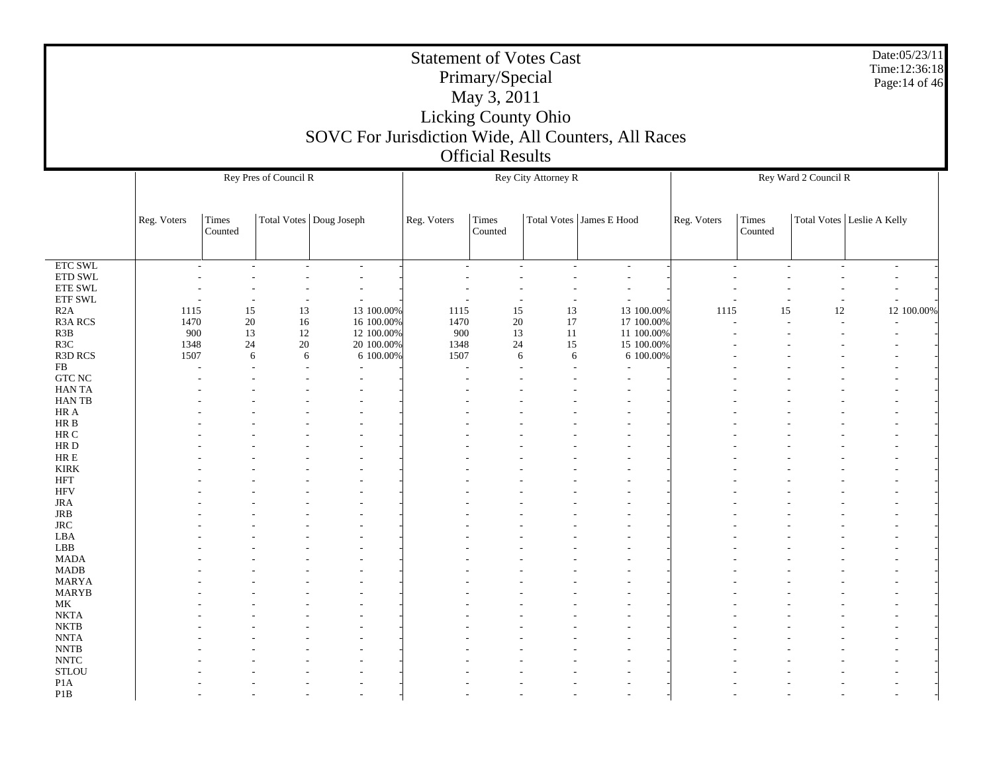|                            |              |                  |                       |                                                     | <b>Statement of Votes Cast</b> | Primary/Special         |                     |                            |             |                  |                      | Date:05/23/11<br>Time: 12:36:18<br>Page: 14 of 46 |
|----------------------------|--------------|------------------|-----------------------|-----------------------------------------------------|--------------------------------|-------------------------|---------------------|----------------------------|-------------|------------------|----------------------|---------------------------------------------------|
|                            |              |                  |                       |                                                     |                                | May 3, 2011             |                     |                            |             |                  |                      |                                                   |
|                            |              |                  |                       |                                                     |                                | Licking County Ohio     |                     |                            |             |                  |                      |                                                   |
|                            |              |                  |                       |                                                     |                                |                         |                     |                            |             |                  |                      |                                                   |
|                            |              |                  |                       | SOVC For Jurisdiction Wide, All Counters, All Races |                                |                         |                     |                            |             |                  |                      |                                                   |
|                            |              |                  |                       |                                                     |                                | <b>Official Results</b> |                     |                            |             |                  |                      |                                                   |
|                            |              |                  |                       |                                                     |                                |                         |                     |                            |             |                  |                      |                                                   |
|                            |              |                  | Rey Pres of Council R |                                                     |                                |                         | Rey City Attorney R |                            |             |                  | Rey Ward 2 Council R |                                                   |
|                            |              |                  |                       |                                                     |                                |                         |                     |                            |             |                  |                      |                                                   |
|                            | Reg. Voters  | Times<br>Counted |                       | Total Votes   Doug Joseph                           | Reg. Voters                    | Times<br>Counted        |                     | Total Votes   James E Hood | Reg. Voters | Times<br>Counted |                      | Total Votes   Leslie A Kelly                      |
|                            |              |                  |                       |                                                     |                                |                         |                     |                            |             |                  |                      |                                                   |
| ETC SWL                    |              |                  |                       |                                                     |                                |                         |                     |                            |             |                  |                      |                                                   |
| ETD SWL                    |              |                  |                       |                                                     |                                |                         |                     |                            |             |                  |                      |                                                   |
| ETE SWL                    |              |                  |                       |                                                     |                                |                         |                     |                            |             |                  |                      |                                                   |
| <b>ETF SWL</b>             |              |                  |                       |                                                     |                                |                         |                     |                            |             |                  |                      |                                                   |
| R2A                        | 1115         | 15               | 13                    | 13 100.00%                                          | 1115                           | 15                      | 13                  | 13 100.00%                 | 1115        | 15               | 12                   | 12 100.00%                                        |
| R3A RCS                    | 1470         | 20               | 16                    | 16 100.00%                                          | 1470                           | 20                      | 17                  | 17 100.00%                 |             |                  | ÷.                   |                                                   |
| R3B                        | 900          | 13               | 12                    | 12 100.00%                                          | 900                            | 13                      | 11                  | 11 100.00%                 |             |                  |                      |                                                   |
| R3C<br>R3D RCS             | 1348<br>1507 | 24               | $20\,$<br>6<br>6      | 20 100.00%<br>6 100.00%                             | 1348<br>1507                   | 24<br>6                 | 15<br>6             | 15 100.00%<br>6 100.00%    |             |                  |                      |                                                   |
| FB                         |              |                  |                       |                                                     |                                |                         |                     |                            |             |                  |                      |                                                   |
| <b>GTC NC</b>              |              |                  |                       |                                                     |                                |                         |                     |                            |             |                  |                      |                                                   |
| <b>HANTA</b>               |              |                  |                       |                                                     |                                |                         |                     |                            |             |                  |                      |                                                   |
| HAN TB                     |              |                  |                       |                                                     |                                |                         |                     |                            |             |                  |                      |                                                   |
| HR A                       |              |                  |                       |                                                     |                                |                         |                     |                            |             |                  |                      |                                                   |
| $\rm{HR}$ B                |              |                  |                       |                                                     |                                |                         |                     |                            |             |                  |                      |                                                   |
| HR C<br>HR D               |              |                  |                       |                                                     |                                |                         |                     |                            |             |                  |                      |                                                   |
| HR E                       |              |                  |                       |                                                     |                                |                         |                     |                            |             |                  |                      |                                                   |
| <b>KIRK</b>                |              |                  |                       |                                                     |                                |                         |                     |                            |             |                  |                      |                                                   |
| <b>HFT</b>                 |              |                  |                       |                                                     |                                |                         |                     |                            |             |                  |                      |                                                   |
| <b>HFV</b>                 |              |                  |                       |                                                     |                                |                         |                     |                            |             |                  |                      |                                                   |
| <b>JRA</b>                 |              |                  |                       |                                                     |                                |                         |                     |                            |             |                  |                      |                                                   |
| <b>JRB</b>                 |              |                  |                       |                                                     |                                |                         |                     |                            |             |                  |                      |                                                   |
| $_{\rm JRC}$<br>LBA        |              |                  |                       |                                                     |                                |                         |                     |                            |             |                  |                      |                                                   |
| LBB                        |              |                  |                       |                                                     |                                |                         |                     |                            |             |                  |                      |                                                   |
| <b>MADA</b>                |              |                  |                       |                                                     |                                |                         |                     |                            |             |                  |                      |                                                   |
| <b>MADB</b>                |              |                  |                       |                                                     |                                |                         |                     |                            |             |                  |                      |                                                   |
| <b>MARYA</b>               |              |                  |                       |                                                     |                                |                         |                     |                            |             |                  |                      |                                                   |
| <b>MARYB</b>               |              |                  |                       |                                                     |                                |                         |                     |                            |             |                  |                      |                                                   |
| MK                         |              |                  |                       |                                                     |                                |                         |                     |                            |             |                  |                      |                                                   |
| <b>NKTA</b><br><b>NKTB</b> |              |                  |                       |                                                     |                                |                         |                     |                            |             |                  |                      |                                                   |
| <b>NNTA</b>                |              |                  |                       |                                                     |                                |                         |                     |                            |             |                  |                      |                                                   |
| <b>NNTB</b>                |              |                  |                       |                                                     |                                |                         |                     |                            |             |                  |                      |                                                   |
| <b>NNTC</b>                |              |                  |                       |                                                     |                                |                         |                     |                            |             |                  |                      |                                                   |
| <b>STLOU</b>               |              |                  |                       |                                                     |                                |                         |                     |                            |             |                  |                      |                                                   |
| P <sub>1</sub> A           |              |                  |                       |                                                     |                                |                         |                     |                            |             |                  |                      |                                                   |
| P <sub>1</sub> B           |              |                  |                       |                                                     |                                |                         |                     |                            |             |                  |                      |                                                   |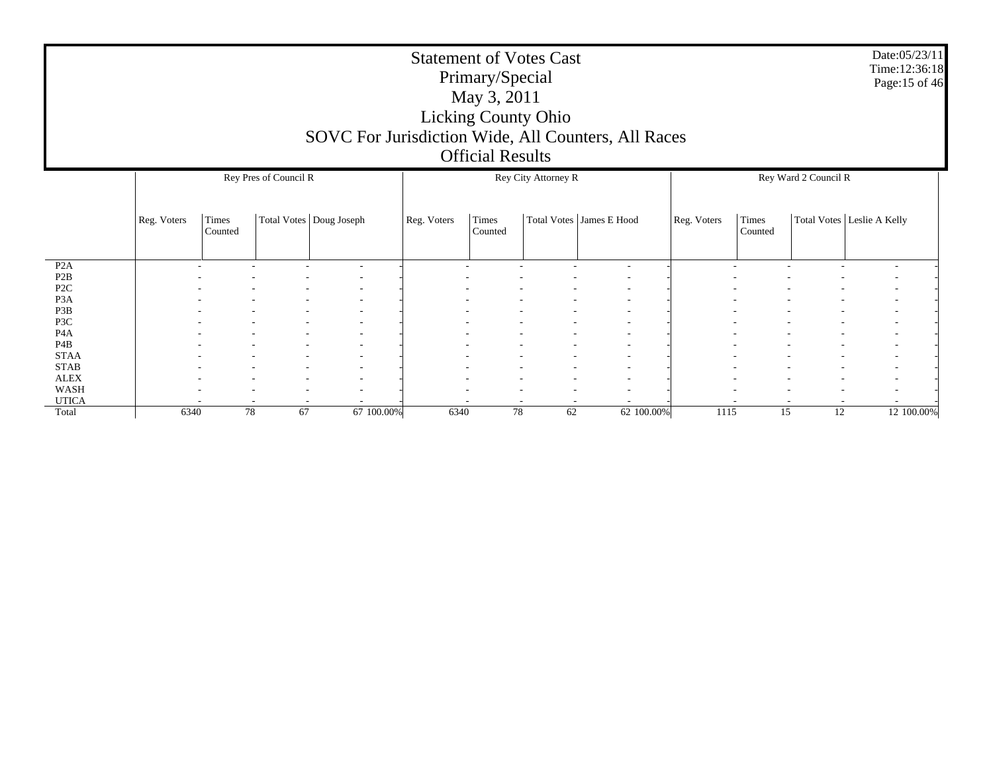|                         |             |                  |                       |                           |             | Primary/Special<br>May 3, 2011<br><b>Official Results</b> | <b>Statement of Votes Cast</b><br><b>Licking County Ohio</b> | SOVC For Jurisdiction Wide, All Counters, All Races |             |                  |                      | Date:05/23/11<br>Time:12:36:18<br>Page:15 of 46 |
|-------------------------|-------------|------------------|-----------------------|---------------------------|-------------|-----------------------------------------------------------|--------------------------------------------------------------|-----------------------------------------------------|-------------|------------------|----------------------|-------------------------------------------------|
|                         |             |                  | Rey Pres of Council R |                           |             |                                                           | Rey City Attorney R                                          |                                                     |             |                  | Rey Ward 2 Council R |                                                 |
|                         | Reg. Voters | Times<br>Counted |                       | Total Votes   Doug Joseph | Reg. Voters | <b>Times</b><br>Counted                                   |                                                              | Total Votes   James E Hood                          | Reg. Voters | Times<br>Counted |                      | Total Votes   Leslie A Kelly                    |
| P2A<br>P <sub>2</sub> B |             |                  |                       | ٠                         |             |                                                           |                                                              |                                                     |             |                  |                      |                                                 |
| P <sub>2</sub> C        |             |                  |                       |                           |             |                                                           |                                                              |                                                     |             |                  |                      |                                                 |
| P <sub>3</sub> A        |             |                  |                       |                           |             |                                                           |                                                              |                                                     |             |                  |                      |                                                 |
| P3B                     |             |                  |                       |                           |             |                                                           |                                                              |                                                     |             |                  |                      |                                                 |
| P3C<br>P <sub>4</sub> A |             |                  |                       |                           |             |                                                           |                                                              |                                                     |             |                  |                      |                                                 |
| P <sub>4</sub> B        |             |                  |                       |                           |             |                                                           |                                                              |                                                     |             |                  |                      |                                                 |
| <b>STAA</b>             |             |                  |                       |                           |             |                                                           |                                                              |                                                     |             |                  |                      |                                                 |
| <b>STAB</b>             |             |                  |                       |                           |             |                                                           |                                                              | $\overline{\phantom{a}}$                            |             |                  |                      |                                                 |
| <b>ALEX</b>             |             |                  |                       |                           |             |                                                           |                                                              |                                                     |             |                  |                      |                                                 |
| <b>WASH</b>             |             |                  |                       |                           |             |                                                           |                                                              |                                                     |             |                  |                      |                                                 |
| <b>UTICA</b><br>Total   | 6340        |                  | 78<br>67              | 67 100.00%                | 6340        | 78                                                        | 62                                                           | 62 100.00%                                          | 1115        | 15               | 12                   | 12 100.00%                                      |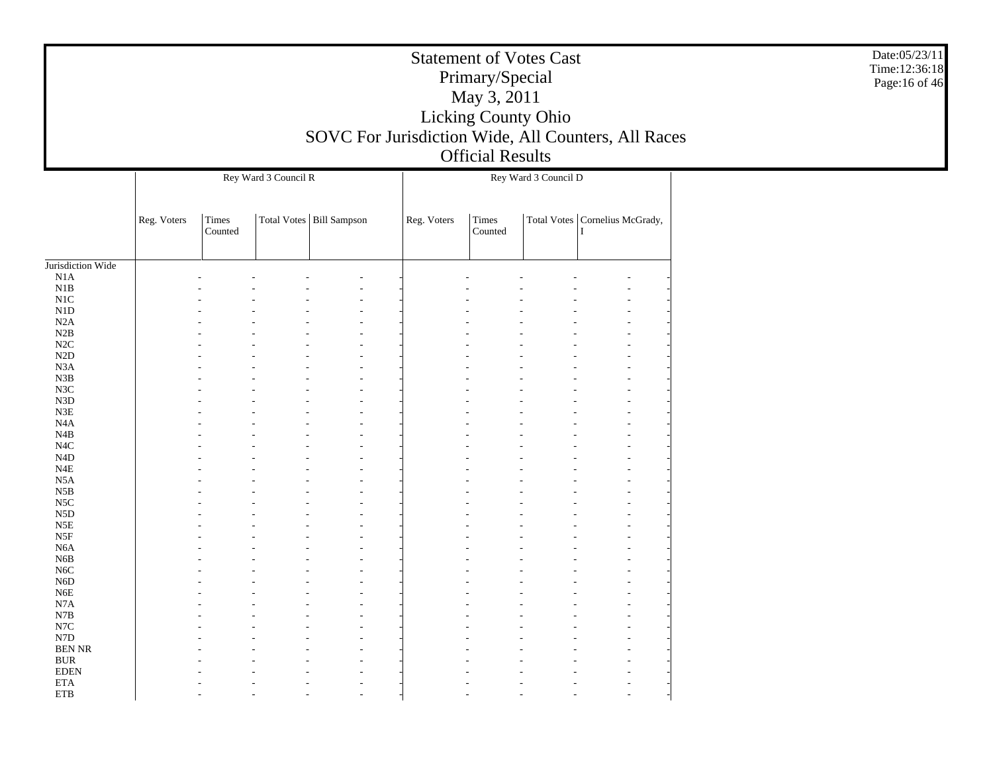|                                       |             |                  | Rey Ward 3 Council R |                            |             | Primary/Special<br>May 3, 2011<br><b>Official Results</b> | <b>Statement of Votes Cast</b><br>Licking County Ohio<br>Rey Ward 3 Council D | SOVC For Jurisdiction Wide, All Counters, All Races | Date:05/23/11<br>Time:12:36:18<br>Page:16 of 46 |
|---------------------------------------|-------------|------------------|----------------------|----------------------------|-------------|-----------------------------------------------------------|-------------------------------------------------------------------------------|-----------------------------------------------------|-------------------------------------------------|
|                                       | Reg. Voters | Times<br>Counted |                      | Total Votes   Bill Sampson | Reg. Voters | Times<br>Counted                                          |                                                                               | Total Votes   Cornelius McGrady,                    |                                                 |
| Jurisdiction Wide                     |             |                  |                      |                            |             |                                                           |                                                                               |                                                     |                                                 |
| N1A                                   |             |                  |                      |                            |             |                                                           |                                                                               |                                                     |                                                 |
| N1B<br>$\rm N1C$                      |             |                  |                      |                            |             |                                                           |                                                                               |                                                     |                                                 |
| N1D                                   |             |                  |                      |                            |             |                                                           |                                                                               |                                                     |                                                 |
| N2A                                   |             |                  |                      |                            |             |                                                           |                                                                               |                                                     |                                                 |
| N2B                                   |             |                  |                      |                            |             |                                                           |                                                                               |                                                     |                                                 |
| N2C<br>N2D                            |             |                  |                      |                            |             |                                                           |                                                                               |                                                     |                                                 |
| N3A                                   |             |                  |                      |                            |             |                                                           |                                                                               |                                                     |                                                 |
| N3B                                   |             |                  |                      |                            |             |                                                           |                                                                               |                                                     |                                                 |
| $_{\rm N3C}$<br>N3D                   |             |                  |                      |                            |             |                                                           |                                                                               |                                                     |                                                 |
| N3E                                   |             |                  |                      |                            |             |                                                           |                                                                               |                                                     |                                                 |
| N4A                                   |             |                  |                      |                            |             |                                                           |                                                                               |                                                     |                                                 |
| $\rm N4B$                             |             |                  |                      |                            |             |                                                           |                                                                               |                                                     |                                                 |
| $_{\mathrm{N4C}}$<br>N <sub>4</sub> D |             |                  |                      |                            |             |                                                           |                                                                               |                                                     |                                                 |
| $_{\rm N4E}$                          |             |                  |                      |                            |             |                                                           |                                                                               |                                                     |                                                 |
| N5A                                   |             |                  |                      |                            |             |                                                           |                                                                               |                                                     |                                                 |
| N5B                                   |             |                  |                      |                            |             |                                                           |                                                                               |                                                     |                                                 |
| $_{\rm NSC}$<br>N5D                   |             |                  |                      |                            |             |                                                           |                                                                               |                                                     |                                                 |
| $_{\rm N5E}$                          |             |                  |                      |                            |             |                                                           |                                                                               |                                                     |                                                 |
| $_{\rm{NSF}}$                         |             |                  |                      |                            |             |                                                           |                                                                               |                                                     |                                                 |
| N <sub>6</sub> A                      |             |                  |                      |                            |             |                                                           |                                                                               |                                                     |                                                 |
| N <sub>6</sub> B<br>$_{\mathrm{N6C}}$ |             |                  |                      |                            |             |                                                           |                                                                               |                                                     |                                                 |
| N6D                                   |             |                  |                      |                            |             |                                                           |                                                                               |                                                     |                                                 |
| ${\rm N6E}$                           |             |                  |                      |                            |             |                                                           |                                                                               |                                                     |                                                 |
| N7A<br>N7B                            |             |                  |                      |                            |             |                                                           |                                                                               |                                                     |                                                 |
| $_{\rm N7C}$                          |             |                  |                      |                            |             |                                                           |                                                                               |                                                     |                                                 |
| ${\rm N7D}$                           |             |                  |                      |                            |             |                                                           |                                                                               |                                                     |                                                 |
| <b>BEN NR</b>                         |             |                  |                      |                            |             |                                                           |                                                                               |                                                     |                                                 |
| <b>BUR</b><br><b>EDEN</b>             |             |                  |                      |                            |             |                                                           |                                                                               |                                                     |                                                 |
| <b>ETA</b>                            |             |                  |                      |                            |             |                                                           |                                                                               |                                                     |                                                 |
| ${\rm ETB}$                           |             |                  |                      |                            |             |                                                           |                                                                               |                                                     |                                                 |

Г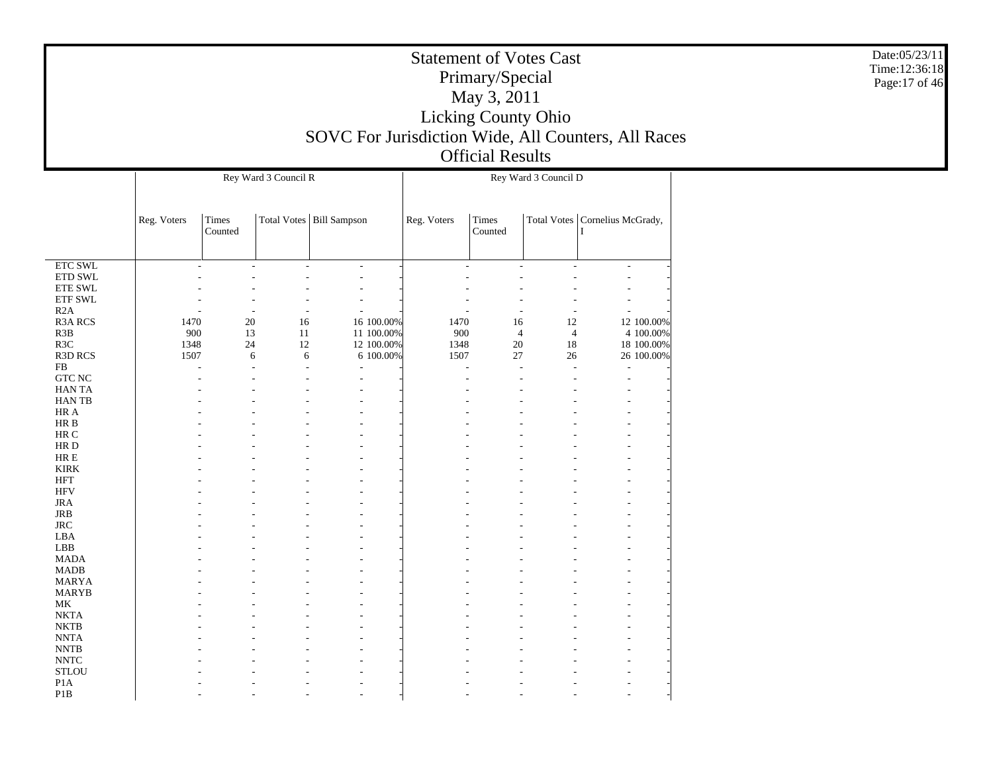|                                  |                          |                  | Rey Ward 3 Council R |                            |            | Rey Ward 3 Council D |                          |                |                                       |  |
|----------------------------------|--------------------------|------------------|----------------------|----------------------------|------------|----------------------|--------------------------|----------------|---------------------------------------|--|
|                                  | Reg. Voters              | Times<br>Counted |                      | Total Votes   Bill Sampson |            | Reg. Voters          | <b>Times</b><br>Counted  |                | Total Votes   Cornelius McGrady,<br>I |  |
|                                  |                          |                  |                      |                            |            |                      |                          |                |                                       |  |
| <b>ETC SWL</b>                   |                          |                  |                      | $\overline{a}$             |            |                      |                          |                | ÷,                                    |  |
| ETD SWL                          |                          |                  |                      | ÷,                         |            |                      |                          |                |                                       |  |
| ETE SWL                          |                          |                  |                      |                            |            |                      |                          |                |                                       |  |
| ETF SWL                          |                          |                  |                      |                            |            |                      |                          |                |                                       |  |
| R2A<br><b>R3A RCS</b>            | 1470                     | 20               | 16                   | L,                         | 16 100.00% | 1470                 | 16                       | 12             | 12 100.00%                            |  |
| R3B                              | 900                      | 13               | $11\,$               |                            | 11 100.00% | 900                  | $\overline{4}$           | $\overline{4}$ | 4 100.00%                             |  |
| R3C                              | 1348                     | 24               | 12                   |                            | 12 100.00% | 1348                 | $20\,$                   | 18             | 18 100.00%                            |  |
| R3D RCS                          | 1507                     | 6                | 6                    |                            | 6 100.00%  | 1507                 | 27                       | 26             | 26 100.00%                            |  |
| ${\rm FB}$                       | $\overline{\phantom{a}}$ |                  |                      | $\overline{a}$             |            | L,                   | $\overline{\phantom{a}}$ | L,             | $\overline{a}$                        |  |
| <b>GTC NC</b>                    |                          |                  |                      |                            |            |                      |                          |                |                                       |  |
| <b>HANTA</b>                     |                          |                  |                      |                            |            |                      |                          |                |                                       |  |
| <b>HANTB</b>                     |                          |                  |                      |                            |            |                      |                          |                |                                       |  |
| HR A                             |                          |                  |                      |                            |            |                      |                          |                |                                       |  |
| $\rm{HR}$ B                      |                          |                  |                      |                            |            |                      |                          |                |                                       |  |
| $\rm{HR}$ C                      |                          |                  |                      |                            |            |                      |                          |                |                                       |  |
| HR D                             |                          |                  |                      |                            |            |                      |                          |                |                                       |  |
| $\rm{HR} \; E$                   |                          |                  |                      |                            |            |                      |                          |                |                                       |  |
| <b>KIRK</b>                      |                          |                  |                      |                            |            |                      |                          |                |                                       |  |
| <b>HFT</b><br><b>HFV</b>         |                          |                  |                      |                            |            |                      |                          |                |                                       |  |
| $_{\rm JRA}$                     |                          |                  |                      |                            |            |                      |                          |                |                                       |  |
| <b>JRB</b>                       |                          |                  |                      |                            |            |                      |                          |                |                                       |  |
| <b>JRC</b>                       |                          |                  |                      |                            |            |                      |                          |                |                                       |  |
| LBA                              |                          |                  |                      |                            |            |                      |                          |                |                                       |  |
| LBB                              |                          |                  |                      |                            |            |                      |                          |                |                                       |  |
| <b>MADA</b>                      |                          |                  |                      |                            |            |                      |                          |                |                                       |  |
| <b>MADB</b>                      |                          |                  |                      |                            |            |                      |                          |                |                                       |  |
| <b>MARYA</b>                     |                          |                  |                      |                            |            |                      |                          |                |                                       |  |
| <b>MARYB</b>                     |                          |                  |                      |                            |            |                      |                          |                |                                       |  |
| MK                               |                          |                  |                      |                            |            |                      |                          |                |                                       |  |
| <b>NKTA</b>                      |                          |                  |                      |                            |            |                      |                          |                |                                       |  |
| <b>NKTB</b>                      |                          |                  |                      |                            |            |                      |                          |                |                                       |  |
| <b>NNTA</b>                      |                          |                  |                      |                            |            |                      |                          |                |                                       |  |
| $\ensuremath{\text{NNTB}}$       |                          |                  |                      |                            |            |                      |                          |                |                                       |  |
| $\ensuremath{\text{NNTC}}$       |                          |                  |                      |                            |            |                      |                          |                |                                       |  |
| <b>STLOU</b><br>P <sub>1</sub> A |                          |                  |                      |                            |            |                      |                          |                |                                       |  |
| P <sub>1</sub> B                 |                          |                  |                      |                            |            |                      |                          |                |                                       |  |
|                                  |                          |                  |                      |                            |            |                      |                          |                |                                       |  |

Date:05/23/11 Time:12:36:18 Page:17 of 46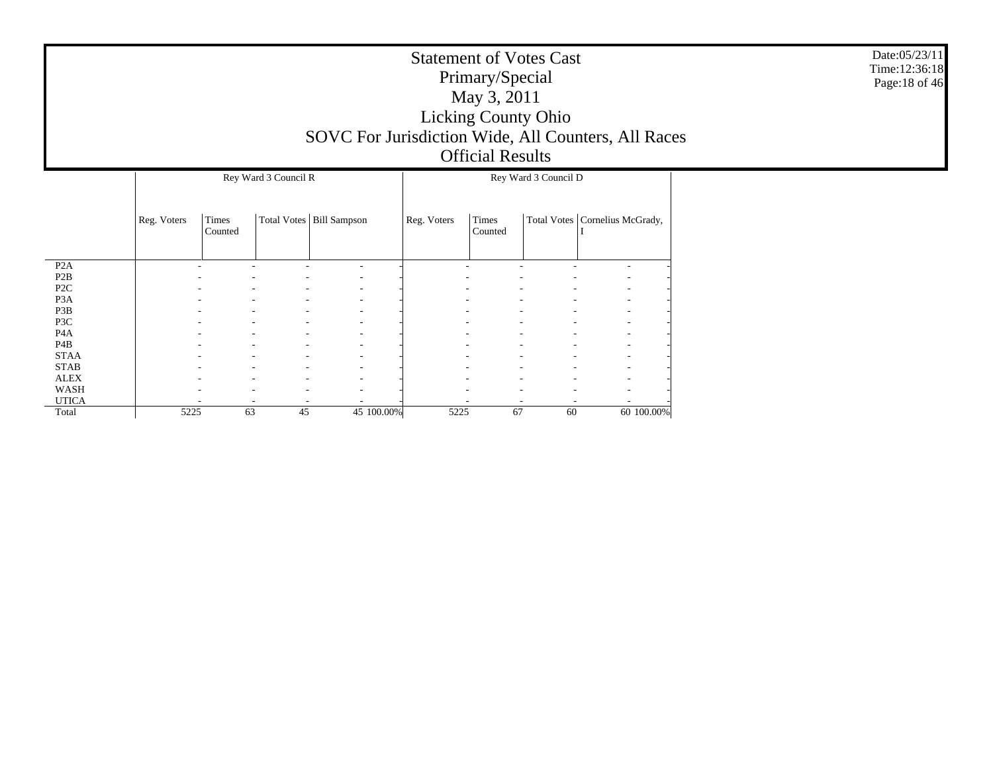| <b>Statement of Votes Cast</b>                      |
|-----------------------------------------------------|
| Primary/Special                                     |
| May 3, 2011                                         |
| <b>Licking County Ohio</b>                          |
| SOVC For Jurisdiction Wide, All Counters, All Races |
| <b>Official Results</b>                             |

|                  |             |                  | Rey Ward 3 Council R |                            |             |                          | Rey Ward 3 Council D |                                  |            |
|------------------|-------------|------------------|----------------------|----------------------------|-------------|--------------------------|----------------------|----------------------------------|------------|
|                  | Reg. Voters | Times<br>Counted |                      | Total Votes   Bill Sampson | Reg. Voters | Times<br>Counted         |                      | Total Votes   Cornelius McGrady, |            |
| P <sub>2</sub> A |             |                  |                      |                            |             |                          |                      |                                  |            |
| P <sub>2</sub> B |             |                  | ۰<br>٠               | $\overline{\phantom{a}}$   |             |                          |                      | ٠                                |            |
| P <sub>2</sub> C |             |                  |                      |                            |             |                          |                      |                                  |            |
| P <sub>3</sub> A |             |                  | ۰                    | $\overline{\phantom{a}}$   |             |                          |                      | ٠                                |            |
| P3B              |             | ۰                | ۰                    | $\overline{\phantom{a}}$   |             | $\overline{\phantom{a}}$ | ۰                    |                                  | ۰.         |
| P3C              |             |                  |                      |                            |             |                          |                      |                                  |            |
| P <sub>4</sub> A |             |                  | ۰                    |                            |             |                          |                      | ٠                                |            |
| P <sub>4</sub> B |             | ۰                | ۰                    | ٠                          |             | $\overline{\phantom{a}}$ | ۰                    | ٠.                               |            |
| <b>STAA</b>      |             |                  |                      |                            |             |                          |                      |                                  |            |
| <b>STAB</b>      |             |                  |                      |                            |             |                          |                      | ٠                                |            |
| <b>ALEX</b>      |             | ۰                | ٠                    | ٠                          |             | $\overline{\phantom{a}}$ |                      | ٠                                |            |
| WASH             |             |                  |                      |                            |             |                          |                      |                                  |            |
| <b>UTICA</b>     |             |                  |                      |                            |             |                          |                      |                                  |            |
| Total            | 5225        | 63               | 45                   | 45 100.00%                 | 5225        | 67                       | 60                   |                                  | 60 100.00% |

Date:05/23/11 Time:12:36:18 Page:18 of 46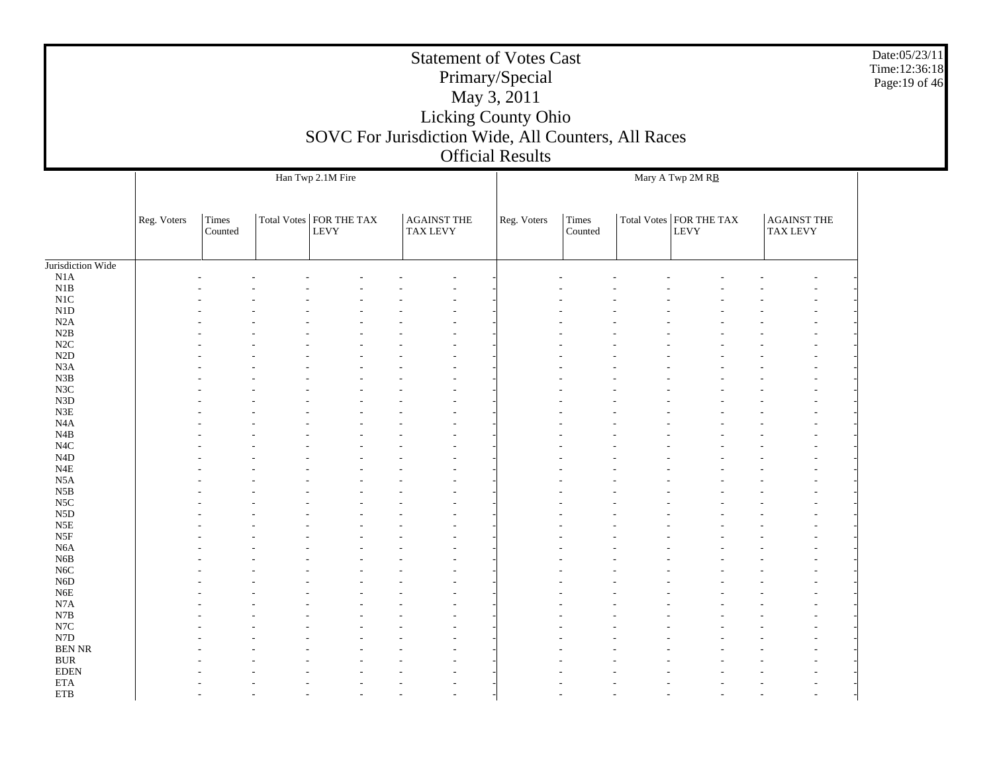|                                |             |                  | SOVC For Jurisdiction Wide, All Counters, All Races |                                       | <b>Statement of Votes Cast</b><br>Primary/Special<br>May 3, 2011<br>Licking County Ohio<br><b>Official Results</b> |                  |                                          |                                       | Date:05/23/11<br>Time:12:36:18<br>Page: 19 of 46 |
|--------------------------------|-------------|------------------|-----------------------------------------------------|---------------------------------------|--------------------------------------------------------------------------------------------------------------------|------------------|------------------------------------------|---------------------------------------|--------------------------------------------------|
|                                |             |                  | Han Twp 2.1M Fire                                   |                                       |                                                                                                                    |                  | Mary A Twp 2M RB                         |                                       |                                                  |
|                                | Reg. Voters | Times<br>Counted | Total Votes   FOR THE TAX<br>${\rm LEVY}$           | <b>AGAINST THE</b><br><b>TAX LEVY</b> | Reg. Voters                                                                                                        | Times<br>Counted | Total Votes   FOR THE TAX<br><b>LEVY</b> | <b>AGAINST THE</b><br><b>TAX LEVY</b> |                                                  |
| Jurisdiction Wide              |             |                  |                                                     |                                       |                                                                                                                    |                  |                                          |                                       |                                                  |
| N1A                            |             |                  |                                                     |                                       |                                                                                                                    |                  |                                          |                                       |                                                  |
| N1B<br>N1C                     |             |                  |                                                     |                                       |                                                                                                                    |                  |                                          |                                       |                                                  |
| N1D                            |             |                  |                                                     |                                       |                                                                                                                    |                  |                                          |                                       |                                                  |
| N2A<br>N2B                     |             |                  |                                                     |                                       |                                                                                                                    |                  |                                          |                                       |                                                  |
| N2C                            |             |                  |                                                     |                                       |                                                                                                                    |                  |                                          |                                       |                                                  |
| N2D                            |             |                  |                                                     |                                       |                                                                                                                    |                  |                                          |                                       |                                                  |
| N3A                            |             |                  |                                                     |                                       |                                                                                                                    |                  |                                          |                                       |                                                  |
| N3B<br>N3C                     |             |                  |                                                     |                                       |                                                                                                                    |                  |                                          |                                       |                                                  |
| N3D                            |             |                  |                                                     |                                       |                                                                                                                    |                  |                                          |                                       |                                                  |
| N3E                            |             |                  |                                                     |                                       |                                                                                                                    |                  |                                          |                                       |                                                  |
| N <sub>4</sub> A<br>N4B        |             |                  |                                                     |                                       |                                                                                                                    |                  |                                          |                                       |                                                  |
| N <sub>4</sub> C               |             |                  |                                                     |                                       |                                                                                                                    |                  |                                          |                                       |                                                  |
| N4D                            |             |                  |                                                     |                                       |                                                                                                                    |                  |                                          |                                       |                                                  |
| N4E                            |             |                  |                                                     |                                       |                                                                                                                    |                  |                                          |                                       |                                                  |
| N5A<br>N5B                     |             |                  |                                                     |                                       |                                                                                                                    |                  |                                          |                                       |                                                  |
| N5C                            |             |                  |                                                     |                                       |                                                                                                                    |                  |                                          |                                       |                                                  |
| N <sub>5</sub> D               |             |                  |                                                     |                                       |                                                                                                                    |                  |                                          |                                       |                                                  |
| N5E<br>N5F                     |             |                  |                                                     |                                       |                                                                                                                    |                  |                                          |                                       |                                                  |
| N <sub>6</sub> A               |             |                  |                                                     |                                       |                                                                                                                    |                  |                                          |                                       |                                                  |
| N6B                            |             |                  |                                                     |                                       |                                                                                                                    |                  |                                          |                                       |                                                  |
| N <sub>6</sub> C               |             |                  |                                                     |                                       |                                                                                                                    |                  |                                          |                                       |                                                  |
| N <sub>6</sub> D<br>N6E        |             |                  |                                                     |                                       |                                                                                                                    |                  |                                          |                                       |                                                  |
| N7A                            |             |                  |                                                     |                                       |                                                                                                                    |                  |                                          |                                       |                                                  |
| N7B                            |             |                  |                                                     |                                       |                                                                                                                    |                  |                                          |                                       |                                                  |
| $_{\rm N7C}$                   |             |                  |                                                     |                                       |                                                                                                                    |                  |                                          |                                       |                                                  |
| N7D<br>$\operatorname{BEN}$ NR |             |                  |                                                     |                                       |                                                                                                                    |                  |                                          |                                       |                                                  |
| $\rm BUR$                      |             |                  |                                                     |                                       |                                                                                                                    |                  |                                          |                                       |                                                  |
| $\operatorname{EDEN}$          |             |                  |                                                     |                                       |                                                                                                                    |                  |                                          |                                       |                                                  |
| <b>ETA</b><br>$\rm ETB$        |             |                  |                                                     |                                       |                                                                                                                    |                  |                                          |                                       |                                                  |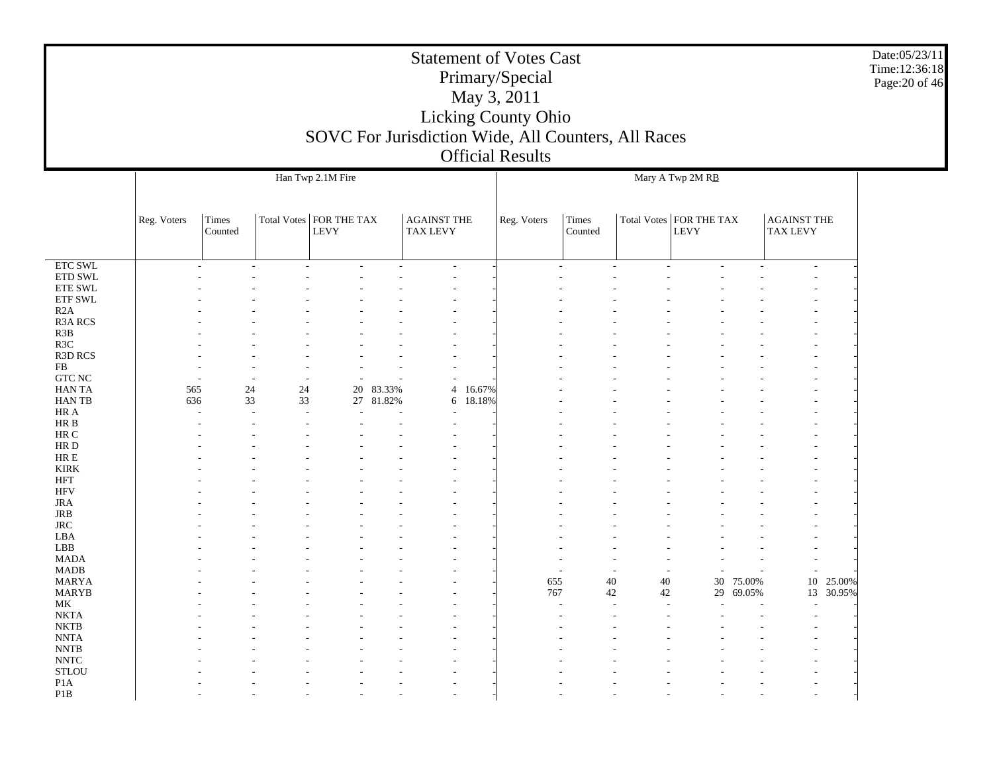|                               |             |                  |    |                           |           |                    |                          | <b>Statement of Votes Cast</b>                      |                         |              |                           |        |                                       |           | Date:05/23/11<br>Time:12:36:18 |
|-------------------------------|-------------|------------------|----|---------------------------|-----------|--------------------|--------------------------|-----------------------------------------------------|-------------------------|--------------|---------------------------|--------|---------------------------------------|-----------|--------------------------------|
|                               |             |                  |    |                           |           |                    |                          | Primary/Special                                     |                         |              |                           |        |                                       |           | Page: 20 of 46                 |
|                               |             |                  |    |                           |           |                    |                          | May 3, 2011                                         |                         |              |                           |        |                                       |           |                                |
|                               |             |                  |    |                           |           |                    |                          |                                                     |                         |              |                           |        |                                       |           |                                |
|                               |             |                  |    |                           |           |                    |                          | Licking County Ohio                                 |                         |              |                           |        |                                       |           |                                |
|                               |             |                  |    |                           |           |                    |                          | SOVC For Jurisdiction Wide, All Counters, All Races |                         |              |                           |        |                                       |           |                                |
|                               |             |                  |    |                           |           |                    |                          | <b>Official Results</b>                             |                         |              |                           |        |                                       |           |                                |
|                               |             |                  |    |                           |           |                    |                          |                                                     |                         |              |                           |        |                                       |           |                                |
|                               |             |                  |    | Han Twp 2.1M Fire         |           |                    |                          |                                                     |                         |              | Mary A Twp 2M RB          |        |                                       |           |                                |
|                               |             |                  |    |                           |           |                    |                          |                                                     |                         |              |                           |        |                                       |           |                                |
|                               |             |                  |    | Total Votes   FOR THE TAX |           | <b>AGAINST THE</b> |                          |                                                     |                         |              | Total Votes   FOR THE TAX |        |                                       |           |                                |
|                               | Reg. Voters | Times<br>Counted |    | <b>LEVY</b>               |           | TAX LEVY           |                          | Reg. Voters                                         | <b>Times</b><br>Counted |              | <b>LEVY</b>               |        | <b>AGAINST THE</b><br><b>TAX LEVY</b> |           |                                |
|                               |             |                  |    |                           |           |                    |                          |                                                     |                         |              |                           |        |                                       |           |                                |
|                               |             |                  |    |                           |           |                    |                          |                                                     |                         |              |                           |        |                                       |           |                                |
| ETC SWL<br>ETD SWL            |             |                  |    |                           |           |                    | $\overline{\phantom{a}}$ |                                                     |                         |              |                           |        | $\overline{a}$                        |           |                                |
| ${\rm ETE}$ SWL               |             |                  |    |                           |           |                    |                          |                                                     |                         |              |                           |        |                                       |           |                                |
| <b>ETF SWL</b>                |             |                  |    |                           |           |                    |                          |                                                     |                         |              |                           |        |                                       |           |                                |
| R2A                           |             |                  |    |                           |           |                    |                          |                                                     |                         |              |                           |        |                                       |           |                                |
| R3A RCS                       |             |                  |    |                           |           |                    |                          |                                                     |                         |              |                           |        |                                       |           |                                |
| R3B                           |             |                  |    |                           |           |                    |                          |                                                     |                         |              |                           |        |                                       |           |                                |
| R <sub>3</sub> C              |             |                  |    |                           |           |                    |                          |                                                     |                         |              |                           |        |                                       |           |                                |
| <b>R3D RCS</b><br>FB          |             |                  |    |                           |           |                    |                          |                                                     |                         |              |                           |        |                                       |           |                                |
| GTC NC                        |             |                  |    |                           |           |                    |                          |                                                     |                         |              |                           |        |                                       |           |                                |
| HAN TA                        | 565         | 24               | 24 |                           | 20 83.33% |                    | 16.67%<br>$\overline{4}$ |                                                     |                         |              |                           |        |                                       |           |                                |
| HAN TB                        | 636         | 33               | 33 |                           | 27 81.82% |                    | 6 18.18%                 |                                                     |                         |              |                           |        |                                       |           |                                |
| HR A                          |             |                  |    |                           |           |                    |                          |                                                     |                         |              |                           |        |                                       |           |                                |
| HR B                          |             |                  |    |                           |           |                    |                          |                                                     |                         |              |                           |        |                                       |           |                                |
| HR C                          |             |                  |    |                           |           |                    |                          |                                                     |                         |              |                           |        |                                       |           |                                |
| HR D                          |             |                  |    |                           |           |                    |                          |                                                     |                         |              |                           |        |                                       |           |                                |
| $\rm{HR} \; E$<br><b>KIRK</b> |             |                  |    |                           |           |                    |                          |                                                     |                         |              |                           |        |                                       |           |                                |
| <b>HFT</b>                    |             |                  |    |                           |           |                    |                          |                                                     |                         |              |                           |        |                                       |           |                                |
| <b>HFV</b>                    |             |                  |    |                           |           |                    |                          |                                                     |                         |              |                           |        |                                       |           |                                |
| <b>JRA</b>                    |             |                  |    |                           |           |                    |                          |                                                     |                         |              |                           |        |                                       |           |                                |
| JRB                           |             |                  |    |                           |           |                    |                          |                                                     |                         |              |                           |        |                                       |           |                                |
| <b>JRC</b>                    |             |                  |    |                           |           |                    |                          |                                                     |                         |              |                           |        |                                       |           |                                |
| LBA                           |             |                  |    |                           |           |                    |                          |                                                     |                         |              |                           |        |                                       |           |                                |
| LBB                           |             |                  |    |                           |           |                    |                          |                                                     |                         |              |                           |        |                                       |           |                                |
| <b>MADA</b><br><b>MADB</b>    |             |                  |    |                           |           |                    |                          |                                                     |                         |              |                           |        |                                       |           |                                |
| <b>MARYA</b>                  |             |                  |    |                           |           |                    |                          |                                                     | 655                     | $40\,$<br>40 | 30                        | 75.00% |                                       | 10 25.00% |                                |
| <b>MARYB</b>                  |             |                  |    |                           |           |                    |                          |                                                     | 767                     | 42<br>42     | 29                        | 69.05% |                                       | 13 30.95% |                                |
| MK                            |             |                  |    |                           |           |                    |                          |                                                     |                         |              |                           |        |                                       |           |                                |
| <b>NKTA</b>                   |             |                  |    |                           |           |                    |                          |                                                     |                         |              |                           |        |                                       |           |                                |
| <b>NKTB</b>                   |             |                  |    |                           |           |                    |                          |                                                     |                         |              |                           |        |                                       |           |                                |
| <b>NNTA</b>                   |             |                  |    |                           |           |                    |                          |                                                     |                         |              |                           |        |                                       |           |                                |
| <b>NNTB</b><br><b>NNTC</b>    |             |                  |    |                           |           |                    |                          |                                                     |                         |              |                           |        |                                       |           |                                |
| <b>STLOU</b>                  |             |                  |    |                           |           |                    |                          |                                                     |                         |              |                           |        |                                       |           |                                |
| P <sub>1</sub> A              |             |                  |    |                           |           |                    |                          |                                                     |                         |              |                           |        |                                       |           |                                |
| P <sub>1</sub> B              |             |                  |    |                           |           |                    |                          |                                                     |                         |              |                           |        |                                       |           |                                |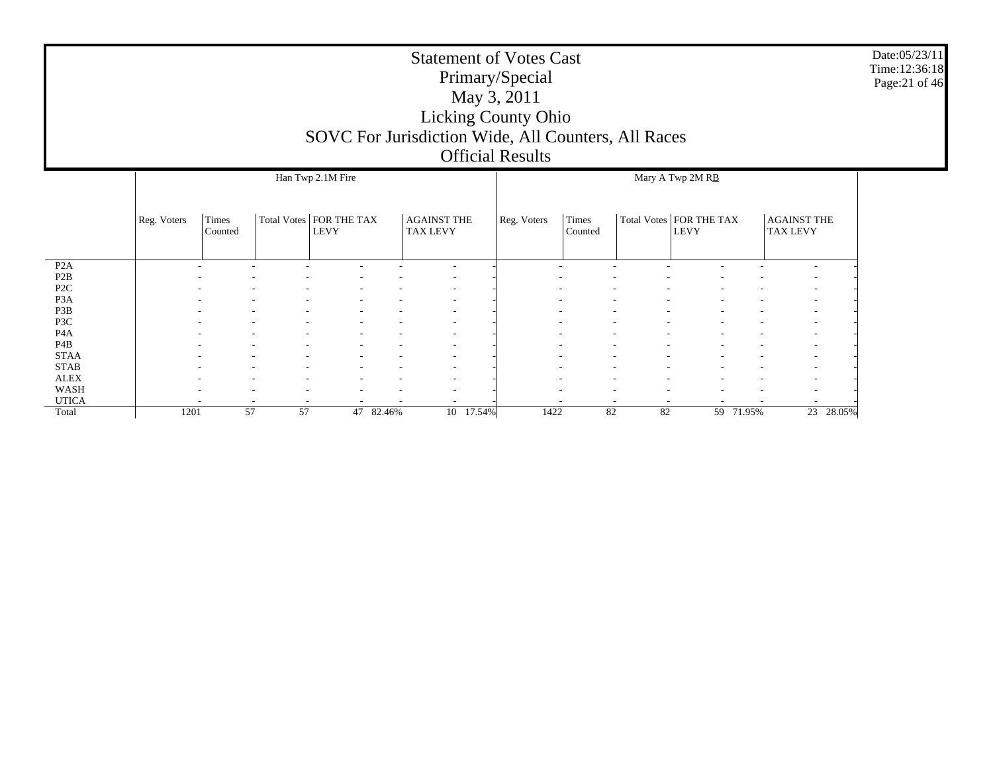|                  |             |                  |                                          | <b>Statement of Votes Cast</b><br>SOVC For Jurisdiction Wide, All Counters, All Races | Primary/Special<br>May 3, 2011<br><b>Licking County Ohio</b><br><b>Official Results</b> |             |                  |                                          |                                       | Date:05/23/11<br>Time:12:36:18<br>Page:21 of 46 |
|------------------|-------------|------------------|------------------------------------------|---------------------------------------------------------------------------------------|-----------------------------------------------------------------------------------------|-------------|------------------|------------------------------------------|---------------------------------------|-------------------------------------------------|
|                  |             |                  | Han Twp 2.1M Fire                        |                                                                                       |                                                                                         |             |                  | Mary A Twp 2M RB                         |                                       |                                                 |
|                  | Reg. Voters | Times<br>Counted | Total Votes   FOR THE TAX<br><b>LEVY</b> | <b>AGAINST THE</b><br><b>TAX LEVY</b>                                                 |                                                                                         | Reg. Voters | Times<br>Counted | Total Votes   FOR THE TAX<br><b>LEVY</b> | <b>AGAINST THE</b><br><b>TAX LEVY</b> |                                                 |
| P <sub>2</sub> A |             |                  |                                          |                                                                                       |                                                                                         |             |                  |                                          |                                       |                                                 |
| P <sub>2</sub> B |             |                  |                                          |                                                                                       |                                                                                         |             |                  |                                          |                                       |                                                 |
| P <sub>2</sub> C |             |                  |                                          |                                                                                       |                                                                                         |             |                  |                                          |                                       |                                                 |
| P <sub>3</sub> A |             |                  |                                          |                                                                                       |                                                                                         |             |                  |                                          |                                       |                                                 |
| P3B              |             |                  |                                          |                                                                                       |                                                                                         |             |                  |                                          |                                       |                                                 |
| P3C              |             |                  |                                          |                                                                                       |                                                                                         |             |                  |                                          |                                       |                                                 |
| P <sub>4</sub> A |             |                  |                                          |                                                                                       |                                                                                         |             |                  |                                          |                                       |                                                 |
| P <sub>4</sub> B |             |                  |                                          |                                                                                       |                                                                                         |             |                  |                                          |                                       |                                                 |
| <b>STAA</b>      |             |                  |                                          |                                                                                       |                                                                                         |             |                  |                                          |                                       |                                                 |
| <b>STAB</b>      |             |                  |                                          |                                                                                       |                                                                                         |             |                  |                                          |                                       |                                                 |
| <b>ALEX</b>      |             |                  |                                          |                                                                                       |                                                                                         |             |                  |                                          |                                       |                                                 |
| <b>WASH</b>      |             |                  |                                          |                                                                                       |                                                                                         |             |                  |                                          |                                       |                                                 |
| <b>UTICA</b>     |             |                  |                                          |                                                                                       |                                                                                         |             |                  |                                          |                                       |                                                 |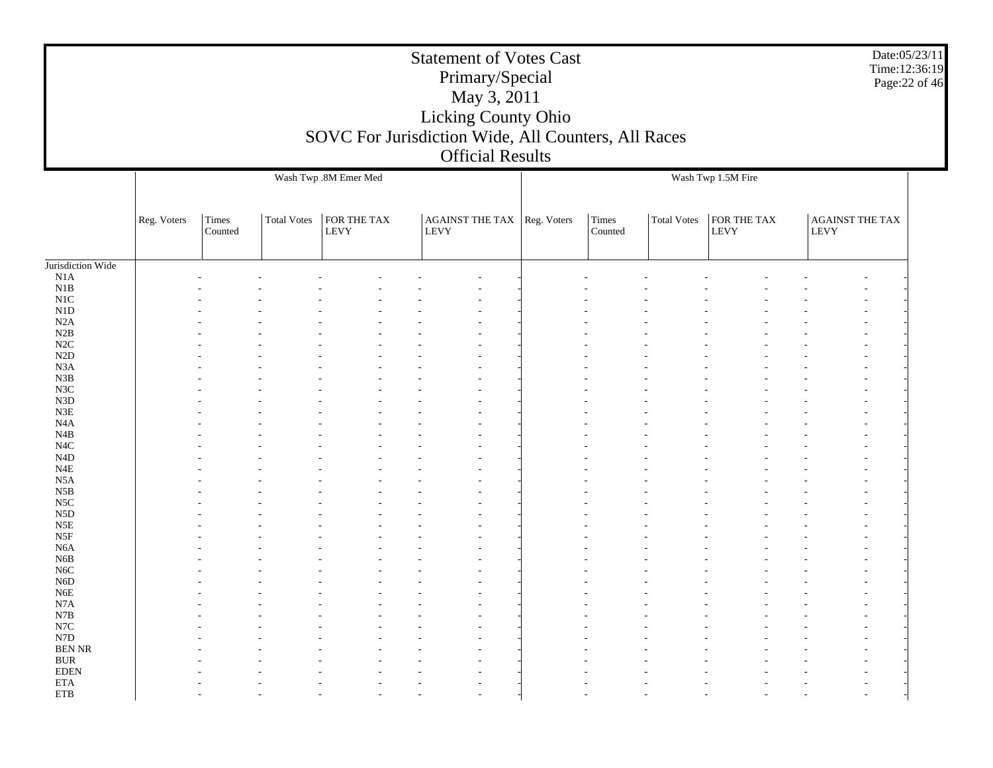|                                                   |             |                  |                    |                            | <b>Statement of Votes Cast</b><br>Primary/Special<br>May 3, 2011<br>Licking County Ohio<br>SOVC For Jurisdiction Wide, All Counters, All Races<br><b>Official Results</b> |                  |                    |                            | Date:05/23/11<br>Time:12:36:19<br>Page: 22 of 46     |
|---------------------------------------------------|-------------|------------------|--------------------|----------------------------|---------------------------------------------------------------------------------------------------------------------------------------------------------------------------|------------------|--------------------|----------------------------|------------------------------------------------------|
|                                                   |             |                  |                    | Wash Twp .8M Emer Med      |                                                                                                                                                                           |                  |                    | Wash Twp 1.5M Fire         |                                                      |
|                                                   | Reg. Voters | Times<br>Counted | <b>Total Votes</b> | FOR THE TAX<br><b>LEVY</b> | AGAINST THE TAX Reg. Voters<br><b>LEVY</b>                                                                                                                                | Times<br>Counted | <b>Total Votes</b> | FOR THE TAX<br><b>LEVY</b> | <b>AGAINST THE TAX</b><br><b>LEVY</b>                |
| Jurisdiction Wide                                 |             |                  |                    |                            |                                                                                                                                                                           |                  |                    |                            |                                                      |
| N1A<br>N1B<br>$_{\rm N1C}$                        |             |                  |                    |                            |                                                                                                                                                                           |                  |                    |                            |                                                      |
| N1D<br>N2A                                        |             |                  |                    |                            |                                                                                                                                                                           |                  |                    |                            |                                                      |
| N2B<br>$\rm N2C$<br>N2D                           |             |                  |                    |                            |                                                                                                                                                                           |                  |                    |                            |                                                      |
| N3A<br>N3B                                        |             |                  |                    |                            |                                                                                                                                                                           |                  |                    |                            |                                                      |
| $_{\rm N3C}$<br>N3D<br>N3E                        |             |                  |                    |                            |                                                                                                                                                                           |                  |                    |                            |                                                      |
| N <sub>4</sub> A<br>N4B<br>N4C                    |             |                  |                    |                            |                                                                                                                                                                           |                  |                    |                            |                                                      |
| $\rm N4D$<br>$_{\rm N4E}$                         |             |                  |                    |                            |                                                                                                                                                                           |                  |                    |                            |                                                      |
| $_{\rm N5A}$<br>$_{\rm N5B}$<br>$_{\rm NSC}$      |             |                  |                    |                            |                                                                                                                                                                           |                  |                    |                            |                                                      |
| N5D<br>$_{\rm N5E}$<br>$_{\rm N5F}$               |             |                  |                    |                            |                                                                                                                                                                           |                  |                    |                            |                                                      |
| N <sub>6</sub> A<br>N6B                           |             |                  |                    |                            |                                                                                                                                                                           |                  |                    |                            |                                                      |
| $_{\mathrm{N6C}}$<br>N6D<br>N6E                   |             |                  |                    |                            |                                                                                                                                                                           |                  |                    |                            |                                                      |
| $_{\rm N7A}$<br>N7B                               |             |                  |                    |                            |                                                                                                                                                                           |                  |                    |                            |                                                      |
| $_{\mathrm{N7C}}$<br>${\rm N7D}$<br><b>BEN NR</b> |             |                  |                    |                            |                                                                                                                                                                           |                  |                    |                            | $\overline{\phantom{a}}$<br>$\overline{\phantom{a}}$ |
| $\rm BUR$<br>$\rm EDEN$<br>$\rm ETA$              |             |                  |                    |                            |                                                                                                                                                                           |                  |                    |                            | $\overline{\phantom{a}}$                             |
| $\rm ETB$                                         |             |                  |                    |                            |                                                                                                                                                                           |                  |                    |                            | $\overline{\phantom{a}}$                             |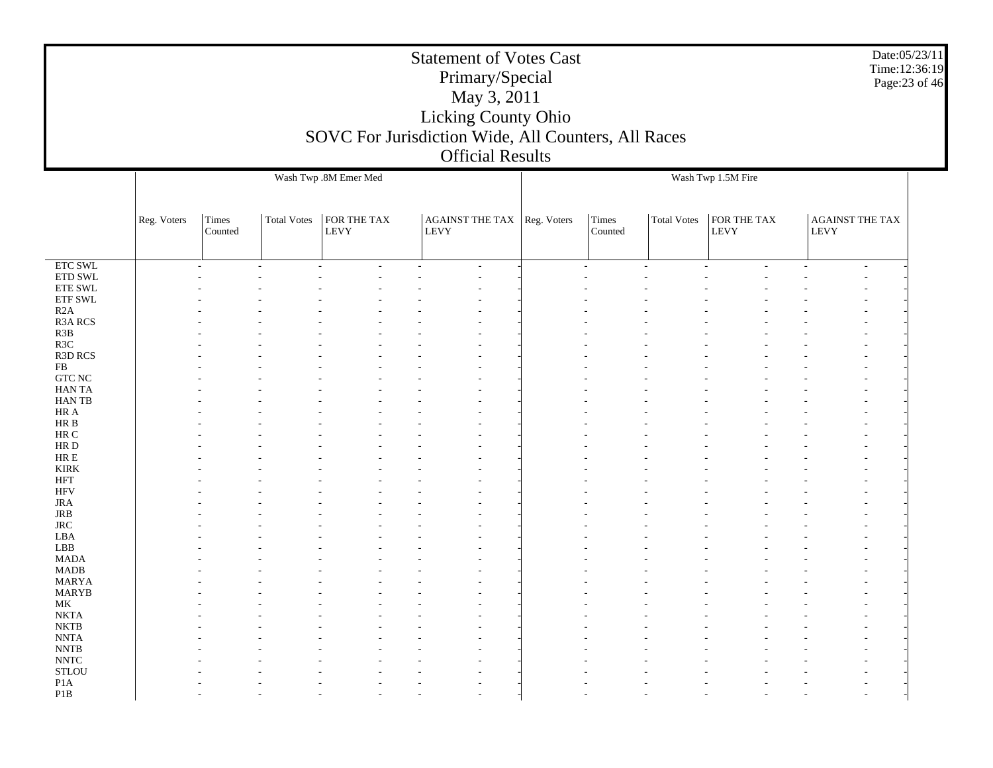|                             |             |                  |                    | SOVC For Jurisdiction Wide, All Counters, All Races |             | <b>Statement of Votes Cast</b><br>Primary/Special<br>May 3, 2011<br>Licking County Ohio<br><b>Official Results</b> |                    |                  |                    |                            |             | Date:05/23/11<br>Time:12:36:19<br>Page: 23 of 46 |
|-----------------------------|-------------|------------------|--------------------|-----------------------------------------------------|-------------|--------------------------------------------------------------------------------------------------------------------|--------------------|------------------|--------------------|----------------------------|-------------|--------------------------------------------------|
|                             |             |                  |                    | Wash Twp .8M Emer Med                               |             |                                                                                                                    | Wash Twp 1.5M Fire |                  |                    |                            |             |                                                  |
|                             | Reg. Voters | Times<br>Counted | <b>Total Votes</b> | FOR THE TAX<br><b>LEVY</b>                          | <b>LEVY</b> | AGAINST THE TAX Reg. Voters                                                                                        |                    | Times<br>Counted | <b>Total Votes</b> | FOR THE TAX<br><b>LEVY</b> | <b>LEVY</b> | <b>AGAINST THE TAX</b>                           |
| $\overline{\text{ETC SWL}}$ |             |                  |                    |                                                     |             |                                                                                                                    |                    |                  |                    |                            |             |                                                  |
| ETD SWL                     |             |                  |                    |                                                     |             |                                                                                                                    |                    |                  |                    |                            |             |                                                  |
| ETE SWL                     |             |                  |                    |                                                     |             |                                                                                                                    |                    |                  |                    |                            |             |                                                  |
| ${\rm ETF}$ SWL             |             |                  |                    |                                                     |             |                                                                                                                    |                    |                  |                    |                            |             |                                                  |
| R2A                         |             |                  |                    |                                                     |             |                                                                                                                    |                    |                  |                    |                            |             |                                                  |
| R3A RCS                     |             |                  |                    |                                                     |             |                                                                                                                    |                    |                  |                    |                            |             |                                                  |
| R3B                         |             |                  |                    |                                                     |             |                                                                                                                    |                    |                  |                    |                            |             |                                                  |
| R3C                         |             |                  |                    |                                                     |             |                                                                                                                    |                    |                  |                    |                            |             |                                                  |
| R3D RCS                     |             |                  |                    |                                                     |             |                                                                                                                    |                    |                  |                    |                            |             |                                                  |
| FB                          |             |                  |                    |                                                     |             |                                                                                                                    |                    |                  |                    |                            |             |                                                  |
| $GTC$ $NC$                  |             |                  |                    |                                                     |             |                                                                                                                    |                    |                  |                    |                            |             |                                                  |
| <b>HANTA</b>                |             |                  |                    |                                                     |             |                                                                                                                    |                    |                  |                    |                            |             |                                                  |
| HAN TB                      |             |                  |                    |                                                     |             |                                                                                                                    |                    |                  |                    |                            |             |                                                  |
| HR A                        |             |                  |                    |                                                     |             |                                                                                                                    |                    |                  |                    |                            |             |                                                  |
| HR B                        |             |                  |                    |                                                     |             |                                                                                                                    |                    |                  |                    |                            |             |                                                  |
| $\rm{HR}$ C                 |             |                  |                    |                                                     |             |                                                                                                                    |                    |                  |                    |                            |             |                                                  |
| HR D                        |             |                  |                    |                                                     |             |                                                                                                                    |                    |                  |                    |                            |             |                                                  |
| ${\rm HR} \to$              |             |                  |                    |                                                     |             |                                                                                                                    |                    |                  |                    |                            |             |                                                  |
| <b>KIRK</b>                 |             |                  |                    |                                                     |             |                                                                                                                    |                    |                  |                    |                            |             |                                                  |
| $\operatorname{HFT}$        |             |                  |                    |                                                     |             |                                                                                                                    |                    |                  |                    |                            |             |                                                  |
| <b>HFV</b>                  |             |                  |                    |                                                     |             |                                                                                                                    |                    |                  |                    |                            |             |                                                  |
| <b>JRA</b>                  |             |                  |                    |                                                     |             |                                                                                                                    |                    |                  |                    |                            |             |                                                  |
| JRB<br>$\rm JRC$            |             |                  |                    |                                                     |             |                                                                                                                    |                    |                  |                    |                            |             |                                                  |
| LBA                         |             |                  |                    |                                                     |             |                                                                                                                    |                    |                  |                    |                            |             |                                                  |
| LBB                         |             |                  |                    |                                                     |             |                                                                                                                    |                    |                  |                    |                            |             |                                                  |
| <b>MADA</b>                 |             |                  |                    |                                                     |             |                                                                                                                    |                    |                  |                    |                            |             |                                                  |
| $\mbox{MADB}$               |             |                  |                    |                                                     |             |                                                                                                                    |                    |                  |                    |                            |             |                                                  |
| <b>MARYA</b>                |             |                  |                    |                                                     |             |                                                                                                                    |                    |                  |                    |                            |             |                                                  |
| MARYB                       |             |                  |                    |                                                     |             |                                                                                                                    |                    |                  |                    |                            |             |                                                  |
| MK                          |             |                  |                    |                                                     |             |                                                                                                                    |                    |                  |                    |                            |             |                                                  |
| $\rm NKTA$                  |             |                  |                    |                                                     |             |                                                                                                                    |                    |                  |                    |                            |             |                                                  |
| $\rm NKTB$                  |             |                  |                    |                                                     |             |                                                                                                                    |                    |                  |                    |                            |             |                                                  |
| <b>NNTA</b>                 |             |                  |                    |                                                     |             |                                                                                                                    |                    |                  |                    |                            |             |                                                  |
| $\ensuremath{\text{NNTB}}$  |             |                  |                    |                                                     |             |                                                                                                                    |                    |                  |                    |                            |             |                                                  |
| <b>NNTC</b>                 |             |                  |                    |                                                     |             |                                                                                                                    |                    |                  |                    |                            |             |                                                  |
| <b>STLOU</b>                |             |                  |                    |                                                     |             |                                                                                                                    |                    |                  |                    |                            |             |                                                  |
| P <sub>1</sub> A            |             |                  |                    |                                                     |             |                                                                                                                    |                    |                  |                    |                            |             |                                                  |
| P1B                         |             |                  |                    |                                                     |             |                                                                                                                    |                    |                  |                    |                            |             |                                                  |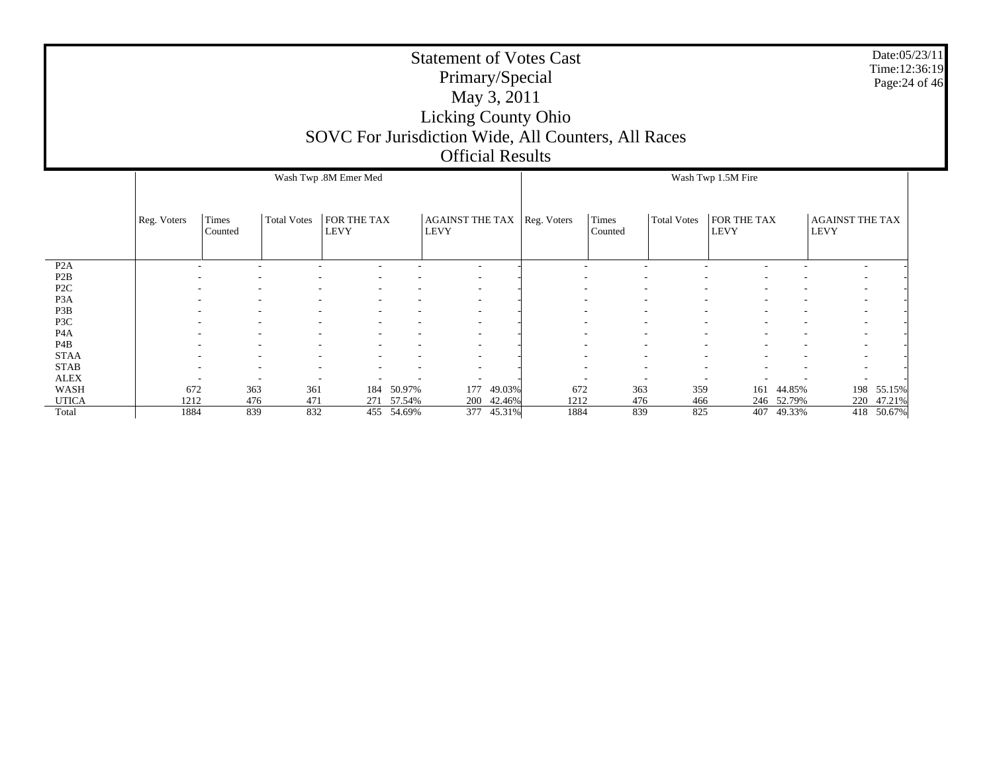|                                      |             |                  |                    | SOVC For Jurisdiction Wide, All Counters, All Races |                  | Primary/Special<br>May 3, 2011<br><b>Licking County Ohio</b><br><b>Official Results</b> |                  | <b>Statement of Votes Cast</b> |                  |                    |                     |                  |                                | Date:05/23/11<br>Time:12:36:19<br>Page: 24 of 46 |  |
|--------------------------------------|-------------|------------------|--------------------|-----------------------------------------------------|------------------|-----------------------------------------------------------------------------------------|------------------|--------------------------------|------------------|--------------------|---------------------|------------------|--------------------------------|--------------------------------------------------|--|
|                                      |             |                  |                    | Wash Twp .8M Emer Med                               |                  |                                                                                         |                  |                                |                  |                    | Wash Twp 1.5M Fire  |                  |                                |                                                  |  |
|                                      | Reg. Voters | Times<br>Counted | <b>Total Votes</b> | <b>FOR THE TAX</b><br><b>LEVY</b>                   |                  | <b>AGAINST THE TAX</b><br><b>LEVY</b>                                                   |                  | Reg. Voters                    | Times<br>Counted | <b>Total Votes</b> | FOR THE TAX<br>LEVY |                  | AGAINST THE TAX<br><b>LEVY</b> |                                                  |  |
| P2A                                  |             |                  |                    |                                                     |                  |                                                                                         |                  |                                |                  |                    |                     |                  |                                |                                                  |  |
| P <sub>2</sub> B                     |             |                  |                    |                                                     |                  |                                                                                         |                  |                                |                  |                    |                     |                  |                                |                                                  |  |
| P <sub>2</sub> C<br>P <sub>3</sub> A |             |                  |                    |                                                     |                  |                                                                                         |                  |                                |                  |                    |                     |                  |                                |                                                  |  |
| P3B                                  |             |                  |                    |                                                     |                  |                                                                                         |                  |                                |                  |                    |                     |                  |                                |                                                  |  |
| P3C                                  |             |                  |                    |                                                     |                  |                                                                                         |                  |                                |                  |                    |                     |                  |                                |                                                  |  |
| P <sub>4</sub> A                     |             |                  |                    |                                                     |                  |                                                                                         |                  |                                |                  |                    |                     |                  |                                |                                                  |  |
| P <sub>4</sub> B                     |             |                  |                    |                                                     |                  |                                                                                         |                  |                                |                  |                    |                     |                  |                                |                                                  |  |
| <b>STAA</b>                          |             |                  |                    |                                                     |                  |                                                                                         |                  |                                |                  |                    |                     |                  |                                |                                                  |  |
| <b>STAB</b>                          |             |                  |                    |                                                     |                  |                                                                                         |                  |                                |                  |                    |                     |                  |                                |                                                  |  |
| <b>ALEX</b>                          |             |                  |                    |                                                     |                  |                                                                                         |                  |                                |                  |                    |                     |                  |                                |                                                  |  |
| WASH<br><b>UTICA</b>                 | 672<br>1212 | 363<br>476       | 361<br>471         | 184<br>271                                          | 50.97%<br>57.54% | 177<br>200                                                                              | 49.03%<br>42.46% | 672<br>1212                    | 363<br>476       | 359<br>466         | 161<br>246          | 44.85%<br>52.79% | 220                            | 198 55.15%<br>47.21%                             |  |
| Total                                | 1884        | 839              | 832                |                                                     | 455 54.69%       | 377                                                                                     | 45.31%           | 1884                           | 839              | 825                |                     | 407 49.33%       |                                | 418 50.67%                                       |  |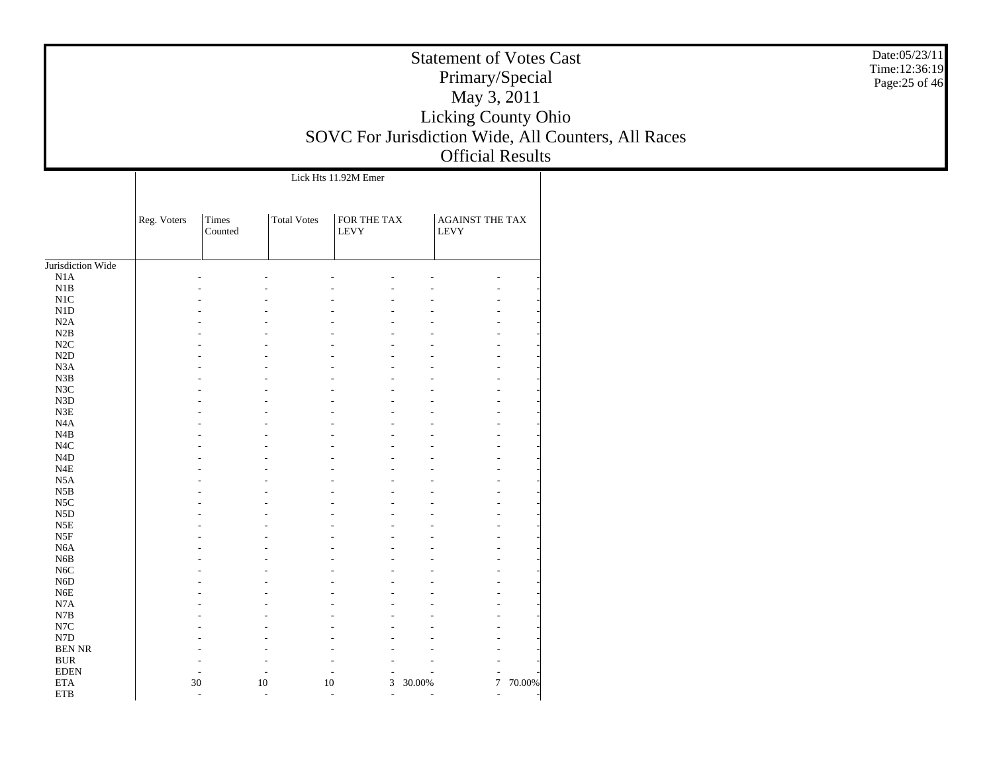|                                      |             | Date:05/23/11<br>Time:12:36:19<br>Page: 25 of 46 |                    |                            |                          |                                |          |                                                     |  |
|--------------------------------------|-------------|--------------------------------------------------|--------------------|----------------------------|--------------------------|--------------------------------|----------|-----------------------------------------------------|--|
|                                      |             |                                                  |                    |                            |                          | May 3, 2011                    |          |                                                     |  |
|                                      |             |                                                  |                    |                            |                          | Licking County Ohio            |          |                                                     |  |
|                                      |             |                                                  |                    |                            |                          |                                |          | SOVC For Jurisdiction Wide, All Counters, All Races |  |
|                                      |             |                                                  |                    |                            |                          | <b>Official Results</b>        |          |                                                     |  |
|                                      |             |                                                  |                    | Lick Hts 11.92M Emer       |                          |                                |          |                                                     |  |
|                                      |             |                                                  |                    |                            |                          |                                |          |                                                     |  |
|                                      |             |                                                  |                    |                            |                          |                                |          |                                                     |  |
|                                      | Reg. Voters | Times<br>Counted                                 | <b>Total Votes</b> | FOR THE TAX<br><b>LEVY</b> |                          | <b>AGAINST THE TAX</b><br>LEVY |          |                                                     |  |
|                                      |             |                                                  |                    |                            |                          |                                |          |                                                     |  |
| Jurisdiction Wide<br>N1A             |             |                                                  |                    |                            |                          |                                |          |                                                     |  |
| N1B                                  |             |                                                  |                    |                            |                          |                                |          |                                                     |  |
| N1C                                  |             |                                                  |                    |                            |                          |                                |          |                                                     |  |
| N1D                                  |             |                                                  |                    |                            |                          |                                |          |                                                     |  |
| N2A                                  |             |                                                  |                    |                            |                          |                                |          |                                                     |  |
| N2B                                  |             |                                                  |                    |                            |                          |                                |          |                                                     |  |
| N2C                                  |             |                                                  |                    |                            |                          |                                |          |                                                     |  |
| N2D<br>N3A                           |             |                                                  |                    |                            |                          |                                |          |                                                     |  |
| N3B                                  |             |                                                  |                    |                            |                          |                                |          |                                                     |  |
| N3C                                  |             |                                                  |                    |                            |                          |                                |          |                                                     |  |
| N <sub>3</sub> D                     |             |                                                  |                    |                            |                          |                                |          |                                                     |  |
| N3E                                  |             |                                                  |                    |                            |                          |                                |          |                                                     |  |
| N <sub>4</sub> A                     |             |                                                  |                    |                            |                          |                                |          |                                                     |  |
| N4B                                  |             |                                                  |                    |                            |                          |                                |          |                                                     |  |
| N <sub>4</sub> C<br>N <sub>4</sub> D |             |                                                  |                    |                            |                          |                                |          |                                                     |  |
| N4E                                  |             |                                                  |                    |                            |                          |                                |          |                                                     |  |
| N5A                                  |             |                                                  |                    |                            |                          |                                |          |                                                     |  |
| N5B                                  |             |                                                  |                    |                            |                          |                                |          |                                                     |  |
| N <sub>5</sub> C                     |             |                                                  |                    |                            |                          |                                |          |                                                     |  |
| N <sub>5</sub> D                     |             |                                                  |                    |                            |                          |                                |          |                                                     |  |
| N5E                                  |             |                                                  |                    |                            |                          |                                |          |                                                     |  |
| N5F                                  |             |                                                  |                    |                            |                          |                                |          |                                                     |  |
| N <sub>6</sub> A<br>N <sub>6</sub> B |             |                                                  |                    |                            |                          |                                |          |                                                     |  |
| N <sub>6</sub> C                     |             |                                                  |                    |                            |                          |                                |          |                                                     |  |
| N6D                                  |             |                                                  |                    |                            |                          |                                |          |                                                     |  |
| N6E                                  |             |                                                  |                    |                            |                          |                                |          |                                                     |  |
| N7A                                  |             |                                                  |                    |                            |                          |                                |          |                                                     |  |
| $_{\rm N7B}$                         |             |                                                  |                    |                            |                          |                                |          |                                                     |  |
| N7C                                  |             |                                                  |                    |                            |                          |                                |          |                                                     |  |
| N7D<br><b>BEN NR</b>                 |             |                                                  |                    |                            |                          |                                |          |                                                     |  |
| <b>BUR</b>                           |             |                                                  |                    |                            |                          |                                |          |                                                     |  |
| <b>EDEN</b>                          |             |                                                  |                    |                            |                          |                                |          |                                                     |  |
| <b>ETA</b>                           |             | 30                                               | 10                 | $10\,$                     | $\mathfrak{Z}$<br>30.00% |                                | 7 70.00% |                                                     |  |
| ETB                                  |             |                                                  |                    |                            |                          |                                |          |                                                     |  |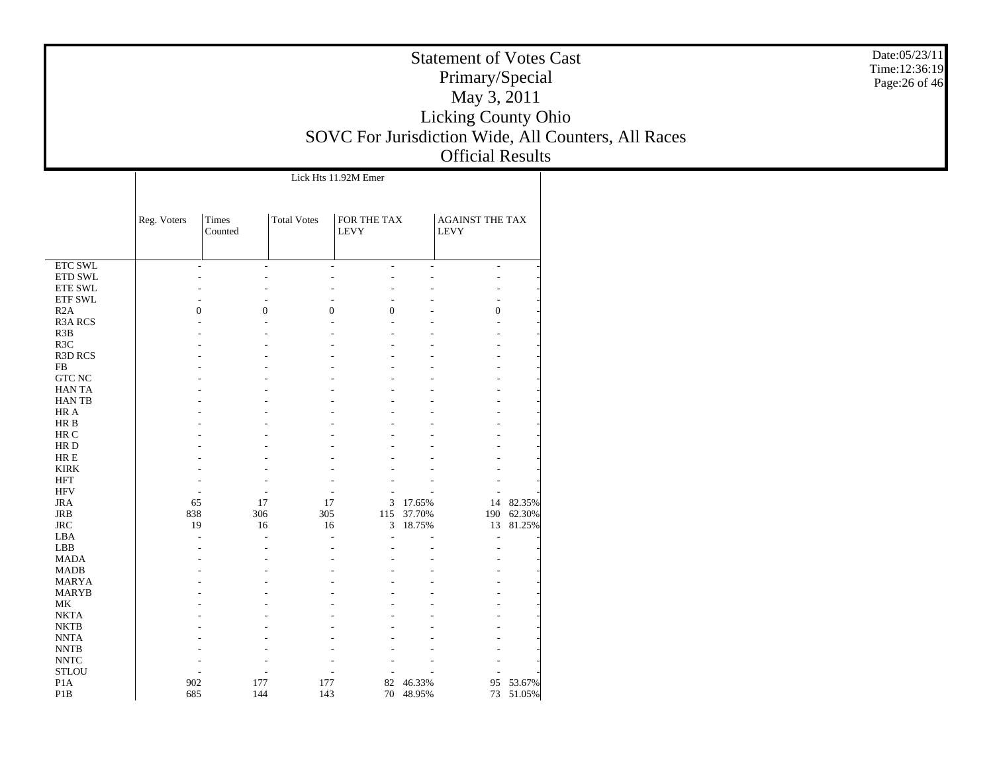| <b>Statement of Votes Cast</b>                      |  |
|-----------------------------------------------------|--|
| Primary/Special                                     |  |
| May 3, 2011                                         |  |
| <b>Licking County Ohio</b>                          |  |
| SOVC For Jurisdiction Wide, All Counters, All Races |  |
| <b>Official Results</b>                             |  |

Date:05/23/11 Time:12:36:19 Page:26 of 46

|                  |             |                                  |                          | Lick Hts 11.92M Emer       |        |                                       |           |  |
|------------------|-------------|----------------------------------|--------------------------|----------------------------|--------|---------------------------------------|-----------|--|
|                  | Reg. Voters | Times<br>Counted                 | <b>Total Votes</b>       | FOR THE TAX<br><b>LEVY</b> |        | <b>AGAINST THE TAX</b><br><b>LEVY</b> |           |  |
| <b>ETC SWL</b>   |             | $\overline{a}$<br>$\overline{a}$ | $\overline{a}$           | ÷,                         | ÷,     | $\overline{a}$                        |           |  |
| ETD SWL          |             | J.<br>÷.                         | ٠                        | ÷.                         | L.     | ÷,                                    |           |  |
| <b>ETE SWL</b>   |             |                                  |                          |                            |        |                                       |           |  |
| <b>ETF SWL</b>   |             |                                  |                          |                            |        | ٠                                     |           |  |
| R2A              |             | $\overline{0}$<br>$\overline{0}$ | $\mathbf{0}$             | $\boldsymbol{0}$           |        | $\boldsymbol{0}$                      |           |  |
| <b>R3A RCS</b>   |             |                                  |                          |                            |        |                                       |           |  |
| R3B              |             |                                  |                          |                            |        | $\overline{a}$                        |           |  |
| R <sub>3</sub> C |             |                                  |                          |                            |        |                                       |           |  |
| <b>R3D RCS</b>   |             |                                  |                          |                            |        |                                       |           |  |
| ${\rm FB}$       |             |                                  |                          |                            |        |                                       |           |  |
| <b>GTC NC</b>    |             |                                  |                          |                            |        |                                       |           |  |
| HAN TA           |             |                                  |                          |                            |        |                                       |           |  |
| <b>HANTB</b>     |             |                                  |                          |                            |        |                                       |           |  |
| HR A             |             |                                  |                          |                            |        |                                       |           |  |
| HR B             |             |                                  |                          |                            |        |                                       |           |  |
| HR C             |             |                                  |                          |                            |        |                                       |           |  |
| HR D             |             |                                  |                          |                            |        |                                       |           |  |
| HR E             |             |                                  |                          |                            |        |                                       |           |  |
| <b>KIRK</b>      |             |                                  |                          |                            |        |                                       |           |  |
| <b>HFT</b>       |             |                                  |                          |                            |        |                                       |           |  |
| <b>HFV</b>       |             | $\overline{\phantom{a}}$<br>ä,   | $\overline{\phantom{a}}$ | $\overline{a}$             |        |                                       |           |  |
| <b>JRA</b>       | 65          | 17                               | 17                       | 3                          | 17.65% |                                       | 14 82.35% |  |
| <b>JRB</b>       | 838         | 306                              | 305                      | 115                        | 37.70% | 190                                   | 62.30%    |  |
| <b>JRC</b>       | 19          | 16                               | 16                       | 3                          | 18.75% | 13                                    | 81.25%    |  |
| LBA              |             | L,<br>L,                         | $\overline{a}$           | ÷.                         |        | $\overline{a}$                        |           |  |
| LBB              |             |                                  | L.                       |                            |        | J.                                    |           |  |
| <b>MADA</b>      |             |                                  |                          |                            |        |                                       |           |  |
| <b>MADB</b>      |             |                                  |                          |                            |        |                                       |           |  |
| <b>MARYA</b>     |             |                                  |                          |                            |        |                                       |           |  |
| <b>MARYB</b>     |             |                                  |                          |                            |        |                                       |           |  |
| MK               |             |                                  |                          |                            |        |                                       |           |  |
| <b>NKTA</b>      |             |                                  |                          |                            |        |                                       |           |  |
| <b>NKTB</b>      |             |                                  |                          |                            |        |                                       |           |  |
| <b>NNTA</b>      |             |                                  |                          |                            |        |                                       |           |  |
| <b>NNTB</b>      |             |                                  |                          |                            |        |                                       |           |  |
| <b>NNTC</b>      |             |                                  | ٠                        |                            |        |                                       |           |  |
| <b>STLOU</b>     |             |                                  |                          |                            |        |                                       |           |  |
| P <sub>1</sub> A | 902         | 177                              | 177                      | 82                         | 46.33% | 95                                    | 53.67%    |  |
| P <sub>1</sub> B | 685         | 144                              | 143                      | 70                         | 48.95% | 73                                    | 51.05%    |  |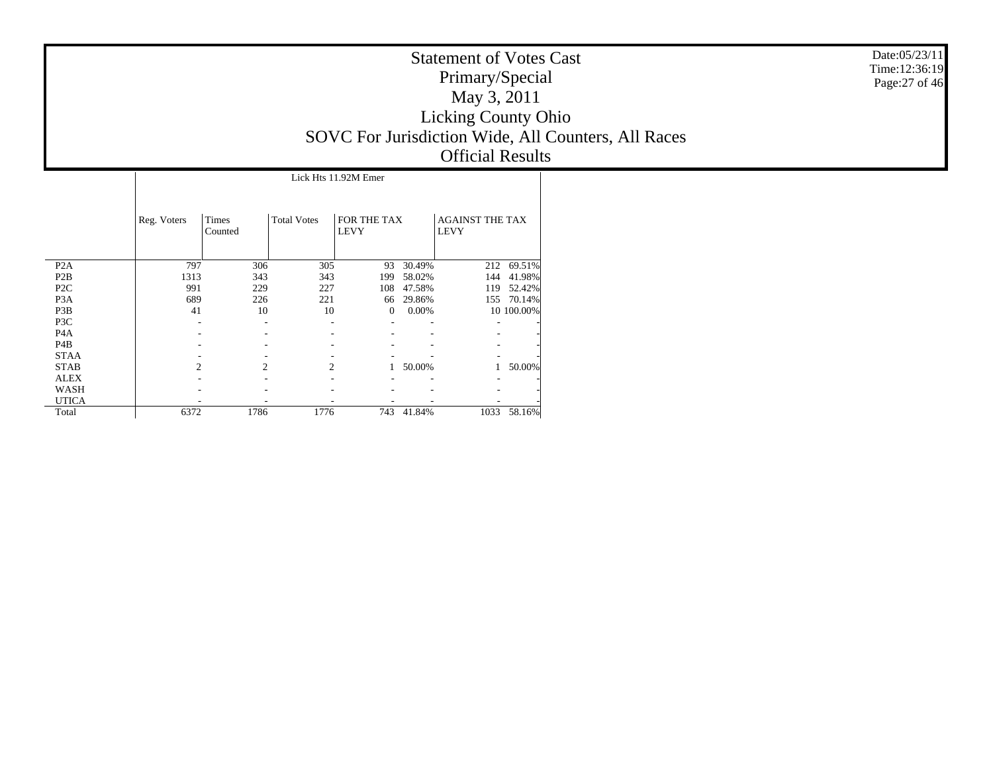|                  |             | Lick Hts 11.92M Emer    |                    |                            |        |                                       |            |  |  |  |  |  |  |
|------------------|-------------|-------------------------|--------------------|----------------------------|--------|---------------------------------------|------------|--|--|--|--|--|--|
|                  | Reg. Voters | <b>Times</b><br>Counted | <b>Total Votes</b> | FOR THE TAX<br><b>LEVY</b> |        | <b>AGAINST THE TAX</b><br><b>LEVY</b> |            |  |  |  |  |  |  |
| P <sub>2</sub> A | 797         | 306                     | 305                | 93                         | 30.49% | 212                                   | 69.51%     |  |  |  |  |  |  |
| P <sub>2</sub> B | 1313        | 343                     | 343                | 199                        | 58.02% | 144                                   | 41.98%     |  |  |  |  |  |  |
| P <sub>2C</sub>  | 991         | 229                     | 227                | 108                        | 47.58% | 119                                   | 52.42%     |  |  |  |  |  |  |
| P <sub>3</sub> A | 689         | 226                     | 221                | 66                         | 29.86% | 155                                   | 70.14%     |  |  |  |  |  |  |
| P <sub>3</sub> B | 41          | 10                      | 10                 | $\boldsymbol{0}$           | 0.00%  |                                       | 10 100.00% |  |  |  |  |  |  |
| P3C              |             |                         |                    |                            |        |                                       |            |  |  |  |  |  |  |
| P <sub>4</sub> A |             |                         |                    |                            |        |                                       |            |  |  |  |  |  |  |
| P <sub>4</sub> B |             |                         |                    |                            |        |                                       |            |  |  |  |  |  |  |
| <b>STAA</b>      |             |                         |                    |                            |        |                                       |            |  |  |  |  |  |  |
| <b>STAB</b>      | 2           | $\overline{c}$          | 2                  |                            | 50.00% |                                       | 50.00%     |  |  |  |  |  |  |
| <b>ALEX</b>      |             |                         |                    |                            |        |                                       |            |  |  |  |  |  |  |
| WASH             |             |                         |                    |                            |        |                                       |            |  |  |  |  |  |  |
| <b>UTICA</b>     |             |                         |                    |                            |        |                                       |            |  |  |  |  |  |  |
| Total            | 6372        | 1786                    | 1776               | 743                        | 41.84% | 1033                                  | 58.16%     |  |  |  |  |  |  |

Date:05/23/11 Time:12:36:19 Page:27 of 46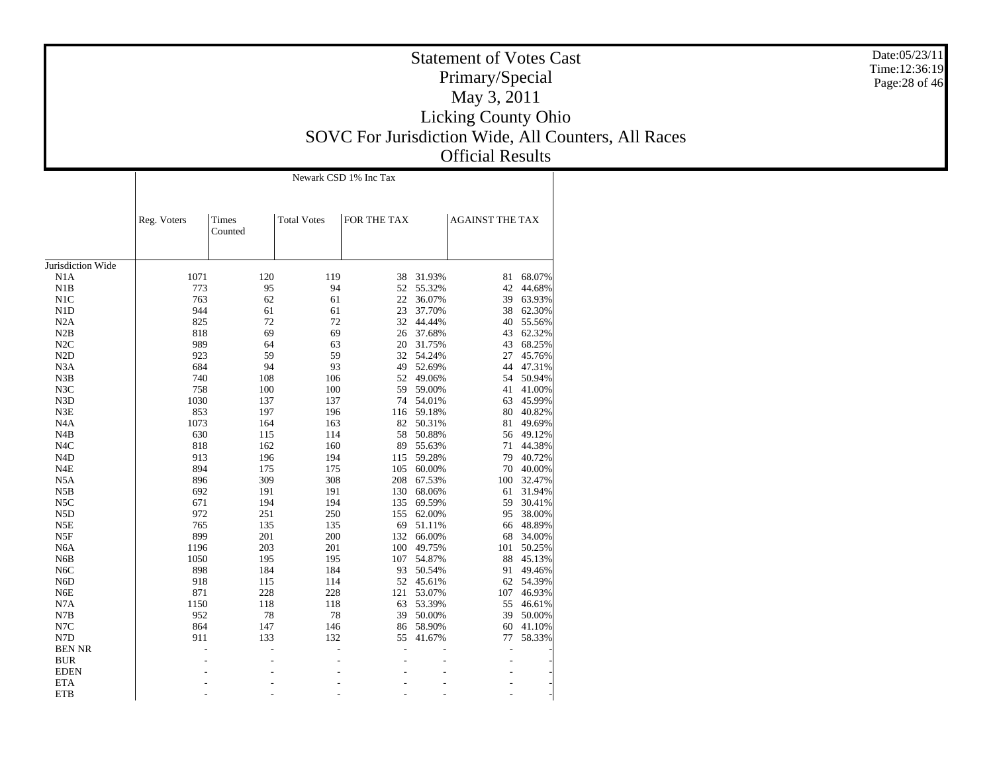Jurisdiction Wide N1A N1B N1C N1D N2A N2B N2C N2D N3A N3B N3C N3D N3E N4A N4B N4C N4D N4E N5A N5B N5C N5D N5E N5F N6A N6B N6C N6D N6E N7A N7B N7C N7D BEN NR BUR EDEN ETA**ETB** Reg. Voters Times CountedTotal Votes FOR THE TAX AGAINST THE TAX Newark CSD 1% Inc Tax1071 120 119 38 31.93% 81 68.07% 773 95 94 52 55.32% 42 44.68% 763 62 61 22 36.07% 39 63.93% 944 61 61 23 37.70% 38 62.30% 825 72 72 32 44.44% 40 55.56% 818 69 69 26 37.68% 43 62.32% 989 64 63 20 31.75% 43 68.25% 923 59 59 32 54.24% 27 45.76% 684 94 93 49 52.69% 44 47.31% 740 108 106 52 49.06% 54 50.94% 758 100 100 59 59.00% 41 41.00% 1030 137 137 74 54.01% 63 45.99% 853 197 196 116 59.18% 80 40.82% 1073 164 163 82 50.31% 81 49.69% 630 115 114 58 50.88% 56 49.12% 818 162 160 89 55.63% 71 44.38% 913 196 194 115 59.28% 79 40.72% 894 175 175 105 60.00% 70 40.00% 896 309 308 208 67.53% 100 32.47% 692 191 191 130 68.06% 61 31.94% 671 194 194 135 69.59% 59 30.41% 972 251 250 155 62.00% 95 38.00% 765 135 135 69 51.11% 66 48.89% 899 201 200 132 66.00% 68 34.00% 1196 203 201 100 49.75% 101 50.25% 1050 195 195 107 54.87% 88 45.13% 898 184 184 93 50.54% 91 49.46% 918 115 114 52 45.61% 62 54.39% 871 228 228 121 53.07% 107 46.93% 1150 118 118 63 53.39% 55 46.61% 952 78 78 39 50.00% 39 50.00% 864 147 146 86 58.90% 60 41.10% 911 133 132 55 41.67% 77 58.33% - - - - - - - - - - - - - - - - - - - - - - - - - - - - - - - Date:05/23/11Time:12:36:19Page:28 of 46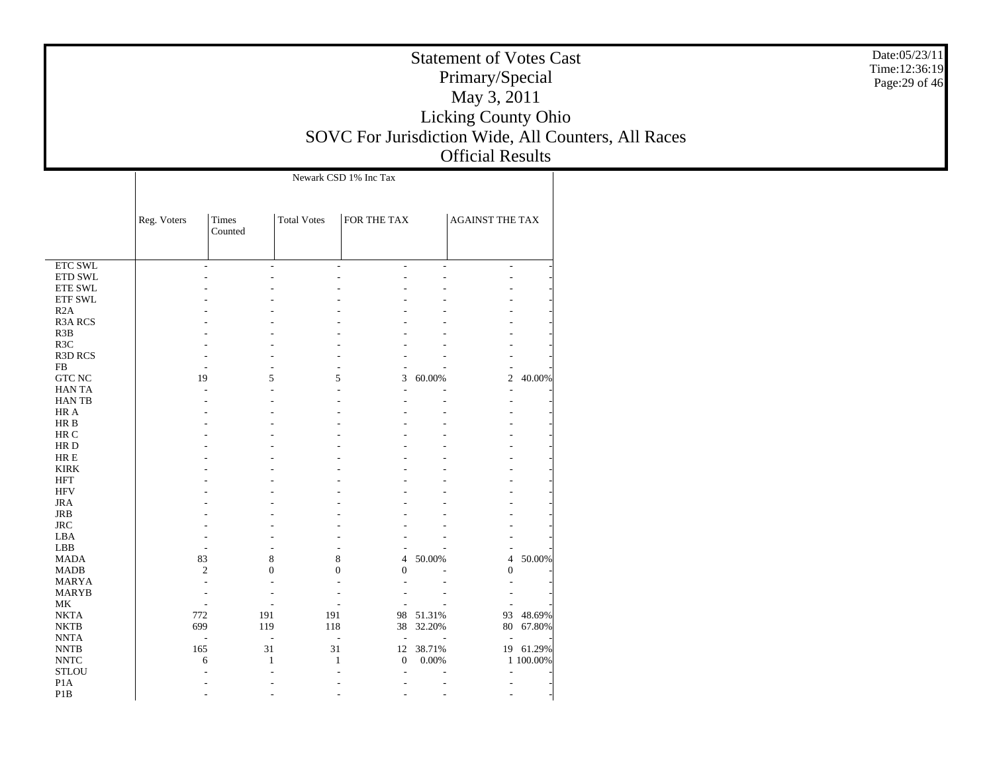|                                        |                |                  |              |                                      |             | <b>Statement of Votes Cast</b><br>Primary/Special<br>May 3, 2011<br>Licking County Ohio<br><b>Official Results</b> |        | Date:05/23/11<br>Time:12:36:19<br>Page: 29 of 46<br>SOVC For Jurisdiction Wide, All Counters, All Races |
|----------------------------------------|----------------|------------------|--------------|--------------------------------------|-------------|--------------------------------------------------------------------------------------------------------------------|--------|---------------------------------------------------------------------------------------------------------|
|                                        | Reg. Voters    | Times<br>Counted | Total Votes  | Newark CSD 1% Inc Tax<br>FOR THE TAX |             | <b>AGAINST THE TAX</b>                                                                                             |        |                                                                                                         |
| $\overline{\text{ETC SWL}}$<br>ETD SWL |                |                  |              |                                      |             |                                                                                                                    |        |                                                                                                         |
| ETE SWL                                |                |                  |              |                                      |             |                                                                                                                    |        |                                                                                                         |
| ETF SWL                                |                |                  |              |                                      |             |                                                                                                                    |        |                                                                                                         |
| R2A                                    |                |                  |              |                                      |             |                                                                                                                    |        |                                                                                                         |
| <b>R3A RCS</b><br>R3B                  |                |                  |              |                                      |             |                                                                                                                    |        |                                                                                                         |
| R3C                                    |                |                  |              |                                      |             |                                                                                                                    |        |                                                                                                         |
| R3D RCS                                |                |                  |              |                                      |             |                                                                                                                    |        |                                                                                                         |
| FB                                     |                |                  |              |                                      |             |                                                                                                                    |        |                                                                                                         |
| GTC NC                                 | 19             |                  | 5            | 5                                    | 3<br>60.00% | $\mathbf{2}$                                                                                                       | 40.00% |                                                                                                         |
| HAN TA                                 |                |                  |              |                                      |             |                                                                                                                    |        |                                                                                                         |
| HAN TB<br>HR A                         |                |                  |              |                                      |             |                                                                                                                    |        |                                                                                                         |
| HR B                                   |                |                  |              |                                      |             |                                                                                                                    |        |                                                                                                         |
| $\rm{HR}$ C                            |                |                  |              |                                      |             |                                                                                                                    |        |                                                                                                         |
| HR D                                   |                |                  |              |                                      |             |                                                                                                                    |        |                                                                                                         |
| $\rm HR\,E$                            |                |                  |              |                                      |             |                                                                                                                    |        |                                                                                                         |
| <b>KIRK</b>                            |                |                  |              |                                      |             |                                                                                                                    |        |                                                                                                         |
| <b>HFT</b>                             |                |                  |              |                                      |             |                                                                                                                    |        |                                                                                                         |
| <b>HFV</b>                             |                |                  |              |                                      |             |                                                                                                                    |        |                                                                                                         |
| <b>JRA</b>                             |                |                  |              |                                      |             |                                                                                                                    |        |                                                                                                         |
| <b>JRB</b>                             |                |                  |              |                                      |             |                                                                                                                    |        |                                                                                                         |
| $\rm JRC$                              |                |                  |              |                                      |             |                                                                                                                    |        |                                                                                                         |
| LBA<br>LBB                             |                |                  |              |                                      |             |                                                                                                                    |        |                                                                                                         |
| <b>MADA</b>                            | 83             |                  | $\,8\,$      | 8                                    | 50.00%<br>4 | $\overline{4}$                                                                                                     | 50.00% |                                                                                                         |
| <b>MADB</b>                            | $\overline{2}$ |                  | $\mathbf{0}$ | $\theta$                             | $\Omega$    | $\theta$                                                                                                           |        |                                                                                                         |

93 48.69%

 $80 \t67.80\%$ 

19 61.29%

1 100.00%

 MARYA MARYB MK NKTA NKTB NNTA NNTB NNTC STLOU P1A P1B

-

-

-

772

 $699$ 

-

6

-

-

-

165

- - - - - -

- - - - - -

- - - - - -

- - - - - -

- - - - - -

- - - - - -

- - - - - -

38 32.20%

191 191 98 51.31%<br>119 118 38 32.20%

31 31 12 38.71%

1 1 0 0.00%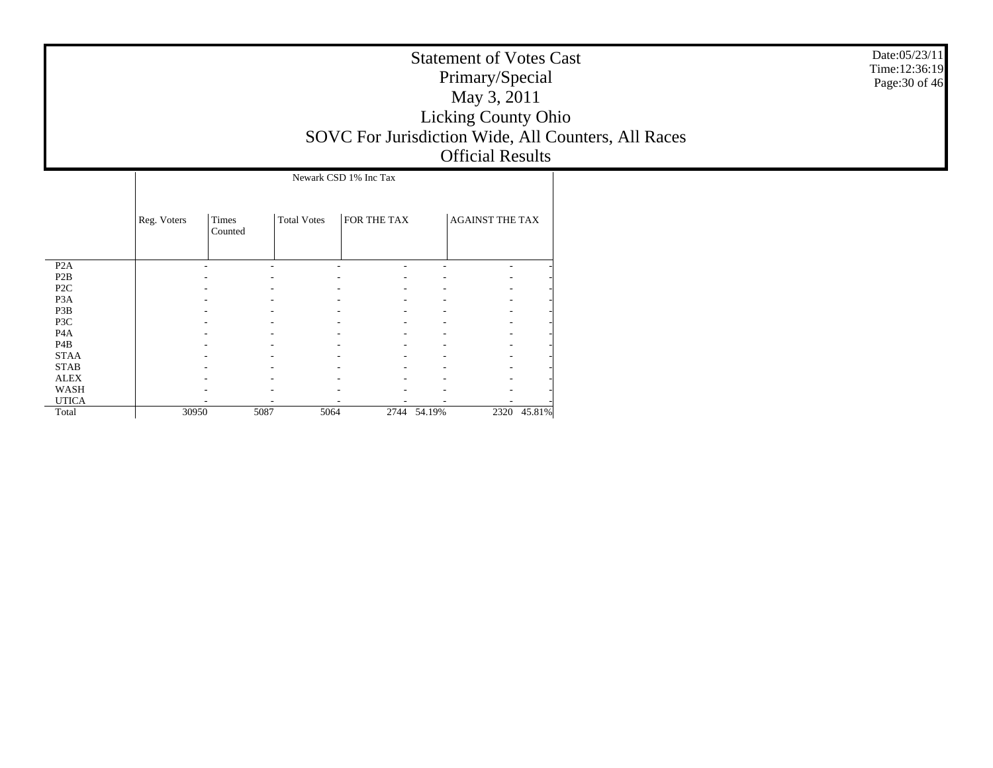| <b>Statement of Votes Cast</b>                      |
|-----------------------------------------------------|
| Primary/Special                                     |
| May 3, 2011                                         |
| <b>Licking County Ohio</b>                          |
| SOVC For Jurisdiction Wide, All Counters, All Races |
| <b>Official Results</b>                             |

|                  |             | Newark CSD 1% Inc Tax |                    |              |        |                        |        |  |  |  |  |  |
|------------------|-------------|-----------------------|--------------------|--------------|--------|------------------------|--------|--|--|--|--|--|
|                  | Reg. Voters | Times<br>Counted      | <b>Total Votes</b> | FOR THE TAX  |        | <b>AGAINST THE TAX</b> |        |  |  |  |  |  |
| P <sub>2</sub> A |             |                       |                    |              |        |                        |        |  |  |  |  |  |
| P2B              |             |                       |                    |              |        |                        |        |  |  |  |  |  |
| P <sub>2</sub> C |             |                       |                    |              |        |                        |        |  |  |  |  |  |
| P <sub>3</sub> A |             |                       |                    |              |        |                        |        |  |  |  |  |  |
| P3B              |             |                       |                    |              |        |                        |        |  |  |  |  |  |
| P3C              |             |                       |                    |              |        |                        |        |  |  |  |  |  |
| P <sub>4</sub> A |             |                       |                    |              |        |                        |        |  |  |  |  |  |
| P <sub>4</sub> B |             |                       |                    |              |        |                        |        |  |  |  |  |  |
| <b>STAA</b>      |             |                       |                    |              |        |                        |        |  |  |  |  |  |
| <b>STAB</b>      |             |                       |                    |              |        |                        |        |  |  |  |  |  |
| <b>ALEX</b>      |             |                       |                    |              |        |                        |        |  |  |  |  |  |
| WASH             |             |                       |                    |              |        |                        |        |  |  |  |  |  |
| <b>UTICA</b>     |             |                       |                    |              |        |                        |        |  |  |  |  |  |
| Total            | 30950       |                       | 5087               | 5064<br>2744 | 54.19% | 2320                   | 45.81% |  |  |  |  |  |

Date:05/23/11 Time:12:36:19 Page:30 of 46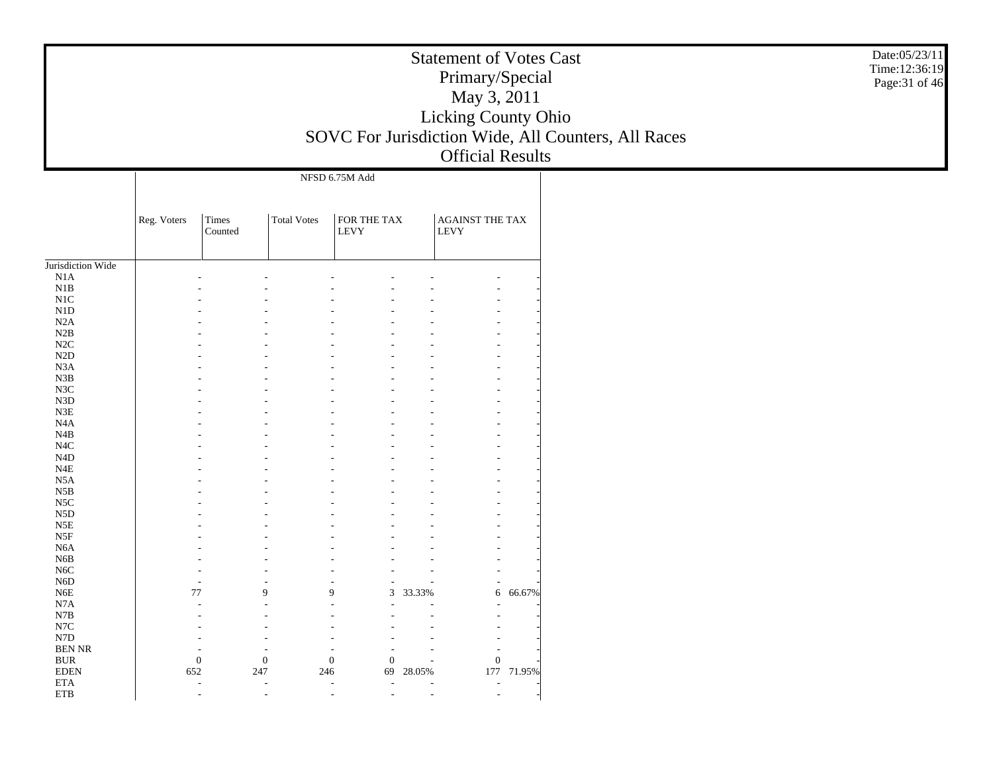|                           |             |              | <b>Statement of Votes Cast</b> | Date:05/23/11<br>Time:12:36:19 |          |                             |            |                                                     |                |
|---------------------------|-------------|--------------|--------------------------------|--------------------------------|----------|-----------------------------|------------|-----------------------------------------------------|----------------|
|                           |             |              |                                |                                |          | Primary/Special             |            |                                                     | Page: 31 of 46 |
|                           |             |              |                                |                                |          | May 3, 2011                 |            |                                                     |                |
|                           |             |              |                                |                                |          | Licking County Ohio         |            |                                                     |                |
|                           |             |              |                                |                                |          |                             |            |                                                     |                |
|                           |             |              |                                |                                |          |                             |            | SOVC For Jurisdiction Wide, All Counters, All Races |                |
|                           |             |              |                                |                                |          | <b>Official Results</b>     |            |                                                     |                |
|                           |             |              |                                | NFSD 6.75M Add                 |          |                             |            |                                                     |                |
|                           |             |              |                                |                                |          |                             |            |                                                     |                |
|                           |             |              |                                |                                |          |                             |            |                                                     |                |
|                           | Reg. Voters | Times        | <b>Total Votes</b>             | FOR THE TAX                    |          | <b>AGAINST THE TAX</b>      |            |                                                     |                |
|                           |             | Counted      |                                | <b>LEVY</b>                    |          | <b>LEVY</b>                 |            |                                                     |                |
|                           |             |              |                                |                                |          |                             |            |                                                     |                |
| Jurisdiction Wide         |             |              |                                |                                |          |                             |            |                                                     |                |
| N1A                       |             |              |                                |                                |          |                             |            |                                                     |                |
| N1B                       |             |              |                                |                                |          |                             |            |                                                     |                |
| N <sub>1</sub> C          |             |              |                                |                                |          |                             |            |                                                     |                |
| N <sub>1</sub> D<br>N2A   |             |              |                                |                                |          |                             |            |                                                     |                |
| N2B                       |             |              |                                |                                |          |                             |            |                                                     |                |
| N2C                       |             |              |                                |                                |          |                             |            |                                                     |                |
| N <sub>2</sub> D          |             |              |                                |                                |          |                             |            |                                                     |                |
| N <sub>3</sub> A          |             |              |                                |                                |          |                             |            |                                                     |                |
| N3B                       |             |              |                                |                                |          |                             |            |                                                     |                |
| N3C                       |             |              |                                |                                |          |                             |            |                                                     |                |
| N <sub>3</sub> D          |             |              |                                |                                |          |                             |            |                                                     |                |
| N3E                       |             |              |                                |                                |          |                             |            |                                                     |                |
| N <sub>4</sub> A          |             |              |                                |                                |          |                             |            |                                                     |                |
| N4B<br>N <sub>4</sub> C   |             |              |                                |                                |          |                             |            |                                                     |                |
| N <sub>4</sub> D          |             |              |                                |                                |          |                             |            |                                                     |                |
| N4E                       |             |              |                                |                                |          |                             |            |                                                     |                |
| N5A                       |             |              |                                |                                |          |                             |            |                                                     |                |
| N5B                       |             |              |                                |                                |          |                             |            |                                                     |                |
| N <sub>5</sub> C          |             |              |                                |                                |          |                             |            |                                                     |                |
| N <sub>5</sub> D          |             |              |                                |                                |          |                             |            |                                                     |                |
| N5E                       |             |              |                                |                                |          |                             |            |                                                     |                |
| N5F                       |             |              |                                |                                |          |                             |            |                                                     |                |
| N <sub>6</sub> A<br>N6B   |             |              |                                |                                |          |                             |            |                                                     |                |
| N <sub>6</sub> C          |             |              |                                |                                |          |                             |            |                                                     |                |
| N <sub>6</sub> D          |             |              |                                |                                |          | $\overline{a}$              |            |                                                     |                |
| N <sub>6</sub> E          |             | $77\,$       | 9                              | $\mathbf{Q}$                   | 3 33.33% | 6                           | 66.67%     |                                                     |                |
| N7A                       |             |              |                                |                                |          |                             |            |                                                     |                |
| N7B                       |             |              |                                |                                |          |                             |            |                                                     |                |
| N7C                       |             |              |                                |                                |          |                             |            |                                                     |                |
| N7D                       |             |              |                                |                                |          |                             |            |                                                     |                |
| <b>BEN NR</b>             |             | $\mathbf{0}$ |                                | $\mathbf{0}$                   |          |                             |            |                                                     |                |
| <b>BUR</b><br><b>EDEN</b> | 652         |              | $\mathbf{0}$<br>247            | $\boldsymbol{0}$<br>246<br>69  | 28.05%   | $\boldsymbol{0}$            | 177 71.95% |                                                     |                |
| <b>ETA</b>                |             | $\sim$       | $\sim$                         | $\sim$<br>$\sim$               |          | $\sim$                      |            |                                                     |                |
| ETB                       |             |              |                                | $\sim$                         |          | $\mathcal{L}_{\mathcal{A}}$ |            |                                                     |                |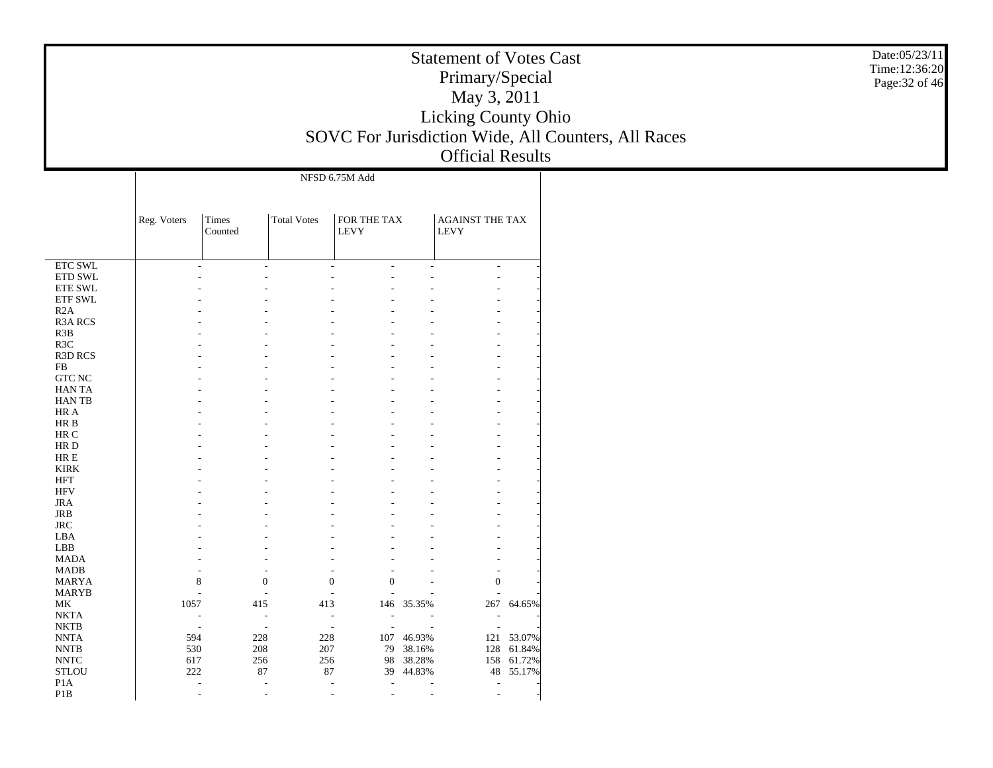| <b>Statement of Votes Cast</b>                      |  |
|-----------------------------------------------------|--|
| Primary/Special                                     |  |
| May 3, 2011                                         |  |
| <b>Licking County Ohio</b>                          |  |
| SOVC For Jurisdiction Wide, All Counters, All Races |  |
| <b>Official Results</b>                             |  |

Date:05/23/11 Time:12:36:20 Page:32 of 46

|                            |             |                  |                    | NFSD 6.75M Add                       |            |                                |        |
|----------------------------|-------------|------------------|--------------------|--------------------------------------|------------|--------------------------------|--------|
|                            | Reg. Voters | Times<br>Counted | <b>Total Votes</b> | FOR THE TAX<br><b>LEVY</b>           |            | AGAINST THE TAX<br><b>LEVY</b> |        |
| <b>ETC SWL</b>             | L,          | $\overline{a}$   |                    | $\overline{a}$<br>÷,                 | ÷,         | $\overline{\phantom{a}}$       |        |
| ETD SWL                    |             |                  |                    |                                      |            |                                |        |
| <b>ETE SWL</b>             |             |                  |                    |                                      |            |                                |        |
| ETF SWL                    |             |                  |                    |                                      |            |                                |        |
| R2A                        |             |                  |                    |                                      |            |                                |        |
| <b>R3A RCS</b>             |             |                  |                    |                                      |            |                                |        |
| R3B                        |             |                  |                    |                                      |            |                                |        |
| R <sub>3</sub> C           |             |                  |                    |                                      |            |                                |        |
| <b>R3D RCS</b>             |             |                  |                    |                                      |            |                                |        |
| ${\rm FB}$                 |             |                  |                    |                                      |            |                                |        |
| <b>GTC NC</b>              |             |                  |                    |                                      |            |                                |        |
| <b>HANTA</b>               |             |                  |                    |                                      |            |                                |        |
| <b>HANTB</b>               |             |                  |                    |                                      |            |                                |        |
| HR A                       |             |                  |                    |                                      |            |                                |        |
| HR B                       |             |                  |                    |                                      |            |                                |        |
| HR C                       |             |                  |                    |                                      |            |                                |        |
| HR D                       |             |                  |                    |                                      |            |                                |        |
| $HRE$                      |             |                  |                    |                                      |            |                                |        |
| <b>KIRK</b>                |             |                  |                    |                                      |            |                                |        |
| <b>HFT</b>                 |             |                  |                    |                                      |            |                                |        |
| <b>HFV</b>                 |             |                  |                    |                                      |            |                                |        |
| <b>JRA</b>                 |             |                  |                    |                                      |            |                                |        |
| <b>JRB</b>                 |             |                  |                    |                                      |            |                                |        |
| <b>JRC</b>                 |             |                  |                    |                                      |            |                                |        |
| LBA                        |             |                  |                    |                                      |            |                                |        |
| LBB                        |             |                  |                    |                                      |            |                                |        |
| <b>MADA</b>                |             |                  |                    |                                      |            |                                |        |
| <b>MADB</b>                |             |                  |                    |                                      |            |                                |        |
| <b>MARYA</b>               | 8           | $\boldsymbol{0}$ |                    | $\boldsymbol{0}$<br>$\boldsymbol{0}$ |            | $\boldsymbol{0}$               |        |
| <b>MARYB</b>               |             |                  |                    |                                      |            |                                |        |
| MK                         | 1057        | 415              | 413                |                                      | 146 35.35% | 267                            | 64.65% |
| <b>NKTA</b>                |             | $\overline{a}$   |                    | $\overline{a}$                       |            |                                |        |
| <b>NKTB</b>                |             | L,               |                    | ÷,<br>÷                              |            | ÷.                             |        |
| <b>NNTA</b>                | 594         | 228              | 228                |                                      | 107 46.93% | 121                            | 53.07% |
| <b>NNTB</b>                | 530         | 208              | 207                | 79                                   | 38.16%     | 128                            | 61.84% |
| $\ensuremath{\text{NNTC}}$ | 617         | 256              | 256                | 98                                   | 38.28%     | 158                            | 61.72% |
| <b>STLOU</b>               | 222         | 87               | 87                 | 39                                   | 44.83%     | 48                             | 55.17% |
| P <sub>1</sub> A           |             |                  |                    | $\overline{a}$                       |            | ÷,                             |        |
| P <sub>1</sub> B           | J.          | J.               |                    | ÷                                    | L.         |                                |        |
|                            |             |                  |                    |                                      |            |                                |        |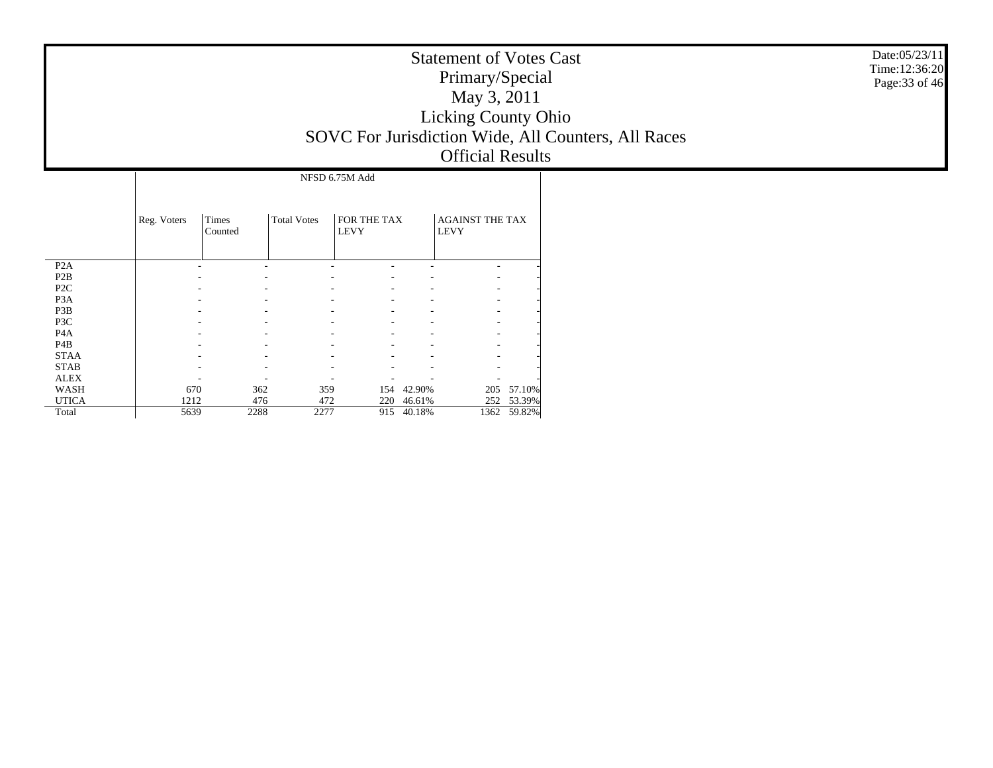| <b>Statement of Votes Cast</b>                      |
|-----------------------------------------------------|
| Primary/Special                                     |
| May 3, 2011                                         |
| <b>Licking County Ohio</b>                          |
| SOVC For Jurisdiction Wide, All Counters, All Races |
| <b>Official Results</b>                             |

|                  | NFSD 6.75M Add |                  |                    |                            |            |                                       |        |  |  |  |  |  |
|------------------|----------------|------------------|--------------------|----------------------------|------------|---------------------------------------|--------|--|--|--|--|--|
|                  | Reg. Voters    | Times<br>Counted | <b>Total Votes</b> | FOR THE TAX<br><b>LEVY</b> |            | <b>AGAINST THE TAX</b><br><b>LEVY</b> |        |  |  |  |  |  |
| P <sub>2</sub> A |                |                  |                    |                            |            |                                       |        |  |  |  |  |  |
| P <sub>2</sub> B |                |                  |                    |                            |            |                                       |        |  |  |  |  |  |
| P <sub>2</sub> C |                |                  |                    |                            |            |                                       |        |  |  |  |  |  |
| P <sub>3</sub> A |                |                  |                    |                            |            |                                       |        |  |  |  |  |  |
| P3B              |                |                  |                    |                            |            |                                       |        |  |  |  |  |  |
| P3C              |                |                  |                    |                            |            |                                       |        |  |  |  |  |  |
| P <sub>4</sub> A |                |                  |                    |                            |            |                                       |        |  |  |  |  |  |
| P4B              |                |                  |                    |                            |            |                                       |        |  |  |  |  |  |
| <b>STAA</b>      |                |                  |                    |                            |            |                                       |        |  |  |  |  |  |
| <b>STAB</b>      |                |                  |                    |                            |            |                                       |        |  |  |  |  |  |
| <b>ALEX</b>      |                |                  |                    |                            |            |                                       |        |  |  |  |  |  |
| WASH             | 670            | 362              | 359                |                            | 154 42.90% | 205                                   | 57.10% |  |  |  |  |  |
| <b>UTICA</b>     | 1212           | 476              | 472                | 220                        | 46.61%     | 252                                   | 53.39% |  |  |  |  |  |
| Total            | 5639           | 2288             | 2277               | 915                        | 40.18%     | 1362                                  | 59.82% |  |  |  |  |  |

Date:05/23/11 Time:12:36:20 Page:33 of 46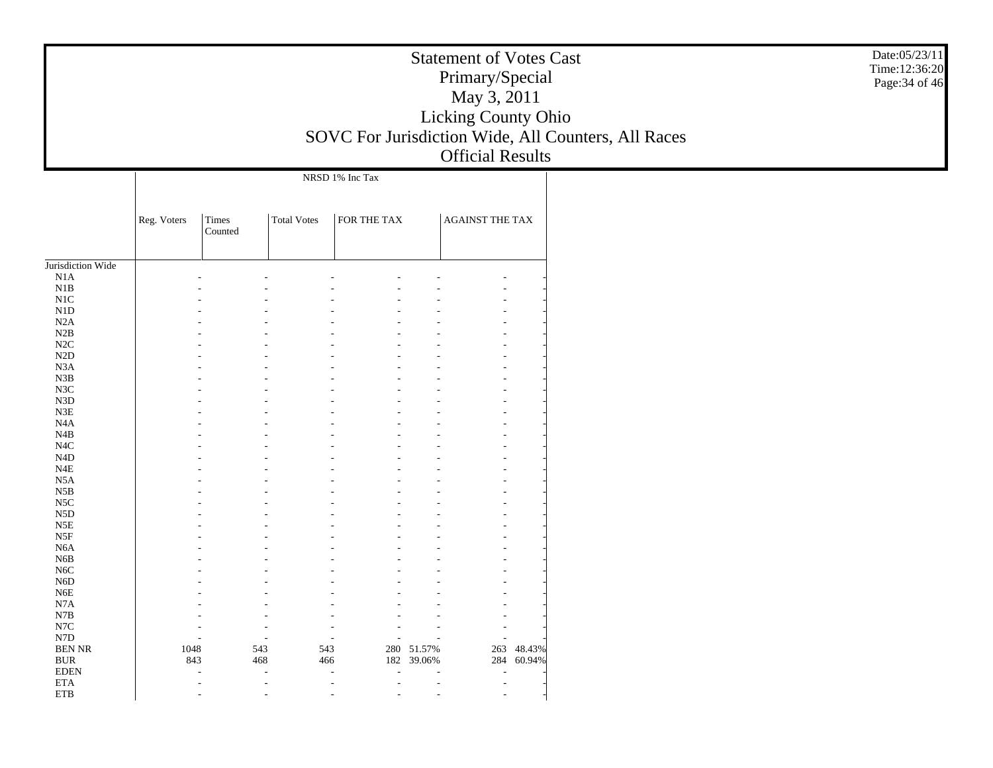|                              |             |                  | <b>Statement of Votes Cast</b><br>Primary/Special | Date:05/23/11<br>Time:12:36:20<br>Page: 34 of 46     |                          |                         |            |                                                     |  |
|------------------------------|-------------|------------------|---------------------------------------------------|------------------------------------------------------|--------------------------|-------------------------|------------|-----------------------------------------------------|--|
|                              |             |                  |                                                   |                                                      |                          | May 3, 2011             |            |                                                     |  |
|                              |             |                  |                                                   |                                                      |                          | Licking County Ohio     |            |                                                     |  |
|                              |             |                  |                                                   |                                                      |                          |                         |            | SOVC For Jurisdiction Wide, All Counters, All Races |  |
|                              |             |                  |                                                   |                                                      |                          |                         |            |                                                     |  |
|                              |             |                  |                                                   |                                                      |                          | <b>Official Results</b> |            |                                                     |  |
|                              |             |                  |                                                   | NRSD 1% Inc Tax                                      |                          |                         |            |                                                     |  |
|                              | Reg. Voters | Times<br>Counted | <b>Total Votes</b>                                | FOR THE TAX                                          |                          | <b>AGAINST THE TAX</b>  |            |                                                     |  |
| Jurisdiction Wide            |             |                  |                                                   |                                                      |                          |                         |            |                                                     |  |
| N1A                          |             |                  |                                                   |                                                      |                          |                         |            |                                                     |  |
| N1B                          |             |                  |                                                   |                                                      |                          |                         |            |                                                     |  |
| $\rm N1C$                    |             |                  |                                                   |                                                      |                          |                         |            |                                                     |  |
| N1D                          |             |                  |                                                   |                                                      |                          |                         |            |                                                     |  |
| N2A                          |             |                  |                                                   |                                                      |                          |                         |            |                                                     |  |
| N2B                          |             |                  |                                                   |                                                      |                          |                         |            |                                                     |  |
| $\rm N2C$                    |             |                  |                                                   |                                                      |                          |                         |            |                                                     |  |
| N2D                          |             |                  |                                                   |                                                      |                          |                         |            |                                                     |  |
| N3A<br>N3B                   |             |                  |                                                   |                                                      |                          |                         |            |                                                     |  |
| $_{\rm N3C}$                 |             |                  |                                                   |                                                      |                          |                         |            |                                                     |  |
| ${\rm N3D}$                  |             |                  |                                                   |                                                      |                          |                         |            |                                                     |  |
| N3E                          |             |                  |                                                   |                                                      |                          |                         |            |                                                     |  |
| N4A                          |             |                  |                                                   |                                                      |                          |                         |            |                                                     |  |
| N4B                          |             |                  |                                                   |                                                      |                          |                         |            |                                                     |  |
| $_{\mathrm{N4C}}$            |             |                  |                                                   |                                                      |                          |                         |            |                                                     |  |
| N4D                          |             |                  |                                                   |                                                      |                          |                         |            |                                                     |  |
| $_{\rm N4E}$                 |             |                  |                                                   |                                                      |                          |                         |            |                                                     |  |
| N5A                          |             |                  |                                                   |                                                      |                          |                         |            |                                                     |  |
| $_{\rm N5B}$<br>$_{\rm NSC}$ |             |                  |                                                   |                                                      |                          |                         |            |                                                     |  |
| N5D                          |             |                  |                                                   |                                                      |                          |                         |            |                                                     |  |
| N5E                          |             |                  |                                                   |                                                      |                          |                         |            |                                                     |  |
| N5F                          |             |                  |                                                   |                                                      |                          |                         |            |                                                     |  |
| N <sub>6</sub> A             |             |                  |                                                   |                                                      |                          |                         |            |                                                     |  |
| N <sub>6</sub> B             |             |                  |                                                   |                                                      |                          |                         |            |                                                     |  |
| N <sub>6</sub> C             |             |                  |                                                   |                                                      |                          |                         |            |                                                     |  |
| N <sub>6</sub> D             |             |                  |                                                   |                                                      |                          |                         |            |                                                     |  |
| N6E                          |             |                  |                                                   |                                                      |                          |                         |            |                                                     |  |
| N7A<br>$_{\rm N7B}$          |             |                  |                                                   |                                                      |                          |                         |            |                                                     |  |
| $_{\rm N7C}$                 |             |                  |                                                   |                                                      |                          |                         |            |                                                     |  |
| ${\rm N7D}$                  |             |                  |                                                   |                                                      |                          |                         |            |                                                     |  |
| <b>BEN NR</b>                | 1048        |                  | 543<br>543                                        |                                                      | 280 51.57%               | 263                     | 48.43%     |                                                     |  |
| $\rm BUR$                    | 843         |                  | 468                                               | 466                                                  | 182 39.06%               |                         | 284 60.94% |                                                     |  |
| <b>EDEN</b>                  |             |                  | $\overline{\phantom{a}}$                          | $\overline{\phantom{a}}$<br>$\overline{\phantom{a}}$ | $\overline{\phantom{a}}$ |                         |            |                                                     |  |
| ETA                          |             |                  | $\overline{a}$                                    |                                                      |                          |                         |            |                                                     |  |
| ${\rm ETB}$                  |             | $\overline{a}$   | $\overline{\phantom{m}}$                          | $\overline{\phantom{a}}$                             |                          |                         |            |                                                     |  |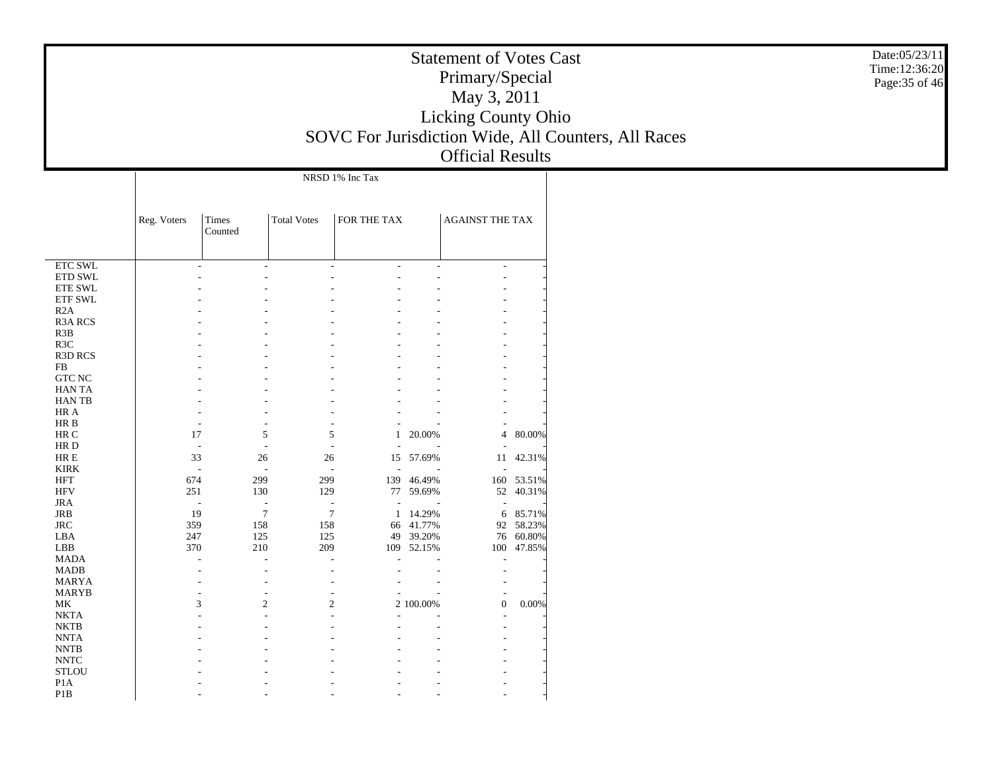|                            | <b>Statement of Votes Cast</b><br>Primary/Special<br>May 3, 2011 |                  |                    |                          |                         |                         |                         |                                                     |  |  |  |
|----------------------------|------------------------------------------------------------------|------------------|--------------------|--------------------------|-------------------------|-------------------------|-------------------------|-----------------------------------------------------|--|--|--|
|                            |                                                                  |                  |                    |                          |                         |                         |                         |                                                     |  |  |  |
|                            |                                                                  |                  |                    |                          |                         | Licking County Ohio     |                         |                                                     |  |  |  |
|                            |                                                                  |                  |                    |                          |                         |                         |                         | SOVC For Jurisdiction Wide, All Counters, All Races |  |  |  |
|                            |                                                                  |                  |                    |                          |                         |                         |                         |                                                     |  |  |  |
|                            |                                                                  |                  |                    |                          |                         | <b>Official Results</b> |                         |                                                     |  |  |  |
|                            |                                                                  |                  |                    | NRSD 1% Inc Tax          |                         |                         |                         |                                                     |  |  |  |
|                            |                                                                  |                  |                    |                          |                         |                         |                         |                                                     |  |  |  |
|                            | Reg. Voters                                                      | Times<br>Counted | <b>Total Votes</b> | FOR THE TAX              |                         | <b>AGAINST THE TAX</b>  |                         |                                                     |  |  |  |
|                            |                                                                  |                  |                    |                          |                         |                         |                         |                                                     |  |  |  |
| ETC SWL                    |                                                                  |                  | $\overline{a}$     | $\overline{\phantom{a}}$ |                         |                         |                         |                                                     |  |  |  |
| $\rm ETD$ SWL              |                                                                  |                  |                    |                          |                         |                         |                         |                                                     |  |  |  |
| ETE SWL                    |                                                                  |                  |                    |                          |                         |                         |                         |                                                     |  |  |  |
| ETF SWL                    |                                                                  |                  |                    |                          |                         |                         |                         |                                                     |  |  |  |
| R2A                        |                                                                  |                  |                    |                          |                         |                         |                         |                                                     |  |  |  |
| R3A RCS                    |                                                                  |                  |                    |                          |                         |                         |                         |                                                     |  |  |  |
| R3B                        |                                                                  |                  |                    |                          |                         |                         |                         |                                                     |  |  |  |
| R3C<br>R3D RCS             |                                                                  |                  |                    |                          |                         |                         |                         |                                                     |  |  |  |
| ${\rm FB}$                 |                                                                  |                  |                    |                          |                         |                         |                         |                                                     |  |  |  |
| ${\rm GTC}$ NC             |                                                                  |                  |                    |                          |                         |                         |                         |                                                     |  |  |  |
| HAN TA                     |                                                                  |                  |                    |                          |                         |                         |                         |                                                     |  |  |  |
| HAN TB                     |                                                                  |                  |                    |                          |                         |                         |                         |                                                     |  |  |  |
| HR A                       |                                                                  |                  |                    |                          |                         |                         |                         |                                                     |  |  |  |
| $HRB$                      |                                                                  |                  |                    |                          |                         |                         |                         |                                                     |  |  |  |
| $\rm{HR}$ C                | 17                                                               |                  | $\mathfrak{S}$     | 5                        | 1 20.00%                |                         | 4 80.00%                |                                                     |  |  |  |
| $\rm HR$ D                 |                                                                  |                  |                    |                          |                         |                         |                         |                                                     |  |  |  |
| ${\rm HR} \to$             | 33                                                               |                  | 26                 | 26                       | 15 57.69%               |                         | 11 42.31%               |                                                     |  |  |  |
| <b>KIRK</b>                |                                                                  |                  |                    |                          |                         |                         |                         |                                                     |  |  |  |
| HFT<br><b>HFV</b>          | 674<br>251                                                       | 299<br>130       | 299<br>129         |                          | 139 46.49%<br>77 59.69% |                         | 160 53.51%<br>52 40.31% |                                                     |  |  |  |
| <b>JRA</b>                 |                                                                  |                  | Ĭ.                 |                          |                         |                         |                         |                                                     |  |  |  |
| JRB                        | 19                                                               |                  | $7\phantom{.0}$    | $\overline{7}$<br>1      | 14.29%                  |                         | 6 85.71%                |                                                     |  |  |  |
| $\rm JRC$                  | 359                                                              | 158              | 158                |                          | 66 41.77%               |                         | 92 58.23%               |                                                     |  |  |  |
| LBA                        | 247                                                              | 125              | 125                | 49                       | 39.20%                  | 76                      | 60.80%                  |                                                     |  |  |  |
| ${\rm LBB}$                | 370                                                              | 210              | 209                |                          | 109 52.15%              |                         | 100 47.85%              |                                                     |  |  |  |
| <b>MADA</b>                |                                                                  |                  |                    |                          |                         |                         |                         |                                                     |  |  |  |
| $\mbox{MADB}$              |                                                                  |                  |                    |                          |                         |                         |                         |                                                     |  |  |  |
| <b>MARYA</b>               |                                                                  |                  |                    |                          |                         |                         |                         |                                                     |  |  |  |
| <b>MARYB</b><br>$\rm MK$   | $\mathbf{R}$                                                     |                  | $\mathcal{D}$      | $\bigcap$                | 2.100.00%               | $\Omega$                | 0.00%                   |                                                     |  |  |  |
| <b>NKTA</b>                |                                                                  |                  |                    |                          |                         |                         |                         |                                                     |  |  |  |
| <b>NKTB</b>                |                                                                  |                  |                    |                          |                         |                         |                         |                                                     |  |  |  |
| $\ensuremath{\text{NNTA}}$ |                                                                  |                  |                    |                          |                         |                         |                         |                                                     |  |  |  |
| <b>NNTB</b>                |                                                                  |                  |                    |                          |                         |                         |                         |                                                     |  |  |  |
| $\ensuremath{\text{NNTC}}$ |                                                                  |                  |                    |                          |                         |                         |                         |                                                     |  |  |  |
| <b>STLOU</b>               |                                                                  |                  |                    |                          |                         |                         |                         |                                                     |  |  |  |
| P1A                        |                                                                  |                  |                    |                          |                         |                         |                         |                                                     |  |  |  |
| P1B                        |                                                                  |                  |                    |                          |                         |                         |                         |                                                     |  |  |  |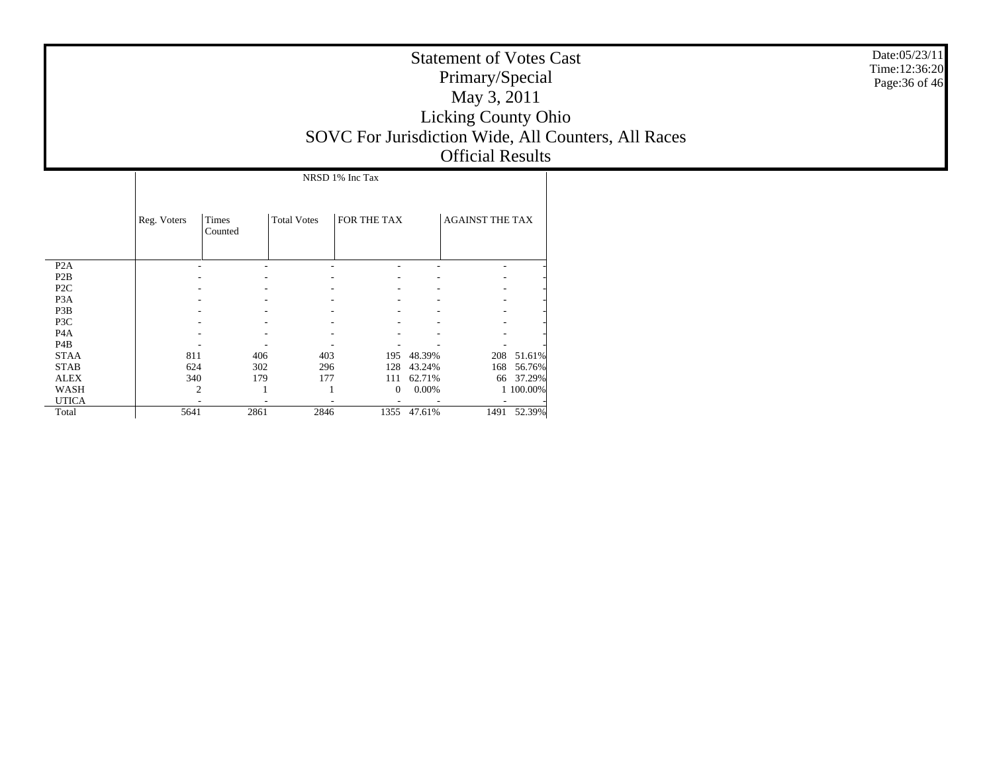| <b>Statement of Votes Cast</b>                      |
|-----------------------------------------------------|
| Primary/Special                                     |
| May 3, 2011                                         |
| <b>Licking County Ohio</b>                          |
| SOVC For Jurisdiction Wide, All Counters, All Races |
| <b>Official Results</b>                             |

|                  |             | NRSD 1% Inc Tax  |                    |                |        |                        |           |  |  |  |  |  |  |  |
|------------------|-------------|------------------|--------------------|----------------|--------|------------------------|-----------|--|--|--|--|--|--|--|
|                  | Reg. Voters | Times<br>Counted | <b>Total Votes</b> | FOR THE TAX    |        | <b>AGAINST THE TAX</b> |           |  |  |  |  |  |  |  |
| P <sub>2</sub> A |             |                  |                    |                |        |                        |           |  |  |  |  |  |  |  |
| P <sub>2</sub> B |             |                  |                    |                |        |                        |           |  |  |  |  |  |  |  |
| P <sub>2</sub> C |             |                  |                    |                |        |                        |           |  |  |  |  |  |  |  |
| P <sub>3</sub> A |             |                  |                    |                |        |                        |           |  |  |  |  |  |  |  |
| P3B              |             |                  |                    |                |        |                        |           |  |  |  |  |  |  |  |
| P3C              |             |                  |                    |                |        |                        |           |  |  |  |  |  |  |  |
| P <sub>4</sub> A |             |                  |                    |                |        |                        |           |  |  |  |  |  |  |  |
| P4B              |             |                  |                    |                |        |                        |           |  |  |  |  |  |  |  |
| <b>STAA</b>      | 811         | 406              | 403                | 195            | 48.39% | 208                    | 51.61%    |  |  |  |  |  |  |  |
| <b>STAB</b>      | 624         | 302              | 296                | 128            | 43.24% | 168                    | 56.76%    |  |  |  |  |  |  |  |
| <b>ALEX</b>      | 340         | 179              | 177                | 111            | 62.71% | 66                     | 37.29%    |  |  |  |  |  |  |  |
| WASH             | 2           |                  |                    | $\overline{0}$ | 0.00%  |                        | 1 100.00% |  |  |  |  |  |  |  |
| <b>UTICA</b>     |             |                  |                    |                |        |                        |           |  |  |  |  |  |  |  |
| Total            | 5641        | 2861             | 2846               | 1355           | 47.61% | 1491                   | 52.39%    |  |  |  |  |  |  |  |

Date:05/23/11 Time:12:36:20 Page:36 of 46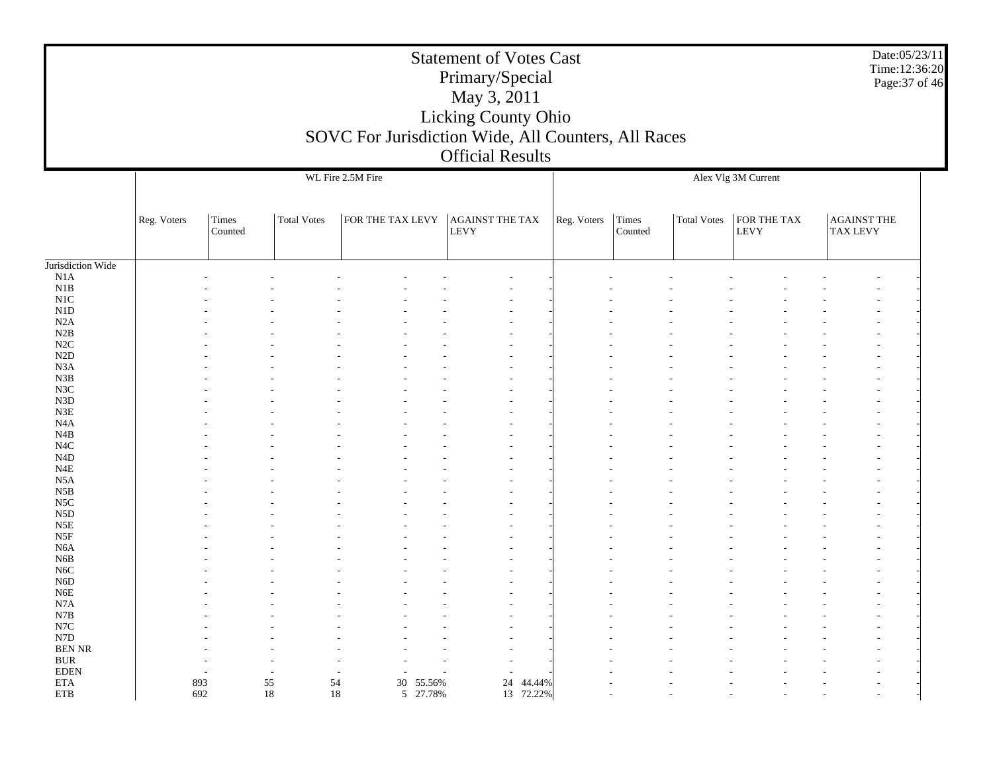| <b>Statement of Votes Cast</b><br>Primary/Special<br>May 3, 2011<br><b>Licking County Ohio</b><br>SOVC For Jurisdiction Wide, All Counters, All Races<br><b>Official Results</b> | Date:05/23/11<br>Time:12:36:20<br>Page: 37 of 46 |  |
|----------------------------------------------------------------------------------------------------------------------------------------------------------------------------------|--------------------------------------------------|--|
| WL Fire 2.5M Fire                                                                                                                                                                | Alex Vlg 3M Current                              |  |

|                           | Reg. Voters | Times<br>Counted | Total Votes | FOR THE TAX LEVY | <b>LEVY</b> | <b>AGAINST THE TAX</b>   | Reg. Voters | Times<br>Counted | Total Votes | FOR THE TAX<br>LEVY | <b>AGAINST THE</b><br><b>TAX LEVY</b> |  |
|---------------------------|-------------|------------------|-------------|------------------|-------------|--------------------------|-------------|------------------|-------------|---------------------|---------------------------------------|--|
|                           |             |                  |             |                  |             |                          |             |                  |             |                     |                                       |  |
| Jurisdiction Wide         |             |                  |             |                  |             |                          |             |                  |             |                     |                                       |  |
| $\rm N1A$                 |             |                  |             |                  |             |                          |             |                  |             |                     |                                       |  |
| $_{\rm N1B}$<br>$\rm N1C$ |             |                  |             |                  |             |                          |             |                  |             |                     |                                       |  |
| ${\rm N1D}$               |             |                  |             |                  |             |                          |             |                  |             |                     |                                       |  |
| $\rm N2A$                 |             |                  |             |                  |             |                          |             |                  |             |                     |                                       |  |
| $\rm N2B$                 |             |                  |             |                  |             |                          |             |                  |             |                     |                                       |  |
| $\rm N2C$                 |             |                  |             |                  |             |                          |             |                  |             |                     |                                       |  |
| $\rm N2D$                 |             |                  |             |                  |             |                          |             |                  |             |                     |                                       |  |
| N3A                       |             |                  |             |                  |             |                          |             |                  |             |                     |                                       |  |
| ${\bf N3B}$               |             |                  |             |                  |             |                          |             |                  |             |                     |                                       |  |
| $_{\rm N3C}$              |             |                  |             |                  |             |                          |             |                  |             |                     |                                       |  |
| ${\rm N3D}$               |             |                  |             |                  |             |                          |             |                  |             |                     |                                       |  |
| ${\rm N3E}$               |             |                  |             |                  |             |                          |             |                  |             |                     | $\overline{\phantom{a}}$              |  |
| $_{\mathrm{N4A}}$         |             |                  |             |                  |             |                          |             |                  |             |                     |                                       |  |
| N4B                       |             |                  |             |                  |             |                          |             |                  |             |                     |                                       |  |
| $_{\mathrm{N4C}}$         |             |                  |             |                  |             |                          |             |                  |             |                     |                                       |  |
| $\rm N4D$                 |             |                  |             |                  |             |                          |             |                  |             |                     |                                       |  |
| $_{\rm N4E}$              |             |                  |             |                  |             |                          |             |                  |             |                     |                                       |  |
| $_{\rm N5A}$              |             |                  |             |                  |             |                          |             |                  |             |                     |                                       |  |
| $_{\rm N5B}$              |             |                  |             |                  |             |                          |             |                  |             |                     |                                       |  |
| N5C                       |             |                  |             |                  |             |                          |             |                  |             |                     |                                       |  |
| ${\rm N5D}$               |             |                  |             |                  |             |                          |             |                  |             |                     |                                       |  |
| $_{\rm N5E}$              |             |                  |             |                  |             |                          |             |                  |             |                     |                                       |  |
| N5F                       |             |                  |             |                  |             |                          |             |                  |             |                     |                                       |  |
| $_{\mathrm{N6A}}$         |             |                  |             |                  |             |                          |             |                  |             |                     | $\overline{\phantom{a}}$              |  |
| ${\rm N6B}$               |             |                  |             |                  |             |                          |             |                  |             |                     |                                       |  |
| $_{\mathrm{NGC}}$         |             |                  |             |                  |             |                          |             |                  |             |                     |                                       |  |
| ${\rm N6D}$               |             |                  |             |                  |             |                          |             |                  |             |                     |                                       |  |
| ${\rm N6E}$               |             |                  |             |                  |             |                          |             |                  |             |                     |                                       |  |
| N7A                       |             |                  |             |                  |             |                          |             |                  |             |                     |                                       |  |
| ${\bf N7B}$               |             |                  |             |                  |             |                          |             |                  |             |                     |                                       |  |
| $_{\mathrm{N7C}}$         |             |                  |             |                  |             |                          |             |                  |             |                     |                                       |  |
| N7D                       |             |                  |             |                  |             |                          |             |                  |             |                     |                                       |  |
| $\operatorname{BEN}$ NR   |             |                  |             |                  |             |                          |             |                  |             |                     |                                       |  |
| $\rm BUR$                 |             |                  |             |                  |             |                          |             |                  |             |                     |                                       |  |
| $\rm EDEN$                |             | $\overline{a}$   |             |                  |             | $\overline{\phantom{a}}$ |             |                  |             |                     |                                       |  |
| $\rm ETA$                 | 893         | 55               | 54          | 30 55.56%        |             | 24<br>44.44%             |             |                  |             |                     |                                       |  |
| ${\rm ETB}$               | 692         | 18               | 18          | 5 27.78%         |             | 13 72.22%                |             |                  |             |                     | $\overline{a}$                        |  |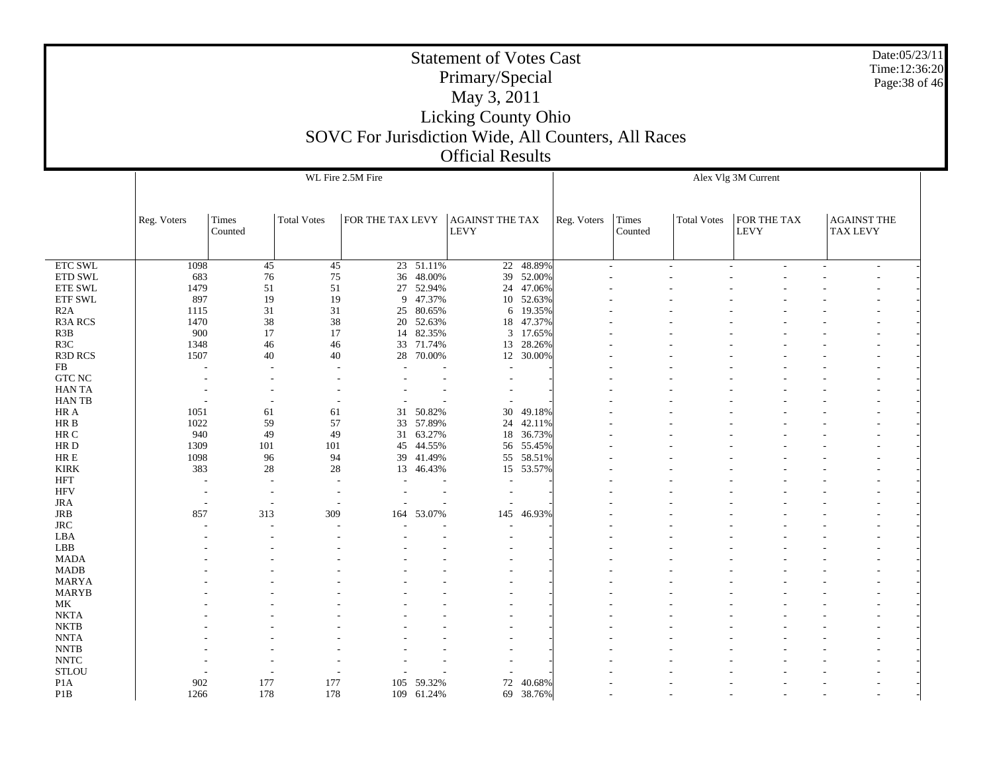Date:05/23/11Time:12:36:20Page:38 of 46

 ETC SWL ETD SWL ETE SWL ETF SWL R2A R3A RCS R3B R3C R3D RCS FB GTC NC HAN TA HAN TB HR A HR B HR C HR D HR E KIRK HFT HFV JRA JRB JRC LBA LBB MADA MADB MARYA MARYB MK NKTA NKTB NNTA NNTB NNTC STLOU P1A P1BReg. Voters Times CountedTotal Votes FOR THE TAX LEVY AGAINST THE TAX LEVYWL Fire 2.5M FireReg. Voters | Times CountedTotal Votes FOR THE TAX LEVYAGAINST THE TAX LEVYAlex Vlg 3M Current 1098 45 45 23 51.11% 22 48.89% - - - - - - - 683 76 75 36 48.00%% 39 52.00% - - - - - - - - - - - -1479 51 51 27 52.94%24 47.06% 897 19 19 9 47.37%10 52.63% 1115 31 31 25 80.65% $\%$  6 19.35% - - - - - - - - - - -1470 38 38 20 52.63% 18 47.37% - - - - - - - 900 17 17 14 82.35% $\%$  3 17.65% - - - - - - - - - - -1348 46 46 33 71.74%13 28.26% 1507 40 40 28 70.00% $\%$  12 30.00% - - - - - - - - - - -- - - - - - - - - - - - - - - - - - - - - - - - - - - - - - - - - - - - - - - - - - - - - - - - - - - - - 1051 61 61 31 50.82% 30 49.18% - - - - - - - 1022 59 57 33 57.89% 24 42.11% - - - - - - - 940 49 49 31 63.27% 18 36.73% - - - - - - - 1309101 101 45 44.55% 56 55.45% 1098 96 94 39 41.49% 55 58.51% - - - - - - - 383 28 28 13 46.43%15 53.57% - - - - - - - - - - - - - - - - - - - - - - - - - - - - - - - - - - - - - - - - 857 313 309 164 53.07% 145 46.93% - - - - - - - - - - - - - - - - - - - - - - - - - - - - - - - - - - - - - - - - - - - - - - - - - - - - - - - - - - - - - - - - - - - - - - - - - - - - - - - - - - - - - - - - - - - - - - - - - - - - - - - - - - - - - - - - - - - - - - - - - - - - - - - - - - - - - - - - - - - - - - - - - - - - - - - - - - - - - - - - - - - - - - - - - - - - - - - - - - - - - - - - - - - - - 902 177 177 105 59.32%72 40.68% 1266 178 178 109 61.24%69 38.76% - - - - - - -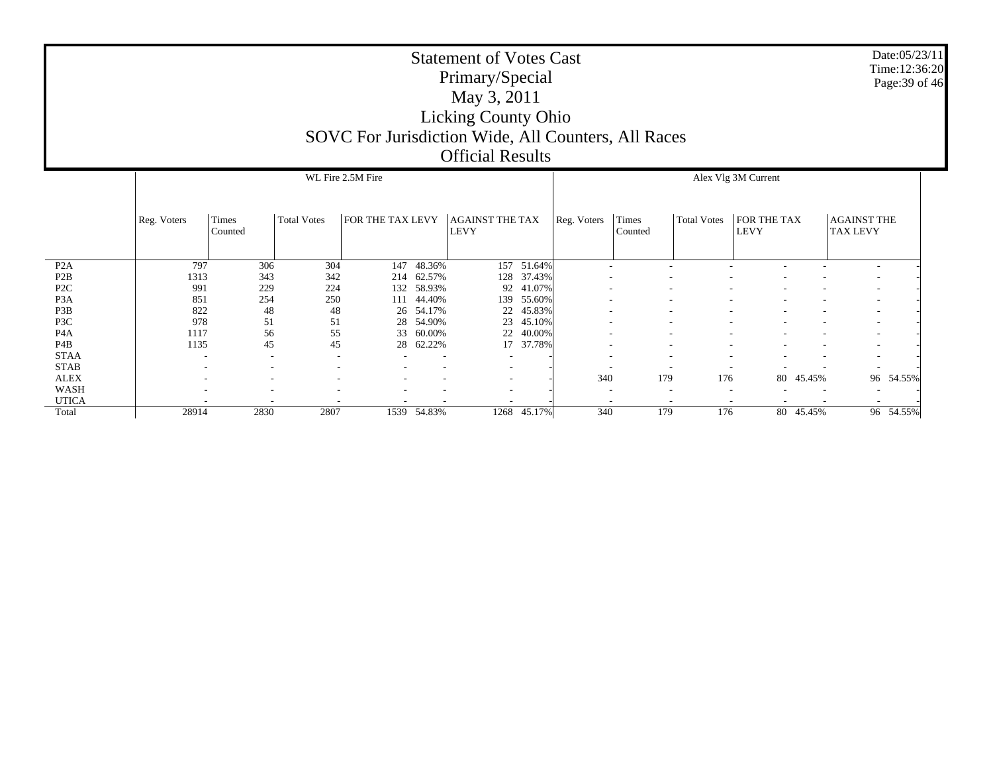|                  |             |                                          |                                                           |     |        | <b>Statement of Votes Cast</b><br>Primary/Special<br>May 3, 2011<br><b>Licking County Ohio</b><br>SOVC For Jurisdiction Wide, All Counters, All Races<br><b>Official Results</b> |                                                                      |  |  |             |                                       |                          | Date:05/23/11<br>Time:12:36:20<br>Page: 39 of 46 |  |  |
|------------------|-------------|------------------------------------------|-----------------------------------------------------------|-----|--------|----------------------------------------------------------------------------------------------------------------------------------------------------------------------------------|----------------------------------------------------------------------|--|--|-------------|---------------------------------------|--------------------------|--------------------------------------------------|--|--|
|                  |             | WL Fire 2.5M Fire<br>Alex Vlg 3M Current |                                                           |     |        |                                                                                                                                                                                  |                                                                      |  |  |             |                                       |                          |                                                  |  |  |
|                  | Reg. Voters | <b>Total Votes</b>                       | FOR THE TAX LEVY<br><b>AGAINST THE TAX</b><br><b>LEVY</b> |     |        |                                                                                                                                                                                  | Times<br><b>Total Votes</b><br>Reg. Voters<br><b>LEVY</b><br>Counted |  |  | FOR THE TAX | <b>AGAINST THE</b><br><b>TAX LEVY</b> |                          |                                                  |  |  |
| P2A              | 797         | 306                                      | 304                                                       | 147 | 48.36% |                                                                                                                                                                                  | 157 51.64%                                                           |  |  |             |                                       | $\overline{\phantom{a}}$ |                                                  |  |  |
| P2B              | 1313        | 343                                      | 342                                                       | 214 | 62.57% | 128                                                                                                                                                                              | 37.43%                                                               |  |  |             |                                       |                          |                                                  |  |  |
| P <sub>2</sub> C | 991         | 229                                      | 224                                                       | 132 | 58.93% | 92                                                                                                                                                                               | 41.07%                                                               |  |  |             |                                       | $\overline{\phantom{a}}$ |                                                  |  |  |
| P <sub>3</sub> A | 851         | 254                                      | 250                                                       | 111 | 44.40% | 139                                                                                                                                                                              | 55.60%                                                               |  |  |             |                                       |                          |                                                  |  |  |
| P3B              | 822         | 48                                       | 48                                                        | 26  | 54.17% | 22                                                                                                                                                                               | 45.83%                                                               |  |  |             |                                       | $\overline{a}$           |                                                  |  |  |
| P3C              | 978         | 51                                       | 51                                                        | 28  | 54.90% | 23                                                                                                                                                                               | 45.10%                                                               |  |  |             |                                       |                          |                                                  |  |  |
| P <sub>4</sub> A | 1117        | 56                                       | 55                                                        | 33  | 60.00% | 22                                                                                                                                                                               | 40.00%                                                               |  |  |             |                                       |                          |                                                  |  |  |
| P4B              | 1135        | 45                                       | 45                                                        | 28  | 62.22% | 17                                                                                                                                                                               | 37.78%                                                               |  |  |             |                                       | $\sim$                   |                                                  |  |  |
| <b>STAA</b>      |             |                                          |                                                           |     |        |                                                                                                                                                                                  |                                                                      |  |  |             |                                       | $\overline{\phantom{a}}$ |                                                  |  |  |
| <b>STAB</b>      |             |                                          |                                                           |     |        |                                                                                                                                                                                  |                                                                      |  |  |             |                                       |                          |                                                  |  |  |

- - - - - - - - - - - - - - - - 340

2830 2807 1539 54.83%

 - - - - - - - - - - - - - - - - - - - - - - - - - -

179 176 80 45.45%

1268 45.17% 340 179 176 80 45.45% 96 54.55%

96 54.55%

 ALEX WASH UTICA**Total** 

-

-

28914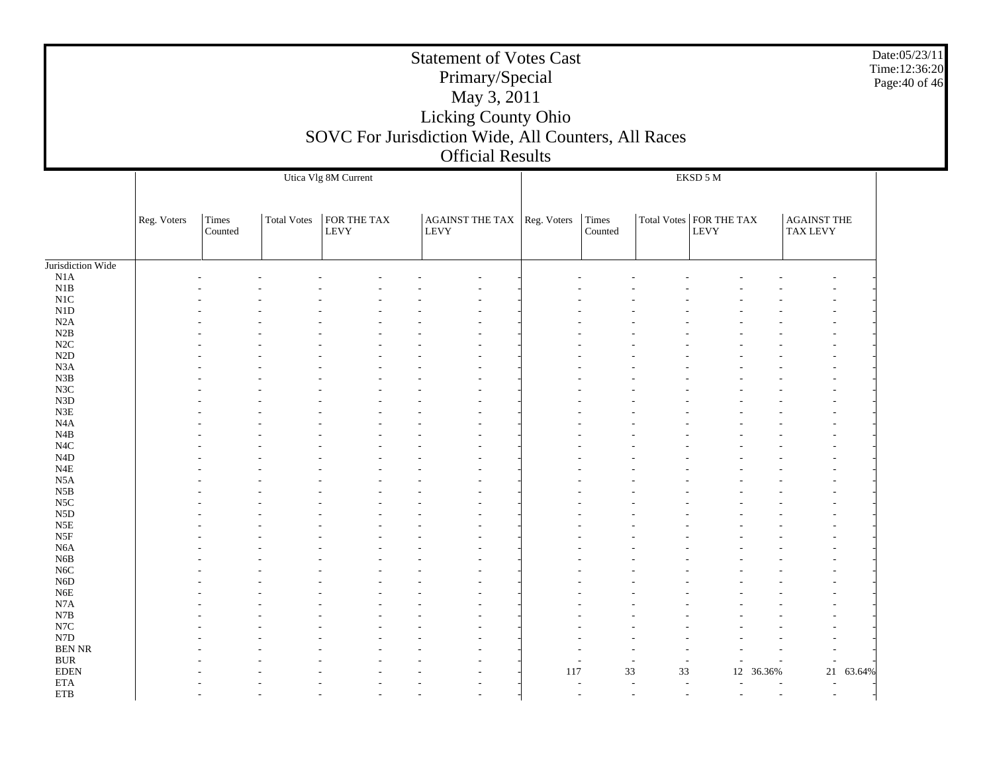|                    | <b>Statement of Votes Cast</b><br>Primary/Special<br>May 3, 2011<br>Licking County Ohio |                  |                    |                      |                                                     |     |  |          |          |           |        |        |  |
|--------------------|-----------------------------------------------------------------------------------------|------------------|--------------------|----------------------|-----------------------------------------------------|-----|--|----------|----------|-----------|--------|--------|--|
|                    |                                                                                         |                  |                    |                      |                                                     |     |  |          |          |           |        |        |  |
|                    |                                                                                         |                  |                    |                      | SOVC For Jurisdiction Wide, All Counters, All Races |     |  |          |          |           |        |        |  |
|                    |                                                                                         |                  |                    |                      | <b>Official Results</b>                             |     |  |          |          |           |        |        |  |
|                    |                                                                                         |                  |                    | Utica Vlg 8M Current |                                                     |     |  |          | EKSD 5 M |           |        |        |  |
|                    |                                                                                         |                  |                    |                      |                                                     |     |  |          |          |           |        |        |  |
|                    | Reg. Voters                                                                             | Times<br>Counted | <b>Total Votes</b> | FOR THE TAX<br>LEVY  | AGAINT THE TAX   Reg. Voters<br><b>LEVY</b>         |     |  |          |          |           |        |        |  |
| Jurisdiction Wide  |                                                                                         |                  |                    |                      |                                                     |     |  |          |          |           |        |        |  |
| N1A                |                                                                                         |                  |                    |                      |                                                     |     |  |          |          |           |        |        |  |
| N1B                |                                                                                         |                  |                    |                      |                                                     |     |  |          |          |           |        |        |  |
| N1C                |                                                                                         |                  |                    |                      |                                                     |     |  |          |          |           |        |        |  |
| N1D                |                                                                                         |                  |                    |                      |                                                     |     |  |          |          |           |        |        |  |
| N2A                |                                                                                         |                  |                    |                      |                                                     |     |  |          |          |           |        |        |  |
| N2B<br>$\rm N2C$   |                                                                                         |                  |                    |                      |                                                     |     |  |          |          |           |        |        |  |
| N2D                |                                                                                         |                  |                    |                      |                                                     |     |  |          |          |           |        |        |  |
| N3A                |                                                                                         |                  |                    |                      |                                                     |     |  |          |          |           |        |        |  |
| N3B                |                                                                                         |                  |                    |                      |                                                     |     |  |          |          |           |        |        |  |
| N3C                |                                                                                         |                  |                    |                      |                                                     |     |  |          |          |           |        |        |  |
| N3D                |                                                                                         |                  |                    |                      |                                                     |     |  |          |          |           |        |        |  |
| N3E                |                                                                                         |                  |                    |                      |                                                     |     |  |          |          |           |        |        |  |
| N4A<br>N4B         |                                                                                         |                  |                    |                      |                                                     |     |  |          |          |           |        |        |  |
| N4C                |                                                                                         |                  |                    |                      |                                                     |     |  |          |          |           |        |        |  |
| N4D                |                                                                                         |                  |                    |                      |                                                     |     |  |          |          |           |        |        |  |
| N4E                |                                                                                         |                  |                    |                      |                                                     |     |  |          |          |           |        |        |  |
| N <sub>5</sub> A   |                                                                                         |                  |                    |                      |                                                     |     |  |          |          |           |        |        |  |
| N5B                |                                                                                         |                  |                    |                      |                                                     |     |  |          |          |           |        |        |  |
| N5C                |                                                                                         |                  |                    |                      |                                                     |     |  |          |          |           |        |        |  |
| ${\rm N5D}$<br>N5E |                                                                                         |                  |                    |                      |                                                     |     |  |          |          |           |        |        |  |
| N5F                |                                                                                         |                  |                    |                      |                                                     |     |  |          |          |           |        |        |  |
| N <sub>6</sub> A   |                                                                                         |                  |                    |                      |                                                     |     |  |          |          |           |        |        |  |
| N <sub>6</sub> B   |                                                                                         |                  |                    |                      |                                                     |     |  |          |          |           |        |        |  |
| N <sub>6</sub> C   |                                                                                         |                  |                    |                      |                                                     |     |  |          |          |           |        |        |  |
| N <sub>6</sub> D   |                                                                                         |                  |                    |                      |                                                     |     |  |          |          |           |        |        |  |
| N6E                |                                                                                         |                  |                    |                      |                                                     |     |  |          |          |           |        |        |  |
| N7A<br>N7B         |                                                                                         |                  |                    |                      |                                                     |     |  |          |          |           |        |        |  |
| N7C                |                                                                                         |                  |                    |                      |                                                     |     |  |          |          |           |        |        |  |
| N7D                |                                                                                         |                  |                    |                      |                                                     |     |  |          |          |           |        |        |  |
| <b>BEN NR</b>      |                                                                                         |                  |                    |                      |                                                     |     |  |          |          |           |        |        |  |
| <b>BUR</b>         |                                                                                         |                  |                    |                      |                                                     |     |  |          |          |           |        |        |  |
| <b>EDEN</b>        |                                                                                         |                  |                    |                      |                                                     | 117 |  | 33<br>33 |          | 12 36.36% | 21     | 63.64% |  |
| <b>ETA</b>         |                                                                                         |                  |                    |                      |                                                     |     |  |          | L,       |           | $\sim$ |        |  |
| <b>ETB</b>         |                                                                                         |                  |                    |                      |                                                     |     |  |          |          |           |        |        |  |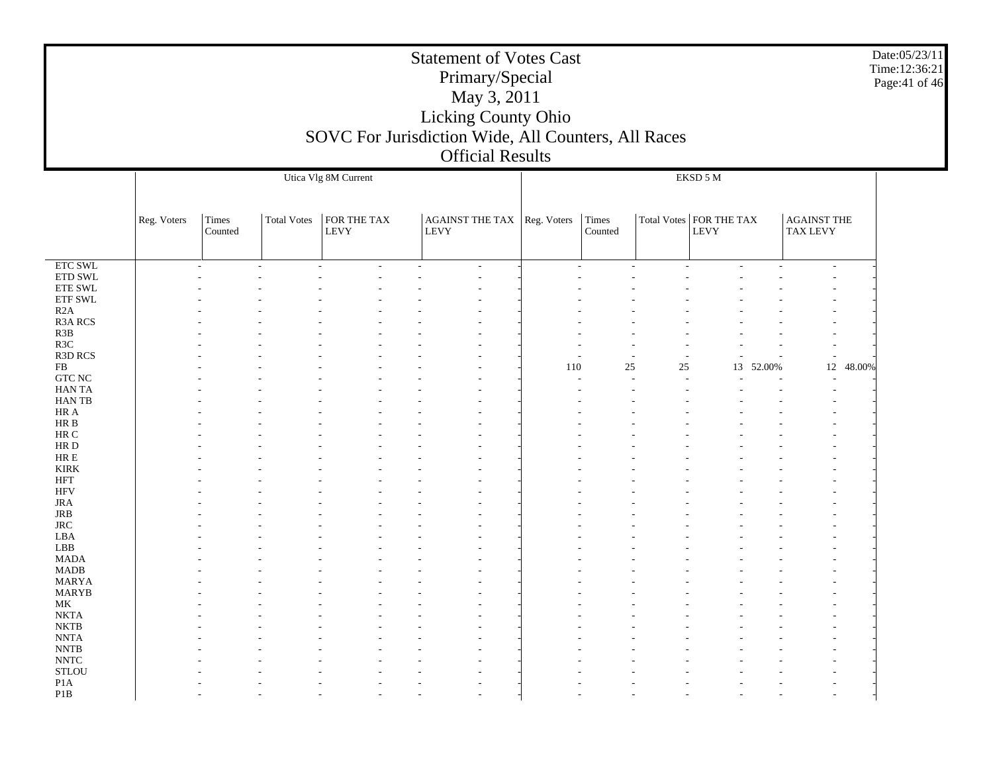|                                                                | Date:05/23/11<br><b>Statement of Votes Cast</b><br>Time:12:36:21<br>Primary/Special<br>Page: 41 of 46<br>May 3, 2011<br>Licking County Ohio<br>SOVC For Jurisdiction Wide, All Counters, All Races<br><b>Official Results</b><br>Utica Vlg 8M Current<br>EKSD 5 M |                  |                    |                     |                                            |     |                  |    |                                   |                                       |  |  |  |  |  |
|----------------------------------------------------------------|-------------------------------------------------------------------------------------------------------------------------------------------------------------------------------------------------------------------------------------------------------------------|------------------|--------------------|---------------------|--------------------------------------------|-----|------------------|----|-----------------------------------|---------------------------------------|--|--|--|--|--|
|                                                                |                                                                                                                                                                                                                                                                   |                  |                    |                     |                                            |     |                  |    |                                   |                                       |  |  |  |  |  |
|                                                                | Reg. Voters                                                                                                                                                                                                                                                       | Times<br>Counted | <b>Total Votes</b> | FOR THE TAX<br>LEVY | AGAINST THE TAX Reg. Voters<br><b>LEVY</b> |     | Times<br>Counted |    | Total Votes   FOR THE TAX<br>LEVY | <b>AGAINST THE</b><br><b>TAX LEVY</b> |  |  |  |  |  |
| <b>ETC SWL</b><br>ETD SWL<br>ETE SWL<br>ETF SWL                |                                                                                                                                                                                                                                                                   |                  |                    |                     |                                            |     |                  |    |                                   |                                       |  |  |  |  |  |
| R2A<br><b>R3A RCS</b><br>R3B<br>R3C                            |                                                                                                                                                                                                                                                                   |                  |                    |                     |                                            |     |                  |    |                                   |                                       |  |  |  |  |  |
| R3D RCS<br>FB<br><b>GTC NC</b><br>HAN TA                       |                                                                                                                                                                                                                                                                   |                  |                    |                     |                                            | 110 | $25\,$           | 25 | 13<br>52.00%                      | 12<br>48.00%                          |  |  |  |  |  |
| HAN TB<br>$\rm HR\ A$<br>HR B                                  |                                                                                                                                                                                                                                                                   |                  |                    |                     |                                            |     |                  |    |                                   |                                       |  |  |  |  |  |
| $\rm HR$ C<br>HR D<br>HR E<br><b>KIRK</b>                      |                                                                                                                                                                                                                                                                   |                  |                    |                     |                                            |     |                  |    |                                   |                                       |  |  |  |  |  |
| HFT<br><b>HFV</b><br><b>JRA</b><br>JRB                         |                                                                                                                                                                                                                                                                   |                  |                    |                     |                                            |     |                  |    |                                   |                                       |  |  |  |  |  |
| <b>JRC</b><br>LBA<br>LBB<br><b>MADA</b>                        |                                                                                                                                                                                                                                                                   |                  |                    |                     |                                            |     |                  |    |                                   |                                       |  |  |  |  |  |
| <b>MADB</b><br><b>MARYA</b><br><b>MARYB</b><br>MK              |                                                                                                                                                                                                                                                                   |                  |                    |                     |                                            |     |                  |    |                                   |                                       |  |  |  |  |  |
| <b>NKTA</b><br><b>NKTB</b><br><b>NNTA</b>                      |                                                                                                                                                                                                                                                                   |                  |                    |                     |                                            |     |                  |    |                                   |                                       |  |  |  |  |  |
| <b>NNTB</b><br><b>NNTC</b><br><b>STLOU</b><br>P <sub>1</sub> A |                                                                                                                                                                                                                                                                   |                  |                    |                     |                                            |     |                  |    |                                   |                                       |  |  |  |  |  |
| P <sub>1</sub> B                                               |                                                                                                                                                                                                                                                                   |                  |                    |                     |                                            |     |                  |    |                                   |                                       |  |  |  |  |  |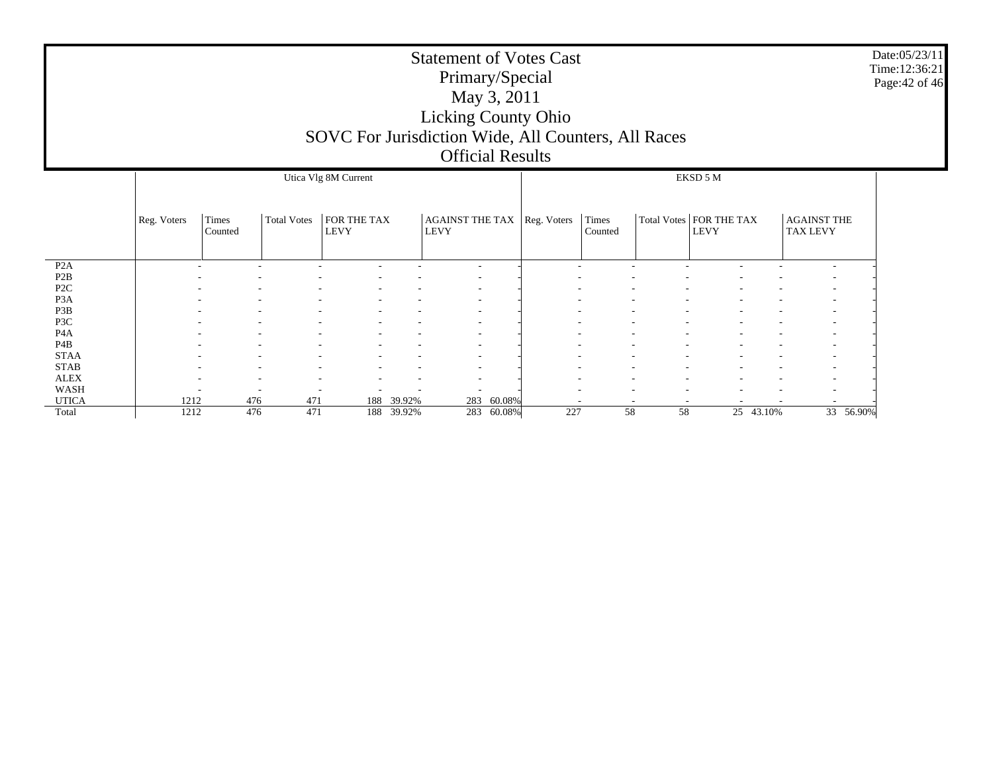|                                     | <b>Statement of Votes Cast</b><br>Primary/Special<br>May 3, 2011<br><b>Licking County Ohio</b><br>SOVC For Jurisdiction Wide, All Counters, All Races<br><b>Official Results</b> |                         |                    |                            |            |                                |            |             |                  |    |                                   |           |                                       | Date:05/23/11<br>Time: 12:36:21<br>Page: 42 of 46 |
|-------------------------------------|----------------------------------------------------------------------------------------------------------------------------------------------------------------------------------|-------------------------|--------------------|----------------------------|------------|--------------------------------|------------|-------------|------------------|----|-----------------------------------|-----------|---------------------------------------|---------------------------------------------------|
|                                     |                                                                                                                                                                                  |                         |                    | Utica Vlg 8M Current       |            |                                |            |             |                  |    | EKSD 5 M                          |           |                                       |                                                   |
|                                     | Reg. Voters                                                                                                                                                                      | <b>Times</b><br>Counted | <b>Total Votes</b> | FOR THE TAX<br><b>LEVY</b> |            | AGAINST THE TAX<br><b>LEVY</b> |            | Reg. Voters | Times<br>Counted |    | Total Votes   FOR THE TAX<br>LEVY |           | <b>AGAINST THE</b><br><b>TAX LEVY</b> |                                                   |
| P <sub>2</sub> A                    |                                                                                                                                                                                  |                         |                    |                            |            | $\sim$                         |            |             |                  |    |                                   |           |                                       |                                                   |
| P <sub>2</sub> B                    |                                                                                                                                                                                  |                         |                    |                            |            |                                |            |             |                  |    |                                   |           |                                       |                                                   |
| P <sub>2C</sub><br>P <sub>3</sub> A |                                                                                                                                                                                  |                         |                    |                            |            |                                |            |             |                  |    |                                   |           |                                       |                                                   |
| P3B                                 |                                                                                                                                                                                  |                         |                    |                            |            |                                |            |             |                  |    |                                   |           |                                       |                                                   |
| P3C                                 |                                                                                                                                                                                  |                         |                    |                            |            |                                |            |             |                  |    |                                   |           |                                       |                                                   |
| P <sub>4</sub> A                    |                                                                                                                                                                                  |                         |                    |                            |            |                                |            |             |                  |    |                                   |           |                                       |                                                   |
| P <sub>4</sub> B                    |                                                                                                                                                                                  |                         |                    |                            |            |                                |            |             |                  |    |                                   |           |                                       |                                                   |
| <b>STAA</b>                         |                                                                                                                                                                                  |                         |                    |                            |            |                                |            |             |                  |    |                                   |           |                                       |                                                   |
| <b>STAB</b>                         |                                                                                                                                                                                  |                         |                    |                            |            |                                |            |             |                  |    |                                   |           |                                       |                                                   |
| <b>ALEX</b>                         |                                                                                                                                                                                  |                         |                    |                            |            |                                |            |             |                  |    |                                   |           |                                       |                                                   |
| <b>WASH</b>                         |                                                                                                                                                                                  |                         |                    |                            |            |                                |            |             |                  |    |                                   |           |                                       |                                                   |
| <b>UTICA</b>                        | 1212                                                                                                                                                                             | 476                     | 471                | 188                        | 39.92%     | 283                            | 60.08%     |             |                  |    |                                   |           |                                       |                                                   |
| Total                               | 1212                                                                                                                                                                             | 476                     | 471                |                            | 188 39.92% |                                | 283 60.08% | 227         | 58               | 58 |                                   | 25 43.10% | 33 56.90%                             |                                                   |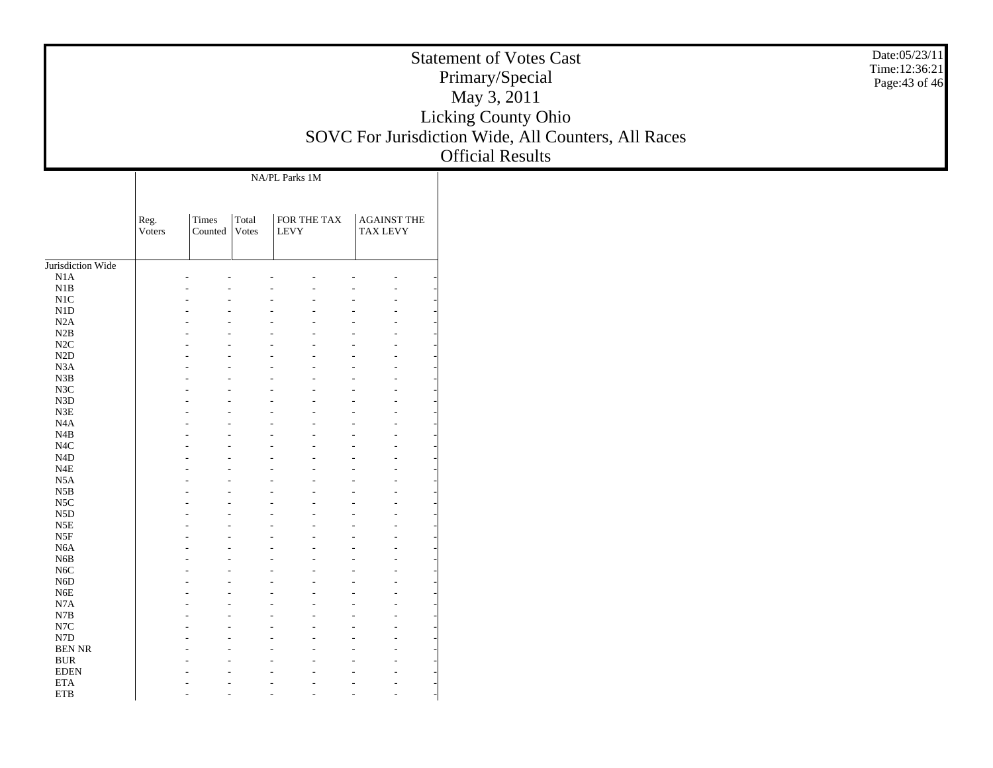|                                             |                |                        |       |                            | <b>Statement of Votes Cast</b><br>Licking County Ohio<br>SOVC For Jurisdiction Wide, All Counters, All Races |
|---------------------------------------------|----------------|------------------------|-------|----------------------------|--------------------------------------------------------------------------------------------------------------|
|                                             |                |                        |       | NA/PL Parks 1M             |                                                                                                              |
|                                             | Reg.<br>Voters | Times<br>Counted Votes | Total | FOR THE TAX<br><b>LEVY</b> | AGAINST THE<br><b>TAX LEVY</b>                                                                               |
| Jurisdiction Wide<br>N1A                    |                |                        |       |                            |                                                                                                              |
| N1B<br>N1C                                  |                |                        |       |                            |                                                                                                              |
| N1D<br>N2A<br>N2B                           |                |                        |       |                            |                                                                                                              |
| N2C<br>$\rm N2D$                            |                |                        |       |                            |                                                                                                              |
| N3A<br>N3B<br>N3C                           |                |                        |       |                            |                                                                                                              |
| N3D<br>$\ensuremath{\mathsf{N3E}}$          |                |                        |       |                            |                                                                                                              |
| N <sub>4</sub> A<br>N4B<br>N <sub>4</sub> C |                |                        |       |                            |                                                                                                              |
| $\rm N4D$<br>$_{\rm N4E}$                   |                |                        |       |                            |                                                                                                              |
| N5A<br>$_{\rm N5B}$                         |                |                        |       |                            |                                                                                                              |
| N <sub>5</sub> C<br>N5D<br>$_{\rm N5E}$     |                |                        |       |                            |                                                                                                              |
| $_{\rm{NSF}}$<br>N <sub>6</sub> A           |                |                        |       |                            |                                                                                                              |
| N6B<br>N <sub>6</sub> C<br>N6D              |                |                        |       |                            |                                                                                                              |
| N6E<br>$_{\rm N7A}$                         |                |                        |       |                            |                                                                                                              |
| N7B<br>$_{\rm N7C}$                         |                |                        |       |                            |                                                                                                              |
| ${\rm N7D}$<br><b>BEN NR</b><br>$\rm BUR$   |                |                        |       |                            |                                                                                                              |
| $\operatorname{EDEN}$<br>$\rm ETA$          |                |                        |       |                            |                                                                                                              |
| ${\rm ETB}$                                 |                |                        |       |                            |                                                                                                              |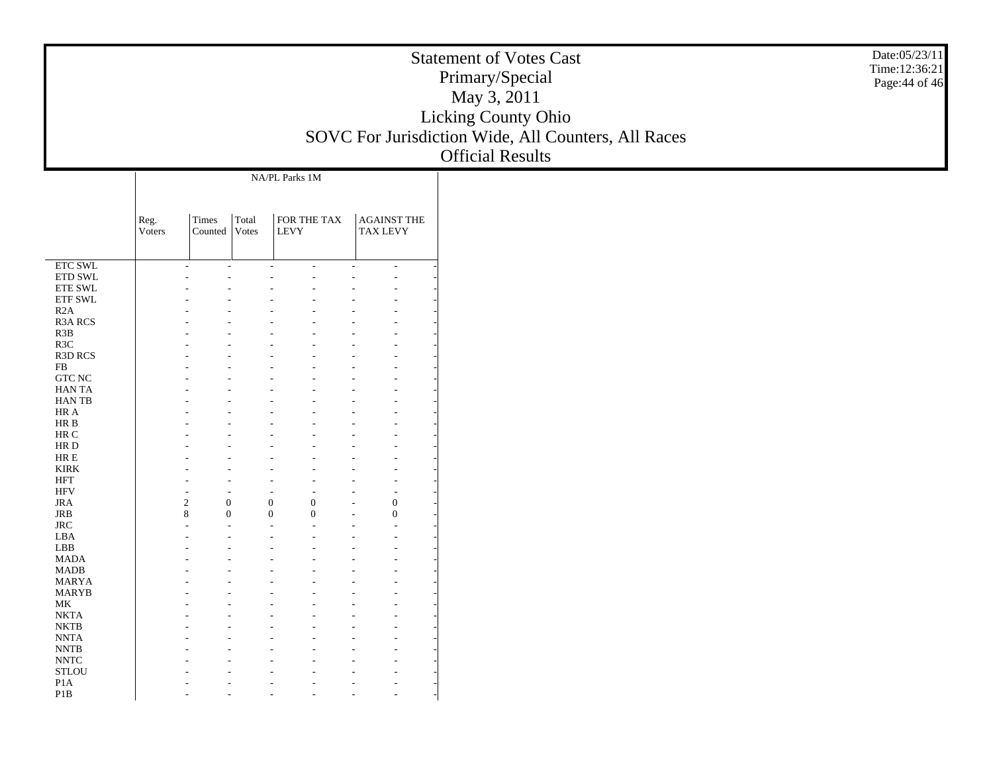|                                                          |                |                                    |          |                                       | <b>Statement of Votes Cast</b><br>Licking County Ohio<br>SOVC For Jurisdiction Wide, All Counters, All Races |
|----------------------------------------------------------|----------------|------------------------------------|----------|---------------------------------------|--------------------------------------------------------------------------------------------------------------|
|                                                          | Reg.<br>Voters | Times<br>Counted Votes             | Total    | NA/PL Parks 1M<br>FOR THE TAX<br>LEVY | <b>AGAINST THE</b><br><b>TAX LEVY</b>                                                                        |
|                                                          |                |                                    |          |                                       |                                                                                                              |
| ETC SWL                                                  |                |                                    |          |                                       |                                                                                                              |
| ETD SWL                                                  |                |                                    |          |                                       |                                                                                                              |
| ETE SWL<br>ETF SWL                                       |                |                                    |          |                                       |                                                                                                              |
| R2A                                                      |                |                                    |          |                                       |                                                                                                              |
| R3A RCS<br>R3B                                           |                |                                    |          |                                       |                                                                                                              |
| R3C                                                      |                |                                    |          |                                       |                                                                                                              |
| R3D RCS                                                  |                |                                    |          |                                       |                                                                                                              |
| FB                                                       |                |                                    |          |                                       |                                                                                                              |
| ${\rm GTC}$ NC<br><b>HANTA</b>                           |                |                                    |          |                                       |                                                                                                              |
| HAN TB                                                   |                |                                    |          |                                       |                                                                                                              |
| HR A                                                     |                |                                    |          |                                       |                                                                                                              |
| HR B<br>$\rm{HR}$ C                                      |                |                                    |          |                                       |                                                                                                              |
| $\rm HR$ D                                               |                |                                    |          |                                       |                                                                                                              |
| $\rm HR \, E$                                            |                |                                    |          |                                       |                                                                                                              |
| <b>KIRK</b>                                              |                |                                    |          |                                       |                                                                                                              |
| <b>HFT</b><br><b>HFV</b>                                 |                |                                    |          |                                       |                                                                                                              |
| <b>JRA</b>                                               |                | $\overline{c}$<br>$\boldsymbol{0}$ |          | $\boldsymbol{0}$<br>$\overline{0}$    | $\boldsymbol{0}$                                                                                             |
| <b>JRB</b>                                               |                | 8                                  | $\Omega$ | $\Omega$<br>$\Omega$                  | $\overline{0}$                                                                                               |
| $\rm JRC$                                                |                |                                    |          |                                       |                                                                                                              |
| LBA<br>${\rm LBB}$                                       |                |                                    |          |                                       |                                                                                                              |
| <b>MADA</b>                                              |                |                                    |          |                                       |                                                                                                              |
| <b>MADB</b>                                              |                |                                    |          |                                       |                                                                                                              |
| <b>MARYA</b>                                             |                |                                    |          |                                       |                                                                                                              |
| <b>MARYB</b><br>$\rm MK$                                 |                |                                    |          |                                       |                                                                                                              |
| <b>NKTA</b>                                              |                |                                    |          |                                       |                                                                                                              |
| <b>NKTB</b>                                              |                |                                    |          |                                       |                                                                                                              |
| $\ensuremath{\mathrm{NNTA}}$                             |                |                                    |          |                                       |                                                                                                              |
| $\ensuremath{\text{NNTB}}$<br>$\ensuremath{\text{NNTC}}$ |                |                                    |          |                                       |                                                                                                              |
| $\operatorname{\mathsf{STLOU}}$                          |                |                                    |          |                                       |                                                                                                              |
| P1A                                                      |                |                                    |          |                                       |                                                                                                              |
|                                                          |                |                                    |          |                                       |                                                                                                              |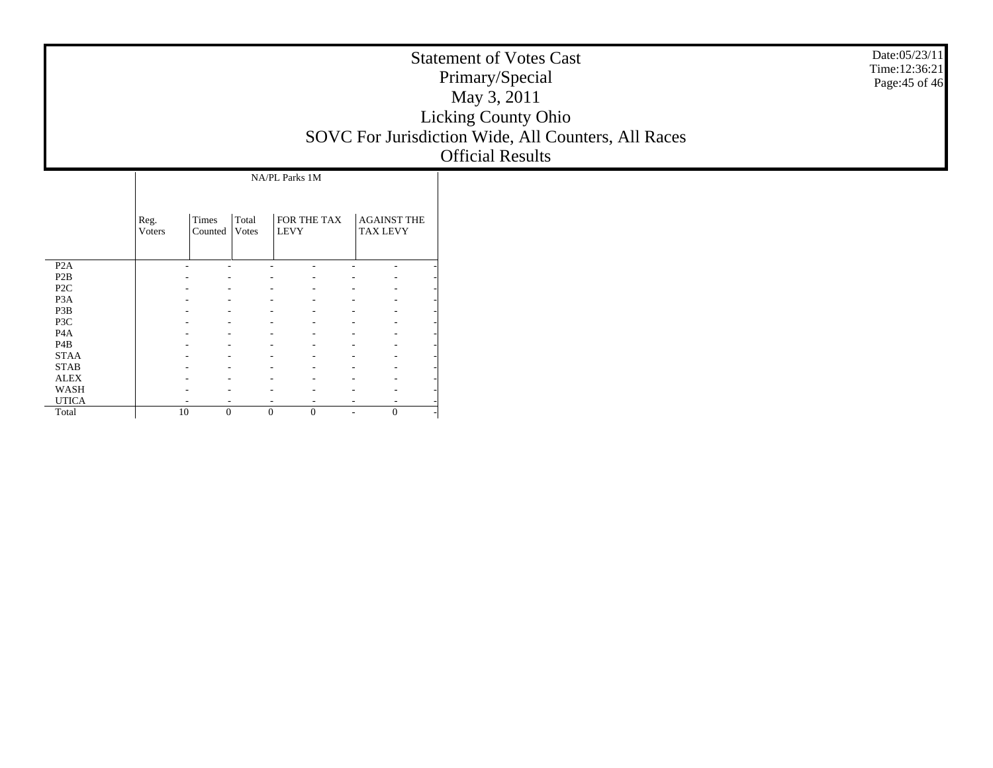|                                                                                           |                |                  |                |                                              |                                       | Date:05/23/11<br><b>Statement of Votes Cast</b><br>Time:12:36:21<br>Primary/Special<br>Page: 45 of 46<br>May 3, 2011<br>Licking County Ohio<br>SOVC For Jurisdiction Wide, All Counters, All Races<br><b>Official Results</b> |
|-------------------------------------------------------------------------------------------|----------------|------------------|----------------|----------------------------------------------|---------------------------------------|-------------------------------------------------------------------------------------------------------------------------------------------------------------------------------------------------------------------------------|
|                                                                                           | Reg.<br>Voters | Times<br>Counted | Total<br>Votes | NA/PL Parks 1M<br>FOR THE TAX<br><b>LEVY</b> | <b>AGAINST THE</b><br><b>TAX LEVY</b> |                                                                                                                                                                                                                               |
| P2A<br>$\mathbf{P2B}$<br>$\ensuremath{\mathsf{P2C}}$<br>P <sub>3</sub> A<br>P3B           |                |                  |                |                                              |                                       |                                                                                                                                                                                                                               |
| P3C<br>$\rm PAA$<br>$\mathbf{P}4\mathbf{B}$<br><b>STAA</b><br><b>STAB</b><br>${\rm ALEX}$ |                |                  |                |                                              |                                       |                                                                                                                                                                                                                               |
| WASH<br><b>UTICA</b><br>Total                                                             |                | 10               | $\Omega$       | $\overline{0}$<br>$\overline{0}$             | $\Omega$<br>$\sim$                    |                                                                                                                                                                                                                               |